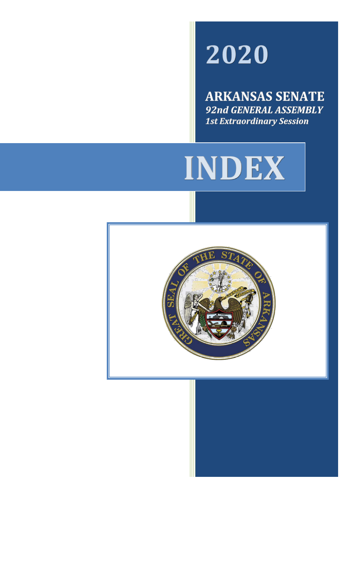# 2020

**ARKANSAS SENATE** 92nd GENERAL ASSEMBLY **1st Extraordinary Session** 



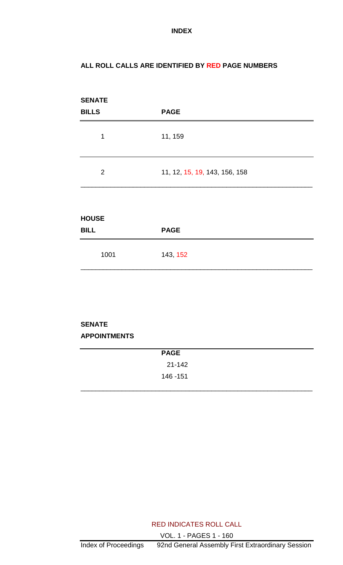#### **ALL ROLL CALLS ARE IDENTIFIED BY RED PAGE NUMBERS**

| <b>SENATE</b><br><b>BILLS</b> | <b>PAGE</b>                   |
|-------------------------------|-------------------------------|
| 1                             | 11, 159                       |
| 2                             | 11, 12, 15, 19, 143, 156, 158 |
| <b>HOUSE</b><br><b>BILL</b>   | <b>PAGE</b>                   |
| 1001                          | 143, 152                      |

#### **SENATE APPOINTMENTS**

| <b>PAGE</b> |  |
|-------------|--|
| $21 - 142$  |  |
| 146 - 151   |  |
|             |  |

RED INDICATES ROLL CALL VOL. 1 - PAGES 1 - 160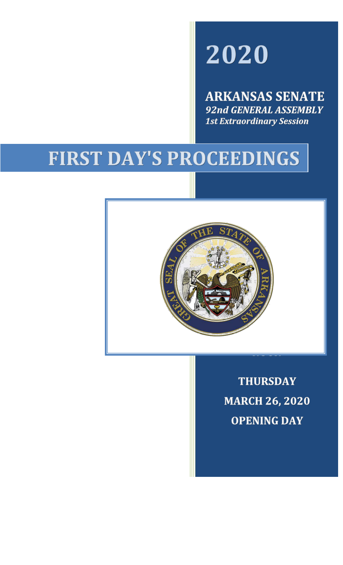## 2020

**ARKANSAS SENATE** 92nd GENERAL ASSEMBLY **1st Extraordinary Session** 

## FIRST DAY'S PROCEEDINGS



**THURSDAY MARCH 26, 2020 OPENING DAY**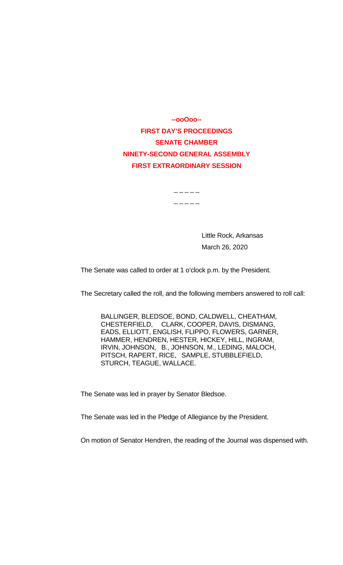**--ooOoo-- FIRST DAY'S PROCEEDINGS SENATE CHAMBER NINETY-SECOND GENERAL ASSEMBLY FIRST EXTRAORDINARY SESSION**

 $\overline{\phantom{a}}$   $\overline{\phantom{a}}$   $\overline{\phantom{a}}$   $\overline{\phantom{a}}$   $\overline{\phantom{a}}$   $\overline{\phantom{a}}$   $\overline{\phantom{a}}$   $\overline{\phantom{a}}$   $\overline{\phantom{a}}$   $\overline{\phantom{a}}$   $\overline{\phantom{a}}$   $\overline{\phantom{a}}$   $\overline{\phantom{a}}$   $\overline{\phantom{a}}$   $\overline{\phantom{a}}$   $\overline{\phantom{a}}$   $\overline{\phantom{a}}$   $\overline{\phantom{a}}$   $\overline{\$ 

 $\overline{\phantom{a}}$   $\overline{\phantom{a}}$   $\overline{\phantom{a}}$   $\overline{\phantom{a}}$   $\overline{\phantom{a}}$   $\overline{\phantom{a}}$   $\overline{\phantom{a}}$   $\overline{\phantom{a}}$   $\overline{\phantom{a}}$   $\overline{\phantom{a}}$   $\overline{\phantom{a}}$   $\overline{\phantom{a}}$   $\overline{\phantom{a}}$   $\overline{\phantom{a}}$   $\overline{\phantom{a}}$   $\overline{\phantom{a}}$   $\overline{\phantom{a}}$   $\overline{\phantom{a}}$   $\overline{\$ 

Little Rock, Arkansas March 26, 2020

The Senate was called to order at 1 o'clock p.m. by the President.

The Secretary called the roll, and the following members answered to roll call:

BALLINGER, BLEDSOE, BOND, CALDWELL, CHEATHAM, CHESTERFIELD, CLARK, COOPER, DAVIS, DISMANG, EADS, ELLIOTT, ENGLISH, FLIPPO, FLOWERS, GARNER, HAMMER, HENDREN, HESTER, HICKEY, HILL, INGRAM, IRVIN, JOHNSON, B., JOHNSON, M., LEDING, MALOCH, PITSCH, RAPERT, RICE, SAMPLE, STUBBLEFIELD, STURCH, TEAGUE, WALLACE.

The Senate was led in prayer by Senator Bledsoe.

The Senate was led in the Pledge of Allegiance by the President.

On motion of Senator Hendren, the reading of the Journal was dispensed with.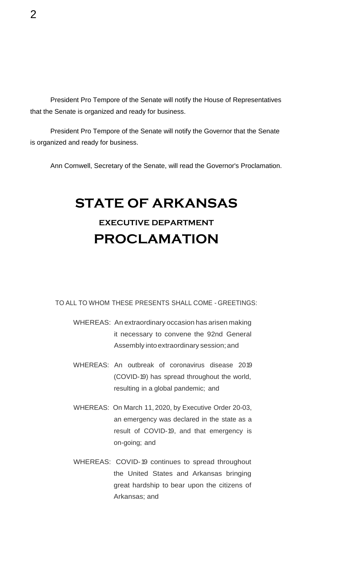President Pro Tempore of the Senate will notify the House of Representatives that the Senate is organized and ready for business.

President Pro Tempore of the Senate will notify the Governor that the Senate is organized and ready for business.

Ann Cornwell, Secretary of the Senate, will read the Governor's Proclamation.

## **STATE OF ARKANSAS**

### **EXECUTIVE DEPARTMENT PROCLAMATION**

#### TO ALL TO WHOM THESE PRESENTS SHALL COME - GREETINGS:

- WHEREAS: An extraordinary occasion has arisen making it necessary to convene the 92nd General Assembly into extraordinary session; and
- WHEREAS: An outbreak of coronavirus disease 2019 (COVID-19) has spread throughout the world, resulting in a global pandemic; and
- WHEREAS: On March 11, 2020, by Executive Order 20-03, an emergency was declared in the state as a result of COVID-19, and that emergency is on-going; and
- WHEREAS: COVID-19 continues to spread throughout the United States and Arkansas bringing great hardship to bear upon the citizens of Arkansas; and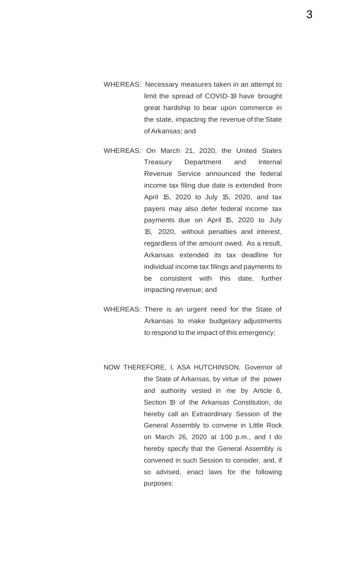- WHEREAS: Necessary measures taken in an attempt to limit the spread of COVID-19 have brought great hardship to bear upon commerce in the state, impacting the revenue of the State ofArkansas; and
- WHEREAS: On March 21, 2020, the United States Treasury Department and Internal Revenue Service announced the federal income tax filing due date is extended from April 15, 2020 to July 15, 2020, and tax payers may also defer federal income tax payments due on April 15, 2020 to July 15, 2020, without penalties and interest, regardless of the amount owed. As a result, Arkansas extended its tax deadline for individual income tax filings and payments to be consistent with this date, further impacting revenue; and
- WHEREAS: There is an urgent need for the State of Arkansas to make budgetary adjustments to respond to the impact of this emergency;
- NOW THEREFORE, I, ASA HUTCHINSON, Governor of the State of Arkansas, by virtue of the power and authority vested in me by Article 6, Section 19 of the Arkansas Constitution, do hereby call an Extraordinary Session of the General Assembly to convene in Little Rock on March 26, 2020 at 1:00 p.m., and I do hereby specify that the General Assembly is convened in such Session to consider, and, if so advised, enact laws for the following purposes:

3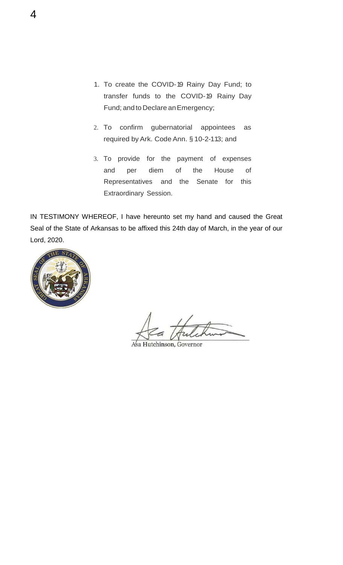- 1. To create the COVID-19 Rainy Day Fund; to transfer funds to the COVID-19 Rainy Day Fund; and to Declare an Emergency;
- 2. To confirm gubernatorial appointees as required by Ark. Code Ann. § 10-2-113; and
- 3. To provide for the payment of expenses and per diem of the House of Representatives and the Senate for this Extraordinary Session.

IN TESTIMONY WHEREOF, I have hereunto set my hand and caused the Great Seal of the State of Arkansas to be affixed this 24th day of March, in the year of our Lord, 2020.



Asa Hutchinson, Governor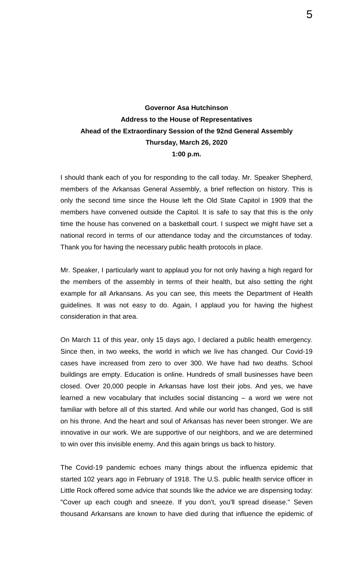#### **Governor Asa Hutchinson Address to the House of Representatives Ahead of the Extraordinary Session of the 92nd General Assembly Thursday, March 26, 2020 1:00 p.m.**

I should thank each of you for responding to the call today. Mr. Speaker Shepherd, members of the Arkansas General Assembly, a brief reflection on history. This is only the second time since the House left the Old State Capitol in 1909 that the members have convened outside the Capitol. It is safe to say that this is the only time the house has convened on a basketball court. I suspect we might have set a national record in terms of our attendance today and the circumstances of today. Thank you for having the necessary public health protocols in place.

Mr. Speaker, I particularly want to applaud you for not only having a high regard for the members of the assembly in terms of their health, but also setting the right example for all Arkansans. As you can see, this meets the Department of Health guidelines. It was not easy to do. Again, I applaud you for having the highest consideration in that area.

On March 11 of this year, only 15 days ago, I declared a public health emergency. Since then, in two weeks, the world in which we live has changed. Our Covid-19 cases have increased from zero to over 300. We have had two deaths. School buildings are empty. Education is online. Hundreds of small businesses have been closed. Over 20,000 people in Arkansas have lost their jobs. And yes, we have learned a new vocabulary that includes social distancing – a word we were not familiar with before all of this started. And while our world has changed, God is still on his throne. And the heart and soul of Arkansas has never been stronger. We are innovative in our work. We are supportive of our neighbors, and we are determined to win over this invisible enemy. And this again brings us back to history.

The Covid-19 pandemic echoes many things about the influenza epidemic that started 102 years ago in February of 1918. The U.S. public health service officer in Little Rock offered some advice that sounds like the advice we are dispensing today: "Cover up each cough and sneeze. If you don't, you'll spread disease." Seven thousand Arkansans are known to have died during that influence the epidemic of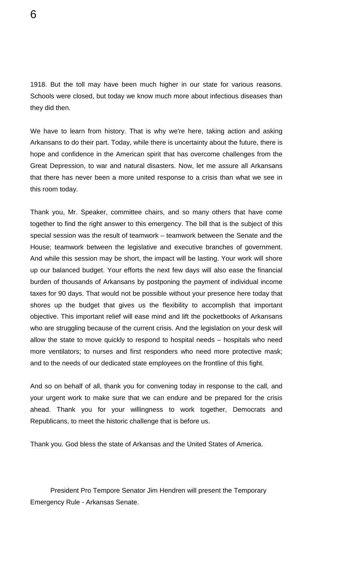1918. But the toll may have been much higher in our state for various reasons. Schools were closed, but today we know much more about infectious diseases than they did then.

We have to learn from history. That is why we're here, taking action and asking Arkansans to do their part. Today, while there is uncertainty about the future, there is hope and confidence in the American spirit that has overcome challenges from the Great Depression, to war and natural disasters. Now, let me assure all Arkansans that there has never been a more united response to a crisis than what we see in this room today.

Thank you, Mr. Speaker, committee chairs, and so many others that have come together to find the right answer to this emergency. The bill that is the subject of this special session was the result of teamwork – teamwork between the Senate and the House; teamwork between the legislative and executive branches of government. And while this session may be short, the impact will be lasting. Your work will shore up our balanced budget. Your efforts the next few days will also ease the financial burden of thousands of Arkansans by postponing the payment of individual income taxes for 90 days. That would not be possible without your presence here today that shores up the budget that gives us the flexibility to accomplish that important objective. This important relief will ease mind and lift the pocketbooks of Arkansans who are struggling because of the current crisis. And the legislation on your desk will allow the state to move quickly to respond to hospital needs – hospitals who need more ventilators; to nurses and first responders who need more protective mask; and to the needs of our dedicated state employees on the frontline of this fight.

And so on behalf of all, thank you for convening today in response to the call, and your urgent work to make sure that we can endure and be prepared for the crisis ahead. Thank you for your willingness to work together, Democrats and Republicans, to meet the historic challenge that is before us.

Thank you. God bless the state of Arkansas and the United States of America.

President Pro Tempore Senator Jim Hendren will present the Temporary Emergency Rule - Arkansas Senate.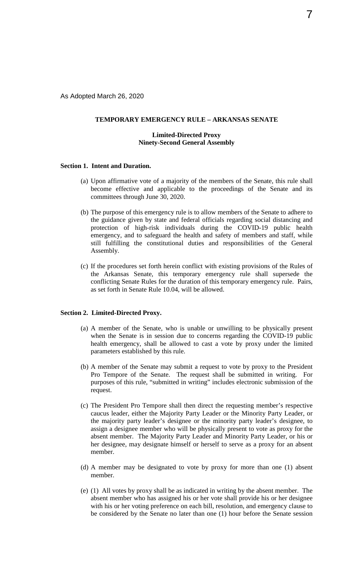As Adopted March 26, 2020

#### **TEMPORARY EMERGENCY RULE – ARKANSAS SENATE**

#### **Limited-Directed Proxy Ninety-Second General Assembly**

#### **Section 1. Intent and Duration.**

- (a) Upon affirmative vote of a majority of the members of the Senate, this rule shall become effective and applicable to the proceedings of the Senate and its committees through June 30, 2020.
- (b) The purpose of this emergency rule is to allow members of the Senate to adhere to the guidance given by state and federal officials regarding social distancing and protection of high-risk individuals during the COVID-19 public health emergency, and to safeguard the health and safety of members and staff, while still fulfilling the constitutional duties and responsibilities of the General Assembly.
- (c) If the procedures set forth herein conflict with existing provisions of the Rules of the Arkansas Senate, this temporary emergency rule shall supersede the conflicting Senate Rules for the duration of this temporary emergency rule. Pairs, as set forth in Senate Rule 10.04, will be allowed.

#### **Section 2. Limited-Directed Proxy.**

- (a) A member of the Senate, who is unable or unwilling to be physically present when the Senate is in session due to concerns regarding the COVID-19 public health emergency, shall be allowed to cast a vote by proxy under the limited parameters established by this rule.
- (b) A member of the Senate may submit a request to vote by proxy to the President Pro Tempore of the Senate. The request shall be submitted in writing. For purposes of this rule, "submitted in writing" includes electronic submission of the request.
- (c) The President Pro Tempore shall then direct the requesting member's respective caucus leader, either the Majority Party Leader or the Minority Party Leader, or the majority party leader's designee or the minority party leader's designee, to assign a designee member who will be physically present to vote as proxy for the absent member. The Majority Party Leader and Minority Party Leader, or his or her designee, may designate himself or herself to serve as a proxy for an absent member.
- (d) A member may be designated to vote by proxy for more than one (1) absent member.
- (e) (1) All votes by proxy shall be as indicated in writing by the absent member. The absent member who has assigned his or her vote shall provide his or her designee with his or her voting preference on each bill, resolution, and emergency clause to be considered by the Senate no later than one (1) hour before the Senate session

7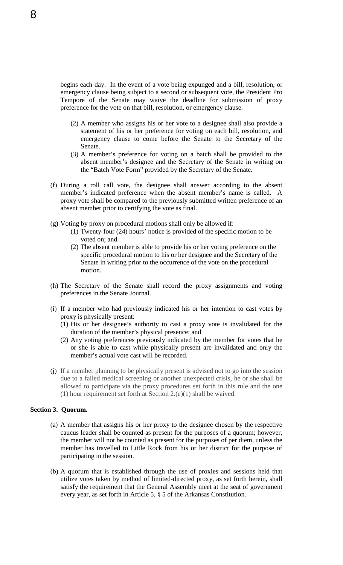begins each day. In the event of a vote being expunged and a bill, resolution, or emergency clause being subject to a second or subsequent vote, the President Pro Tempore of the Senate may waive the deadline for submission of proxy preference for the vote on that bill, resolution, or emergency clause.

- (2) A member who assigns his or her vote to a designee shall also provide a statement of his or her preference for voting on each bill, resolution, and emergency clause to come before the Senate to the Secretary of the Senate.
- (3) A member's preference for voting on a batch shall be provided to the absent member's designee and the Secretary of the Senate in writing on the "Batch Vote Form" provided by the Secretary of the Senate.
- (f) During a roll call vote, the designee shall answer according to the absent member's indicated preference when the absent member's name is called. A proxy vote shall be compared to the previously submitted written preference of an absent member prior to certifying the vote as final.
- (g) Voting by proxy on procedural motions shall only be allowed if:
	- (1) Twenty-four (24) hours' notice is provided of the specific motion to be voted on; and
	- (2) The absent member is able to provide his or her voting preference on the specific procedural motion to his or her designee and the Secretary of the Senate in writing prior to the occurrence of the vote on the procedural motion.
- (h) The Secretary of the Senate shall record the proxy assignments and voting preferences in the Senate Journal.
- (i) If a member who had previously indicated his or her intention to cast votes by proxy is physically present:
	- (1) His or her designee's authority to cast a proxy vote is invalidated for the duration of the member's physical presence; and
	- (2) Any voting preferences previously indicated by the member for votes that he or she is able to cast while physically present are invalidated and only the member's actual vote cast will be recorded.
- (j) If a member planning to be physically present is advised not to go into the session due to a failed medical screening or another unexpected crisis, he or she shall be allowed to participate via the proxy procedures set forth in this rule and the one (1) hour requirement set forth at Section 2.(e)(1) shall be waived.

#### **Section 3. Quorum.**

- (a) A member that assigns his or her proxy to the designee chosen by the respective caucus leader shall be counted as present for the purposes of a quorum; however, the member will not be counted as present for the purposes of per diem, unless the member has travelled to Little Rock from his or her district for the purpose of participating in the session.
- (b) A quorum that is established through the use of proxies and sessions held that utilize votes taken by method of limited-directed proxy, as set forth herein, shall satisfy the requirement that the General Assembly meet at the seat of government every year, as set forth in Article 5, § 5 of the Arkansas Constitution.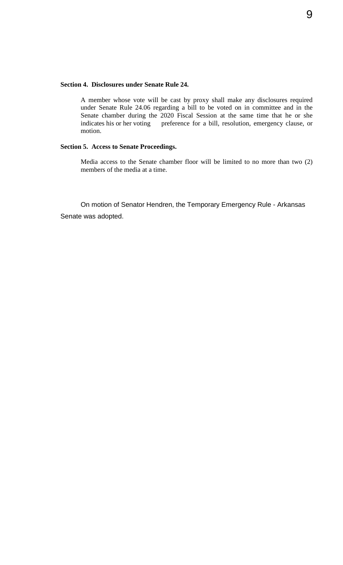#### **Section 4. Disclosures under Senate Rule 24.**

A member whose vote will be cast by proxy shall make any disclosures required under Senate Rule 24.06 regarding a bill to be voted on in committee and in the Senate chamber during the 2020 Fiscal Session at the same time that he or she indicates his or her voting preference for a bill, resolution, emergency clause, or motion.

#### **Section 5. Access to Senate Proceedings.**

Media access to the Senate chamber floor will be limited to no more than two (2) members of the media at a time.

On motion of Senator Hendren, the Temporary Emergency Rule - Arkansas Senate was adopted.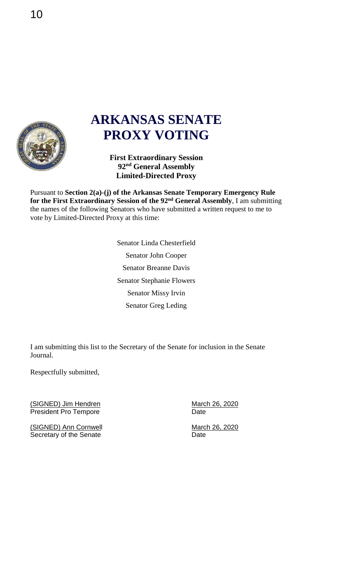

## **ARKANSAS SENATE PROXY VOTING**

**First Extraordinary Session 92nd General Assembly Limited-Directed Proxy** 

Pursuant to **Section 2(a)-(j) of the Arkansas Senate Temporary Emergency Rule for the First Extraordinary Session of the 92nd General Assembly**, I am submitting the names of the following Senators who have submitted a written request to me to vote by Limited-Directed Proxy at this time:

> Senator Linda Chesterfield Senator John Cooper Senator Breanne Davis Senator Stephanie Flowers Senator Missy Irvin Senator Greg Leding

I am submitting this list to the Secretary of the Senate for inclusion in the Senate Journal.

Respectfully submitted,

(SIGNED) Jim Hendren March 26, 2020<br>
President Pro Tempore March 26, 2020 President Pro Tempore

(SIGNED) Ann Cornwell March 26, 2020 Secretary of the Senate Date Date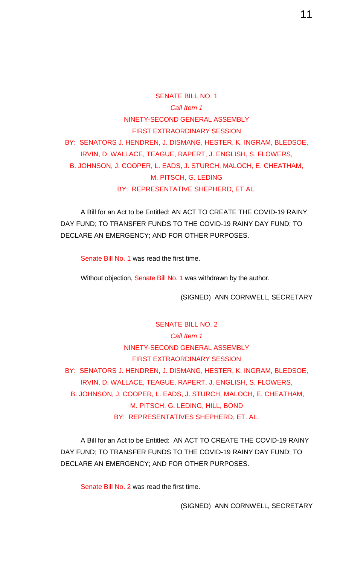SENATE BILL NO. 1 *Call Item 1* NINETY-SECOND GENERAL ASSEMBLY FIRST EXTRAORDINARY SESSION BY: SENATORS J. HENDREN, J. DISMANG, HESTER, K. INGRAM, BLEDSOE, IRVIN, D. WALLACE, TEAGUE, RAPERT, J. ENGLISH, S. FLOWERS, B. JOHNSON, J. COOPER, L. EADS, J. STURCH, MALOCH, E. CHEATHAM, M. PITSCH, G. LEDING BY: REPRESENTATIVE SHEPHERD, ET AL.

A Bill for an Act to be Entitled: AN ACT TO CREATE THE COVID-19 RAINY DAY FUND; TO TRANSFER FUNDS TO THE COVID-19 RAINY DAY FUND; TO DECLARE AN EMERGENCY; AND FOR OTHER PURPOSES.

Senate Bill No. 1 was read the first time.

Without objection, Senate Bill No. 1 was withdrawn by the author.

(SIGNED) ANN CORNWELL, SECRETARY

SENATE BILL NO. 2 *Call Item 1* NINETY-SECOND GENERAL ASSEMBLY FIRST EXTRAORDINARY SESSION BY: SENATORS J. HENDREN, J. DISMANG, HESTER, K. INGRAM, BLEDSOE, IRVIN, D. WALLACE, TEAGUE, RAPERT, J. ENGLISH, S. FLOWERS, B. JOHNSON, J. COOPER, L. EADS, J. STURCH, MALOCH, E. CHEATHAM, M. PITSCH, G. LEDING, HILL, BOND BY: REPRESENTATIVES SHEPHERD, ET. AL.

A Bill for an Act to be Entitled: AN ACT TO CREATE THE COVID-19 RAINY DAY FUND; TO TRANSFER FUNDS TO THE COVID-19 RAINY DAY FUND; TO DECLARE AN EMERGENCY; AND FOR OTHER PURPOSES.

Senate Bill No. 2 was read the first time.

(SIGNED) ANN CORNWELL, SECRETARY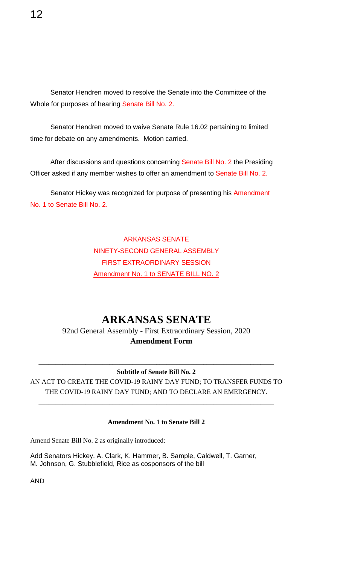Senator Hendren moved to resolve the Senate into the Committee of the Whole for purposes of hearing Senate Bill No. 2.

Senator Hendren moved to waive Senate Rule 16.02 pertaining to limited time for debate on any amendments. Motion carried.

After discussions and questions concerning Senate Bill No. 2 the Presiding Officer asked if any member wishes to offer an amendment to Senate Bill No. 2.

Senator Hickey was recognized for purpose of presenting his Amendment No. 1 to Senate Bill No. 2.

#### ARKANSAS SENATE NINETY-SECOND GENERAL ASSEMBLY FIRST EXTRAORDINARY SESSION Amendment No. 1 to SENATE BILL NO. 2

### **ARKANSAS SENATE**

92nd General Assembly - First Extraordinary Session, 2020 **Amendment Form**

#### \_\_\_\_\_\_\_\_\_\_\_\_\_\_\_\_\_\_\_\_\_\_\_\_\_\_\_\_\_\_\_\_\_\_\_\_\_\_\_\_\_\_\_\_\_\_\_\_\_\_\_\_\_\_\_\_\_\_\_\_\_\_\_\_\_\_\_\_\_\_ **Subtitle of Senate Bill No. 2**

AN ACT TO CREATE THE COVID-19 RAINY DAY FUND; TO TRANSFER FUNDS TO THE COVID-19 RAINY DAY FUND; AND TO DECLARE AN EMERGENCY.

\_\_\_\_\_\_\_\_\_\_\_\_\_\_\_\_\_\_\_\_\_\_\_\_\_\_\_\_\_\_\_\_\_\_\_\_\_\_\_\_\_\_\_\_\_\_\_\_\_\_\_\_\_\_\_\_\_\_\_\_\_\_\_\_\_\_\_\_\_\_

#### **Amendment No. 1 to Senate Bill 2**

Amend Senate Bill No. 2 as originally introduced:

Add Senators Hickey, A. Clark, K. Hammer, B. Sample, Caldwell, T. Garner, M. Johnson, G. Stubblefield, Rice as cosponsors of the bill

AND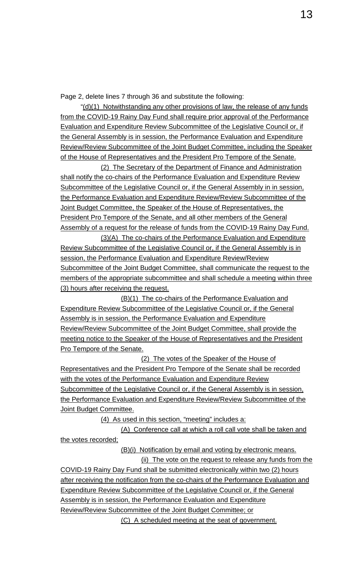Page 2, delete lines 7 through 36 and substitute the following:

"(d)(1) Notwithstanding any other provisions of law, the release of any funds from the COVID-19 Rainy Day Fund shall require prior approval of the Performance Evaluation and Expenditure Review Subcommittee of the Legislative Council or, if the General Assembly is in session, the Performance Evaluation and Expenditure Review/Review Subcommittee of the Joint Budget Committee, including the Speaker of the House of Representatives and the President Pro Tempore of the Senate.

(2) The Secretary of the Department of Finance and Administration shall notify the co-chairs of the Performance Evaluation and Expenditure Review Subcommittee of the Legislative Council or, if the General Assembly in in session, the Performance Evaluation and Expenditure Review/Review Subcommittee of the Joint Budget Committee, the Speaker of the House of Representatives, the President Pro Tempore of the Senate, and all other members of the General Assembly of a request for the release of funds from the COVID-19 Rainy Day Fund.

(3)(A) The co-chairs of the Performance Evaluation and Expenditure Review Subcommittee of the Legislative Council or, if the General Assembly is in session, the Performance Evaluation and Expenditure Review/Review Subcommittee of the Joint Budget Committee, shall communicate the request to the members of the appropriate subcommittee and shall schedule a meeting within three (3) hours after receiving the request.

(B)(1) The co-chairs of the Performance Evaluation and Expenditure Review Subcommittee of the Legislative Council or, if the General Assembly is in session, the Performance Evaluation and Expenditure Review/Review Subcommittee of the Joint Budget Committee, shall provide the meeting notice to the Speaker of the House of Representatives and the President Pro Tempore of the Senate.

(2) The votes of the Speaker of the House of Representatives and the President Pro Tempore of the Senate shall be recorded with the votes of the Performance Evaluation and Expenditure Review Subcommittee of the Legislative Council or, if the General Assembly is in session, the Performance Evaluation and Expenditure Review/Review Subcommittee of the Joint Budget Committee.

(4) As used in this section, "meeting" includes a:

(A) Conference call at which a roll call vote shall be taken and the votes recorded;

(B)(i) Notification by email and voting by electronic means.

(ii) The vote on the request to release any funds from the COVID-19 Rainy Day Fund shall be submitted electronically within two (2) hours after receiving the notification from the co-chairs of the Performance Evaluation and Expenditure Review Subcommittee of the Legislative Council or, if the General Assembly is in session, the Performance Evaluation and Expenditure Review/Review Subcommittee of the Joint Budget Committee; or

(C) A scheduled meeting at the seat of government.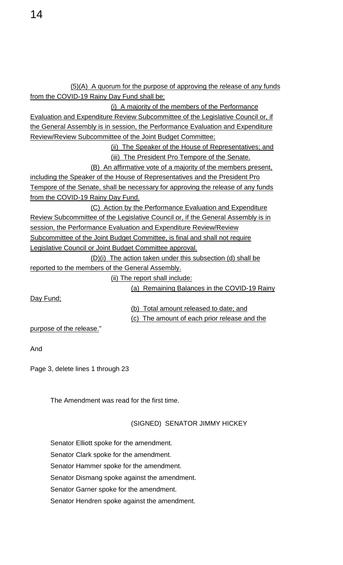(5)(A) A quorum for the purpose of approving the release of any funds from the COVID-19 Rainy Day Fund shall be: (i) A majority of the members of the Performance Evaluation and Expenditure Review Subcommittee of the Legislative Council or, if the General Assembly is in session, the Performance Evaluation and Expenditure Review/Review Subcommittee of the Joint Budget Committee; (ii) The Speaker of the House of Representatives; and (iii) The President Pro Tempore of the Senate. (B) An affirmative vote of a majority of the members present, including the Speaker of the House of Representatives and the President Pro Tempore of the Senate, shall be necessary for approving the release of any funds from the COVID-19 Rainy Day Fund. (C) Action by the Performance Evaluation and Expenditure Review Subcommittee of the Legislative Council or, if the General Assembly is in session, the Performance Evaluation and Expenditure Review/Review Subcommittee of the Joint Budget Committee, is final and shall not require Legislative Council or Joint Budget Committee approval. (D)(i) The action taken under this subsection (d) shall be reported to the members of the General Assembly.

(ii) The report shall include:

(a) Remaining Balances in the COVID-19 Rainy

Day Fund;

(b) Total amount released to date; and (c) The amount of each prior release and the

purpose of the release."

And

Page 3, delete lines 1 through 23

The Amendment was read for the first time.

#### (SIGNED) SENATOR JIMMY HICKEY

- Senator Elliott spoke for the amendment.
- Senator Clark spoke for the amendment.
- Senator Hammer spoke for the amendment.

Senator Dismang spoke against the amendment.

Senator Garner spoke for the amendment.

Senator Hendren spoke against the amendment.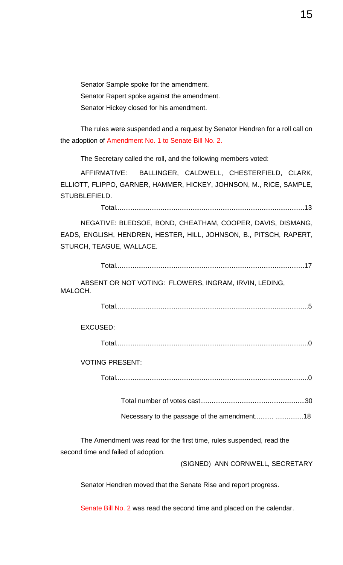Senator Sample spoke for the amendment. Senator Rapert spoke against the amendment. Senator Hickey closed for his amendment.

The rules were suspended and a request by Senator Hendren for a roll call on the adoption of Amendment No. 1 to Senate Bill No. 2.

The Secretary called the roll, and the following members voted:

AFFIRMATIVE: BALLINGER, CALDWELL, CHESTERFIELD, CLARK, ELLIOTT, FLIPPO, GARNER, HAMMER, HICKEY, JOHNSON, M., RICE, SAMPLE, STUBBLEFIELD.

Total.....................................................................................................13

NEGATIVE: BLEDSOE, BOND, CHEATHAM, COOPER, DAVIS, DISMANG, EADS, ENGLISH, HENDREN, HESTER, HILL, JOHNSON, B., PITSCH, RAPERT, STURCH, TEAGUE, WALLACE.

Total.....................................................................................................17

ABSENT OR NOT VOTING: FLOWERS, INGRAM, IRVIN, LEDING, MALOCH.

Total.......................................................................................................5

EXCUSED:

Total.......................................................................................................0

VOTING PRESENT:

Total.......................................................................................................0

Total number of votes cast........................................................30

Necessary to the passage of the amendment.......... ...............18

The Amendment was read for the first time, rules suspended, read the second time and failed of adoption.

(SIGNED) ANN CORNWELL, SECRETARY

Senator Hendren moved that the Senate Rise and report progress.

Senate Bill No. 2 was read the second time and placed on the calendar.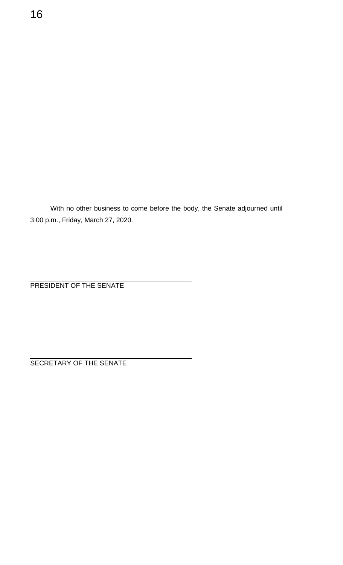With no other business to come before the body, the Senate adjourned until 3:00 p.m., Friday, March 27, 2020.

PRESIDENT OF THE SENATE

SECRETARY OF THE SENATE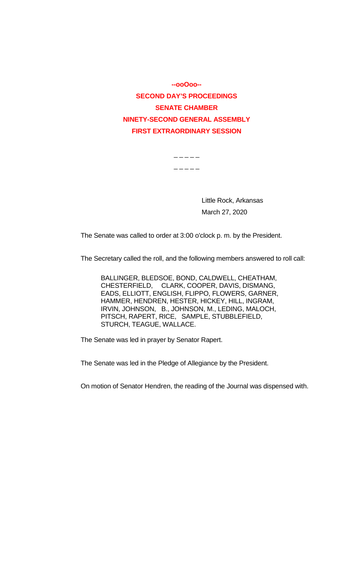**--ooOoo-- SECOND DAY'S PROCEEDINGS SENATE CHAMBER NINETY-SECOND GENERAL ASSEMBLY FIRST EXTRAORDINARY SESSION**

> $-$

> > Little Rock, Arkansas March 27, 2020

The Senate was called to order at 3:00 o'clock p. m. by the President.

The Secretary called the roll, and the following members answered to roll call:

BALLINGER, BLEDSOE, BOND, CALDWELL, CHEATHAM, CHESTERFIELD, CLARK, COOPER, DAVIS, DISMANG, EADS, ELLIOTT, ENGLISH, FLIPPO, FLOWERS, GARNER, HAMMER, HENDREN, HESTER, HICKEY, HILL, INGRAM, IRVIN, JOHNSON, B., JOHNSON, M., LEDING, MALOCH, PITSCH, RAPERT, RICE, SAMPLE, STUBBLEFIELD, STURCH, TEAGUE, WALLACE.

The Senate was led in prayer by Senator Rapert.

The Senate was led in the Pledge of Allegiance by the President.

On motion of Senator Hendren, the reading of the Journal was dispensed with.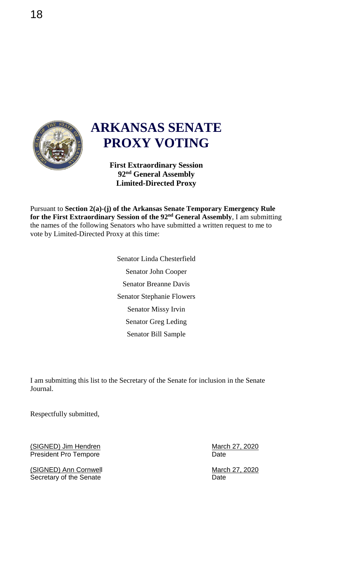

## **ARKANSAS SENATE PROXY VOTING**

**First Extraordinary Session 92nd General Assembly Limited-Directed Proxy** 

Pursuant to **Section 2(a)-(j) of the Arkansas Senate Temporary Emergency Rule for the First Extraordinary Session of the 92nd General Assembly**, I am submitting the names of the following Senators who have submitted a written request to me to vote by Limited-Directed Proxy at this time:

> Senator Linda Chesterfield Senator John Cooper Senator Breanne Davis Senator Stephanie Flowers Senator Missy Irvin Senator Greg Leding Senator Bill Sample

I am submitting this list to the Secretary of the Senate for inclusion in the Senate Journal.

Respectfully submitted,

(SIGNED) Jim Hendren March 27, 2020<br>President Pro Tempore President Pro Tempore

(SIGNED) Ann Cornwell March 27, 2020<br>
Secretary of the Senate<br>
Date Date Secretary of the Senate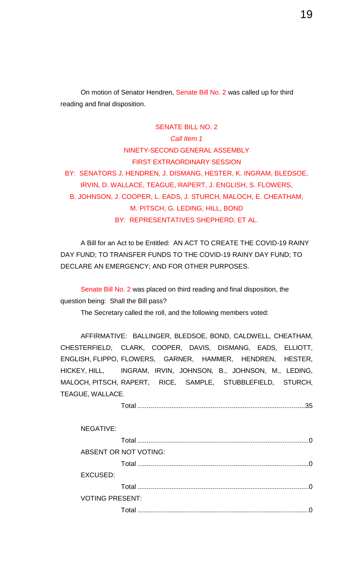On motion of Senator Hendren, Senate Bill No. 2 was called up for third reading and final disposition.

#### SENATE BILL NO. 2

*Call Item 1* NINETY-SECOND GENERAL ASSEMBLY FIRST EXTRAORDINARY SESSION BY: SENATORS J. HENDREN, J. DISMANG, HESTER, K. INGRAM, BLEDSOE, IRVIN, D. WALLACE, TEAGUE, RAPERT, J. ENGLISH, S. FLOWERS, B. JOHNSON, J. COOPER, L. EADS, J. STURCH, MALOCH, E. CHEATHAM, M. PITSCH, G. LEDING, HILL, BOND BY: REPRESENTATIVES SHEPHERD, ET AL.

A Bill for an Act to be Entitled: AN ACT TO CREATE THE COVID-19 RAINY DAY FUND; TO TRANSFER FUNDS TO THE COVID-19 RAINY DAY FUND; TO DECLARE AN EMERGENCY; AND FOR OTHER PURPOSES.

Senate Bill No. 2 was placed on third reading and final disposition, the question being: Shall the Bill pass?

The Secretary called the roll, and the following members voted:

AFFIRMATIVE: BALLINGER, BLEDSOE, BOND, CALDWELL, CHEATHAM, CHESTERFIELD, CLARK, COOPER, DAVIS, DISMANG, EADS, ELLIOTT, ENGLISH, FLIPPO, FLOWERS, GARNER, HAMMER, HENDREN, HESTER, HICKEY, HILL, INGRAM, IRVIN, JOHNSON, B., JOHNSON, M., LEDING, MALOCH, PITSCH, RAPERT, RICE, SAMPLE, STUBBLEFIELD, STURCH, TEAGUE, WALLACE.

Total .........................................................................................35

| <b>NEGATIVE:</b>       |                       |          |
|------------------------|-----------------------|----------|
|                        |                       | $\Omega$ |
|                        | ABSENT OR NOT VOTING: |          |
|                        |                       |          |
| <b>EXCUSED:</b>        |                       |          |
|                        |                       | $\Omega$ |
| <b>VOTING PRESENT:</b> |                       |          |
|                        | Total                 |          |
|                        |                       |          |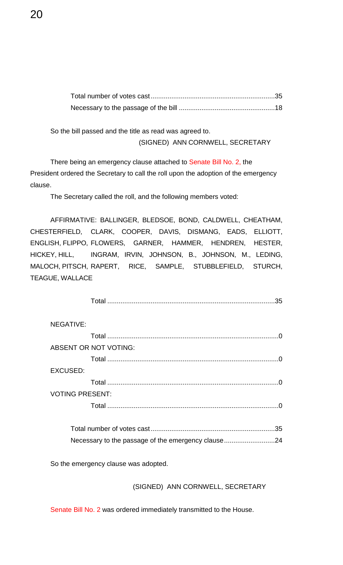So the bill passed and the title as read was agreed to.

(SIGNED) ANN CORNWELL, SECRETARY

There being an emergency clause attached to Senate Bill No. 2, the President ordered the Secretary to call the roll upon the adoption of the emergency clause.

The Secretary called the roll, and the following members voted:

AFFIRMATIVE: BALLINGER, BLEDSOE, BOND, CALDWELL, CHEATHAM, CHESTERFIELD, CLARK, COOPER, DAVIS, DISMANG, EADS, ELLIOTT, ENGLISH, FLIPPO, FLOWERS, GARNER, HAMMER, HENDREN, HESTER, HICKEY, HILL, INGRAM, IRVIN, JOHNSON, B., JOHNSON, M., LEDING, MALOCH, PITSCH, RAPERT, RICE, SAMPLE, STUBBLEFIELD, STURCH, TEAGUE, WALLACE

Total .........................................................................................35

| <b>NEGATIVE:</b>       |                              |
|------------------------|------------------------------|
|                        |                              |
|                        | <b>ABSENT OR NOT VOTING:</b> |
|                        | ∩                            |
| <b>EXCUSED:</b>        |                              |
|                        | $\Omega$                     |
| <b>VOTING PRESENT:</b> |                              |
|                        | ∩                            |
|                        |                              |

| Necessary to the passage of the emergency clause24 |  |
|----------------------------------------------------|--|

So the emergency clause was adopted.

(SIGNED) ANN CORNWELL, SECRETARY

Senate Bill No. 2 was ordered immediately transmitted to the House.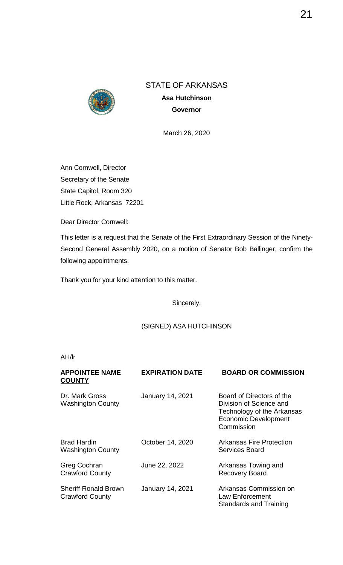

**Asa Hutchinson Governor**

March 26, 2020

Ann Cornwell, Director Secretary of the Senate State Capitol, Room 320 Little Rock, Arkansas 72201

Dear Director Cornwell:

This letter is a request that the Senate of the First Extraordinary Session of the Ninety-Second General Assembly 2020, on a motion of Senator Bob Ballinger, confirm the following appointments.

Thank you for your kind attention to this matter.

Sincerely,

#### (SIGNED) ASA HUTCHINSON

| <b>APPOINTEE NAME</b><br><b>COUNTY</b>                | <b>EXPIRATION DATE</b>  | <b>BOARD OR COMMISSION</b>                                                                                                      |
|-------------------------------------------------------|-------------------------|---------------------------------------------------------------------------------------------------------------------------------|
| Dr. Mark Gross<br><b>Washington County</b>            | <b>January 14, 2021</b> | Board of Directors of the<br>Division of Science and<br>Technology of the Arkansas<br><b>Economic Development</b><br>Commission |
| <b>Brad Hardin</b><br><b>Washington County</b>        | October 14, 2020        | Arkansas Fire Protection<br>Services Board                                                                                      |
| <b>Greg Cochran</b><br><b>Crawford County</b>         | June 22, 2022           | Arkansas Towing and<br><b>Recovery Board</b>                                                                                    |
| <b>Sheriff Ronald Brown</b><br><b>Crawford County</b> | <b>January 14, 2021</b> | Arkansas Commission on<br>Law Enforcement<br><b>Standards and Training</b>                                                      |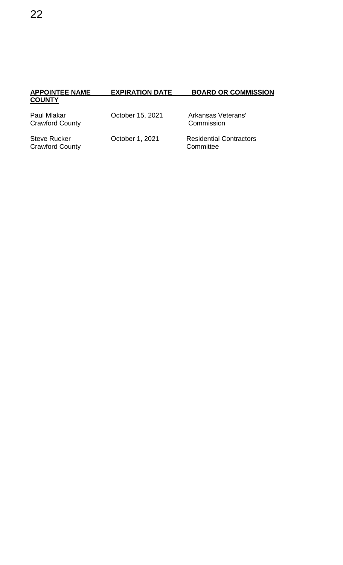| <b>COUNTY</b>                                 |                  |                                             |
|-----------------------------------------------|------------------|---------------------------------------------|
| Paul Mlakar<br><b>Crawford County</b>         | October 15, 2021 | Arkansas Veterans'<br>Commission            |
| <b>Steve Rucker</b><br><b>Crawford County</b> | October 1, 2021  | <b>Residential Contractors</b><br>Committee |

**APPOINTEE NAME EXPIRATION DATE BOARD OR COMMISSION**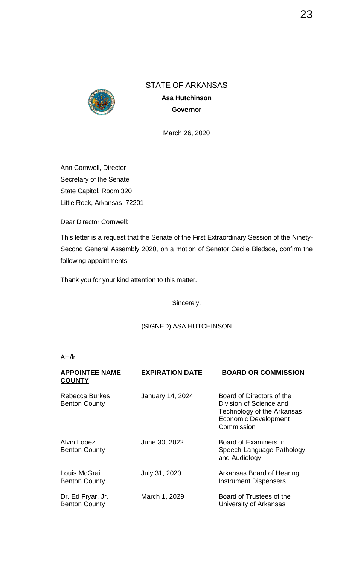

**Asa Hutchinson Governor**

March 26, 2020

Ann Cornwell, Director Secretary of the Senate State Capitol, Room 320 Little Rock, Arkansas 72201

Dear Director Cornwell:

This letter is a request that the Senate of the First Extraordinary Session of the Ninety-Second General Assembly 2020, on a motion of Senator Cecile Bledsoe, confirm the following appointments.

Thank you for your kind attention to this matter.

Sincerely,

#### (SIGNED) ASA HUTCHINSON

| <b>APPOINTEE NAME</b><br><b>COUNTY</b>        | <b>EXPIRATION DATE</b>  | <b>BOARD OR COMMISSION</b>                                                                                                      |
|-----------------------------------------------|-------------------------|---------------------------------------------------------------------------------------------------------------------------------|
| <b>Rebecca Burkes</b><br><b>Benton County</b> | <b>January 14, 2024</b> | Board of Directors of the<br>Division of Science and<br>Technology of the Arkansas<br><b>Economic Development</b><br>Commission |
| Alvin Lopez<br><b>Benton County</b>           | June 30, 2022           | Board of Examiners in<br>Speech-Language Pathology<br>and Audiology                                                             |
| Louis McGrail<br><b>Benton County</b>         | July 31, 2020           | Arkansas Board of Hearing<br><b>Instrument Dispensers</b>                                                                       |
| Dr. Ed Fryar, Jr.<br><b>Benton County</b>     | March 1, 2029           | Board of Trustees of the<br>University of Arkansas                                                                              |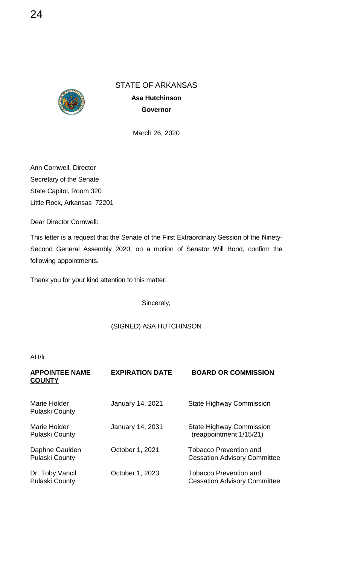

**Asa Hutchinson Governor**

March 26, 2020

Ann Cornwell, Director Secretary of the Senate State Capitol, Room 320 Little Rock, Arkansas 72201

Dear Director Cornwell:

This letter is a request that the Senate of the First Extraordinary Session of the Ninety-Second General Assembly 2020, on a motion of Senator Will Bond, confirm the following appointments.

Thank you for your kind attention to this matter.

Sincerely,

#### (SIGNED) ASA HUTCHINSON

| <b>APPOINTEE NAME</b> | <b>EXPIRATION DATE</b>  | <b>BOARD OR COMMISSION</b>          |
|-----------------------|-------------------------|-------------------------------------|
| <b>COUNTY</b>         |                         |                                     |
|                       |                         |                                     |
| Marie Holder          | January 14, 2021        | <b>State Highway Commission</b>     |
| <b>Pulaski County</b> |                         |                                     |
| Marie Holder          | <b>January 14, 2031</b> | <b>State Highway Commission</b>     |
| <b>Pulaski County</b> |                         | (reappointment 1/15/21)             |
|                       |                         |                                     |
| Daphne Gaulden        | October 1, 2021         | <b>Tobacco Prevention and</b>       |
| <b>Pulaski County</b> |                         | <b>Cessation Advisory Committee</b> |
| Dr. Toby Vancil       | October 1, 2023         | <b>Tobacco Prevention and</b>       |
| <b>Pulaski County</b> |                         | <b>Cessation Advisory Committee</b> |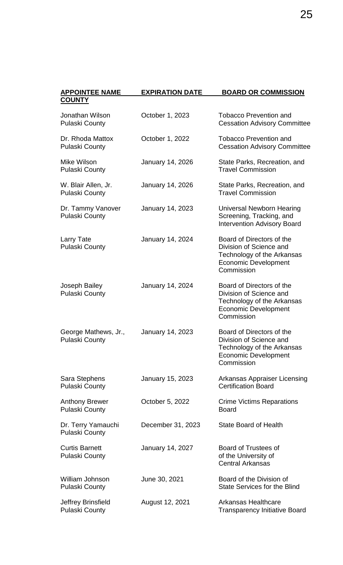| <b>APPOINTEE NAME</b><br><b>COUNTY</b>         | <b>EXPIRATION DATE</b>  | BOARD OR COMMISSION                                                                                                             |
|------------------------------------------------|-------------------------|---------------------------------------------------------------------------------------------------------------------------------|
| Jonathan Wilson<br><b>Pulaski County</b>       | October 1, 2023         | <b>Tobacco Prevention and</b><br><b>Cessation Advisory Committee</b>                                                            |
| Dr. Rhoda Mattox<br><b>Pulaski County</b>      | October 1, 2022         | <b>Tobacco Prevention and</b><br><b>Cessation Advisory Committee</b>                                                            |
| Mike Wilson<br><b>Pulaski County</b>           | January 14, 2026        | State Parks, Recreation, and<br><b>Travel Commission</b>                                                                        |
| W. Blair Allen, Jr.<br><b>Pulaski County</b>   | January 14, 2026        | State Parks, Recreation, and<br><b>Travel Commission</b>                                                                        |
| Dr. Tammy Vanover<br><b>Pulaski County</b>     | January 14, 2023        | Universal Newborn Hearing<br>Screening, Tracking, and<br><b>Intervention Advisory Board</b>                                     |
| Larry Tate<br><b>Pulaski County</b>            | January 14, 2024        | Board of Directors of the<br>Division of Science and<br>Technology of the Arkansas<br><b>Economic Development</b><br>Commission |
| Joseph Bailey<br><b>Pulaski County</b>         | January 14, 2024        | Board of Directors of the<br>Division of Science and<br>Technology of the Arkansas<br><b>Economic Development</b><br>Commission |
| George Mathews, Jr.,<br><b>Pulaski County</b>  | <b>January 14, 2023</b> | Board of Directors of the<br>Division of Science and<br>Technology of the Arkansas<br><b>Economic Development</b><br>Commission |
| Sara Stephens<br><b>Pulaski County</b>         | January 15, 2023        | <b>Arkansas Appraiser Licensing</b><br><b>Certification Board</b>                                                               |
| <b>Anthony Brewer</b><br><b>Pulaski County</b> | October 5, 2022         | <b>Crime Victims Reparations</b><br><b>Board</b>                                                                                |
| Dr. Terry Yamauchi<br><b>Pulaski County</b>    | December 31, 2023       | <b>State Board of Health</b>                                                                                                    |
| <b>Curtis Barnett</b><br><b>Pulaski County</b> | January 14, 2027        | <b>Board of Trustees of</b><br>of the University of<br><b>Central Arkansas</b>                                                  |
| William Johnson<br><b>Pulaski County</b>       | June 30, 2021           | Board of the Division of<br><b>State Services for the Blind</b>                                                                 |
| Jeffrey Brinsfield<br><b>Pulaski County</b>    | August 12, 2021         | <b>Arkansas Healthcare</b><br><b>Transparency Initiative Board</b>                                                              |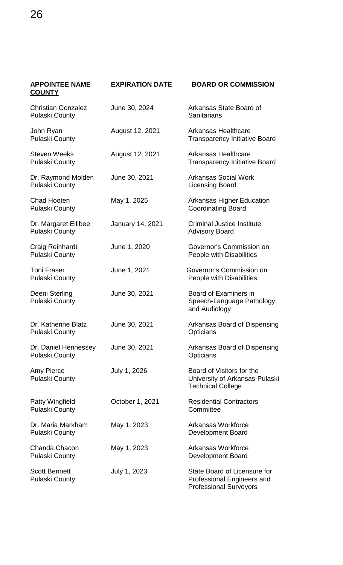| <b>APPOINTEE NAME</b>                              | <b>EXPIRATION DATE</b> | <b>BOARD OR COMMISSION</b>                                                                  |
|----------------------------------------------------|------------------------|---------------------------------------------------------------------------------------------|
| <b>COUNTY</b>                                      |                        |                                                                                             |
| <b>Christian Gonzalez</b><br><b>Pulaski County</b> | June 30, 2024          | Arkansas State Board of<br>Sanitarians                                                      |
| John Ryan<br><b>Pulaski County</b>                 | August 12, 2021        | <b>Arkansas Healthcare</b><br><b>Transparency Initiative Board</b>                          |
| <b>Steven Weeks</b><br><b>Pulaski County</b>       | August 12, 2021        | <b>Arkansas Healthcare</b><br><b>Transparency Initiative Board</b>                          |
| Dr. Raymond Molden<br><b>Pulaski County</b>        | June 30, 2021          | <b>Arkansas Social Work</b><br><b>Licensing Board</b>                                       |
| <b>Chad Hooten</b><br><b>Pulaski County</b>        | May 1, 2025            | <b>Arkansas Higher Education</b><br><b>Coordinating Board</b>                               |
| Dr. Margaret Ellibee<br><b>Pulaski County</b>      | January 14, 2021       | <b>Criminal Justice Institute</b><br><b>Advisory Board</b>                                  |
| Craig Reinhardt<br><b>Pulaski County</b>           | June 1, 2020           | Governor's Commission on<br>People with Disabilities                                        |
| <b>Toni Fraser</b><br><b>Pulaski County</b>        | June 1, 2021           | Governor's Commission on<br>People with Disabilities                                        |
| Deeni Sterling<br><b>Pulaski County</b>            | June 30, 2021          | Board of Examiners in<br>Speech-Language Pathology<br>and Audiology                         |
| Dr. Katherine Blatz<br><b>Pulaski County</b>       | June 30, 2021          | Arkansas Board of Dispensing<br>Opticians                                                   |
| Dr. Daniel Hennessey<br><b>Pulaski County</b>      | June 30, 2021          | Arkansas Board of Dispensing<br>Opticians                                                   |
| <b>Amy Pierce</b><br><b>Pulaski County</b>         | July 1, 2026           | Board of Visitors for the<br>University of Arkansas-Pulaski<br><b>Technical College</b>     |
| Patty Wingfield<br><b>Pulaski County</b>           | October 1, 2021        | <b>Residential Contractors</b><br>Committee                                                 |
| Dr. Maria Markham<br><b>Pulaski County</b>         | May 1, 2023            | Arkansas Workforce<br>Development Board                                                     |
| Chanda Chacon<br><b>Pulaski County</b>             | May 1, 2023            | Arkansas Workforce<br><b>Development Board</b>                                              |
| <b>Scott Bennett</b><br><b>Pulaski County</b>      | July 1, 2023           | State Board of Licensure for<br>Professional Engineers and<br><b>Professional Surveyors</b> |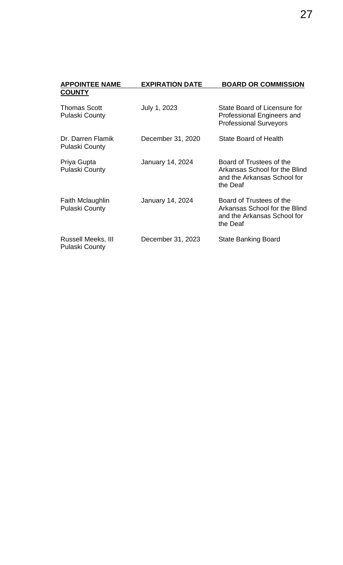| <b>APPOINTEE NAME</b>                            | <b>EXPIRATION DATE</b> | <b>BOARD OR COMMISSION</b>                                                                           |
|--------------------------------------------------|------------------------|------------------------------------------------------------------------------------------------------|
| <b>COUNTY</b>                                    |                        |                                                                                                      |
| <b>Thomas Scott</b><br><b>Pulaski County</b>     | July 1, 2023           | State Board of Licensure for<br>Professional Engineers and<br><b>Professional Surveyors</b>          |
| Dr. Darren Flamik<br><b>Pulaski County</b>       | December 31, 2020      | State Board of Health                                                                                |
| Priya Gupta<br><b>Pulaski County</b>             | January 14, 2024       | Board of Trustees of the<br>Arkansas School for the Blind<br>and the Arkansas School for<br>the Deaf |
| <b>Faith Mclaughlin</b><br><b>Pulaski County</b> | January 14, 2024       | Board of Trustees of the<br>Arkansas School for the Blind<br>and the Arkansas School for<br>the Deaf |
| Russell Meeks, III<br><b>Pulaski County</b>      | December 31, 2023      | <b>State Banking Board</b>                                                                           |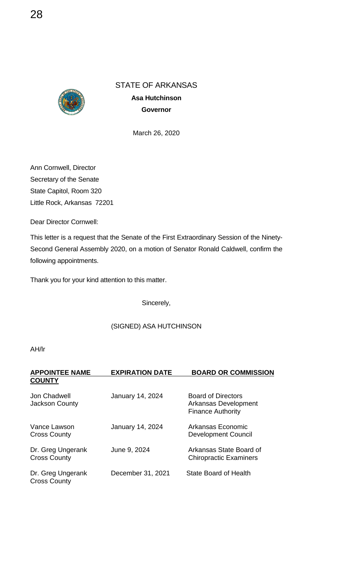

**Asa Hutchinson Governor**

March 26, 2020

Ann Cornwell, Director Secretary of the Senate State Capitol, Room 320 Little Rock, Arkansas 72201

Dear Director Cornwell:

This letter is a request that the Senate of the First Extraordinary Session of the Ninety-Second General Assembly 2020, on a motion of Senator Ronald Caldwell, confirm the following appointments.

Thank you for your kind attention to this matter.

Sincerely,

#### (SIGNED) ASA HUTCHINSON

| <b>APPOINTEE NAME</b><br><b>COUNTY</b>   | <b>EXPIRATION DATE</b>  | <b>BOARD OR COMMISSION</b>                                                    |
|------------------------------------------|-------------------------|-------------------------------------------------------------------------------|
| Jon Chadwell<br><b>Jackson County</b>    | January 14, 2024        | <b>Board of Directors</b><br>Arkansas Development<br><b>Finance Authority</b> |
| Vance Lawson<br><b>Cross County</b>      | <b>January 14, 2024</b> | Arkansas Economic<br><b>Development Council</b>                               |
| Dr. Greg Ungerank<br><b>Cross County</b> | June 9, 2024            | Arkansas State Board of<br><b>Chiropractic Examiners</b>                      |
| Dr. Greg Ungerank<br><b>Cross County</b> | December 31, 2021       | <b>State Board of Health</b>                                                  |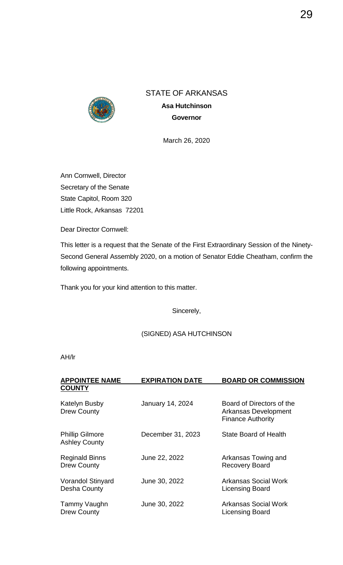

STATE OF ARKANSAS **Asa Hutchinson Governor**

March 26, 2020

Ann Cornwell, Director Secretary of the Senate State Capitol, Room 320 Little Rock, Arkansas 72201

Dear Director Cornwell:

This letter is a request that the Senate of the First Extraordinary Session of the Ninety-Second General Assembly 2020, on a motion of Senator Eddie Cheatham, confirm the following appointments.

Thank you for your kind attention to this matter.

Sincerely,

#### (SIGNED) ASA HUTCHINSON

| <b>APPOINTEE NAME</b>                          | <b>EXPIRATION DATE</b>  | <b>BOARD OR COMMISSION</b>                                                    |
|------------------------------------------------|-------------------------|-------------------------------------------------------------------------------|
| <b>COUNTY</b>                                  |                         |                                                                               |
| <b>Katelyn Busby</b><br><b>Drew County</b>     | <b>January 14, 2024</b> | Board of Directors of the<br>Arkansas Development<br><b>Finance Authority</b> |
| <b>Phillip Gilmore</b><br><b>Ashley County</b> | December 31, 2023       | State Board of Health                                                         |
| <b>Reginald Binns</b><br><b>Drew County</b>    | June 22, 2022           | Arkansas Towing and<br><b>Recovery Board</b>                                  |
| <b>Vorandol Stinyard</b><br>Desha County       | June 30, 2022           | Arkansas Social Work<br><b>Licensing Board</b>                                |
| Tammy Vaughn<br><b>Drew County</b>             | June 30, 2022           | Arkansas Social Work<br><b>Licensing Board</b>                                |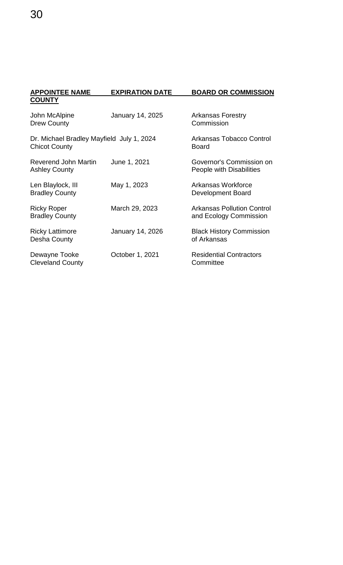| <b>APPOINTEE NAME</b>                                             | <b>EXPIRATION DATE</b> | <b>BOARD OR COMMISSION</b>                                  |
|-------------------------------------------------------------------|------------------------|-------------------------------------------------------------|
| <b>COUNTY</b>                                                     |                        |                                                             |
| John McAlpine<br><b>Drew County</b>                               | January 14, 2025       | <b>Arkansas Forestry</b><br>Commission                      |
| Dr. Michael Bradley Mayfield July 1, 2024<br><b>Chicot County</b> |                        | <b>Arkansas Tobacco Control</b><br><b>Board</b>             |
| Reverend John Martin<br><b>Ashley County</b>                      | June 1, 2021           | Governor's Commission on<br>People with Disabilities        |
| Len Blaylock, III<br><b>Bradley County</b>                        | May 1, 2023            | Arkansas Workforce<br>Development Board                     |
| <b>Ricky Roper</b><br><b>Bradley County</b>                       | March 29, 2023         | <b>Arkansas Pollution Control</b><br>and Ecology Commission |
| <b>Ricky Lattimore</b><br>Desha County                            | January 14, 2026       | <b>Black History Commission</b><br>of Arkansas              |
| Dewayne Tooke<br><b>Cleveland County</b>                          | October 1, 2021        | <b>Residential Contractors</b><br>Committee                 |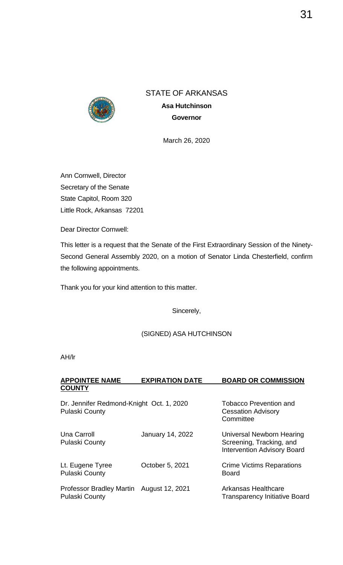

STATE OF ARKANSAS **Asa Hutchinson Governor**

March 26, 2020

Ann Cornwell, Director Secretary of the Senate State Capitol, Room 320 Little Rock, Arkansas 72201

Dear Director Cornwell:

This letter is a request that the Senate of the First Extraordinary Session of the Ninety-Second General Assembly 2020, on a motion of Senator Linda Chesterfield, confirm the following appointments.

Thank you for your kind attention to this matter.

Sincerely,

#### (SIGNED) ASA HUTCHINSON

AH/lr

| <b>APPOINTEE NAME</b> | <b>EXPIRATION DATE</b> | <b>BOARD OR COMMISSION</b> |
|-----------------------|------------------------|----------------------------|
| <b>COUNTY</b>         |                        |                            |
|                       |                        |                            |

Dr. Jennifer Redmond-Knight Oct. 1, 2020 Tobacco Prevention and<br>Pulaski County Cessation Advisory **Cessation Advisory Committee** Una Carroll **Vanuary 14, 2022** Universal Newborn Hearing<br>
Pulaski County **Carroll County** Screening, Tracking, and Screening, Tracking, and Intervention Advisory Board Lt. Eugene Tyree Crime Victims Reparations<br>
Pulaski County<br>
Pulaski County Pulaski County Professor Bradley Martin August 12, 2021 Arkansas Healthcare Pulaski County **Transparency Initiative Board**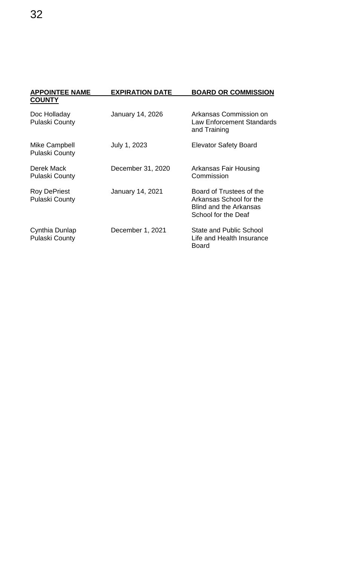| <b>APPOINTEE NAME</b><br><b>COUNTY</b>       | <b>EXPIRATION DATE</b> | <b>BOARD OR COMMISSION</b>                                                                                  |
|----------------------------------------------|------------------------|-------------------------------------------------------------------------------------------------------------|
| Doc Holladay<br><b>Pulaski County</b>        | January 14, 2026       | Arkansas Commission on<br><b>Law Enforcement Standards</b><br>and Training                                  |
| Mike Campbell<br><b>Pulaski County</b>       | July 1, 2023           | <b>Elevator Safety Board</b>                                                                                |
| Derek Mack<br><b>Pulaski County</b>          | December 31, 2020      | Arkansas Fair Housing<br>Commission                                                                         |
| <b>Roy DePriest</b><br><b>Pulaski County</b> | January 14, 2021       | Board of Trustees of the<br>Arkansas School for the<br><b>Blind and the Arkansas</b><br>School for the Deaf |
| Cynthia Dunlap<br><b>Pulaski County</b>      | December 1, 2021       | <b>State and Public School</b><br>Life and Health Insurance<br><b>Board</b>                                 |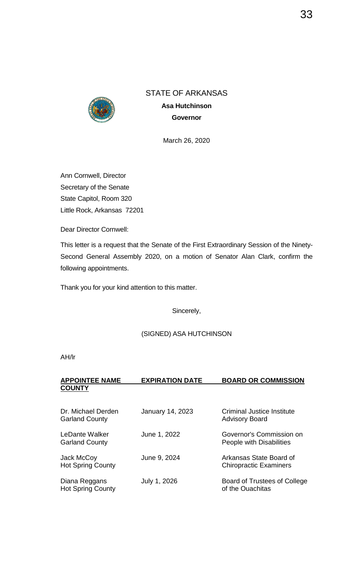

STATE OF ARKANSAS **Asa Hutchinson Governor**

March 26, 2020

Ann Cornwell, Director Secretary of the Senate State Capitol, Room 320 Little Rock, Arkansas 72201

Dear Director Cornwell:

This letter is a request that the Senate of the First Extraordinary Session of the Ninety-Second General Assembly 2020, on a motion of Senator Alan Clark, confirm the following appointments.

Thank you for your kind attention to this matter.

Sincerely,

#### (SIGNED) ASA HUTCHINSON

AH/lr

#### **APPOINTEE NAME EXPIRATION DATE BOARD OR COMMISSION COUNTY**

| Dr. Michael Derden<br><b>Garland County</b> | <b>January 14, 2023</b> | <b>Criminal Justice Institute</b><br><b>Advisory Board</b> |
|---------------------------------------------|-------------------------|------------------------------------------------------------|
| LeDante Walker<br><b>Garland County</b>     | June 1, 2022            | Governor's Commission on<br>People with Disabilities       |
| Jack McCoy<br><b>Hot Spring County</b>      | June 9, 2024            | Arkansas State Board of<br><b>Chiropractic Examiners</b>   |
| Diana Reggans<br><b>Hot Spring County</b>   | July 1, 2026            | <b>Board of Trustees of College</b><br>of the Ouachitas    |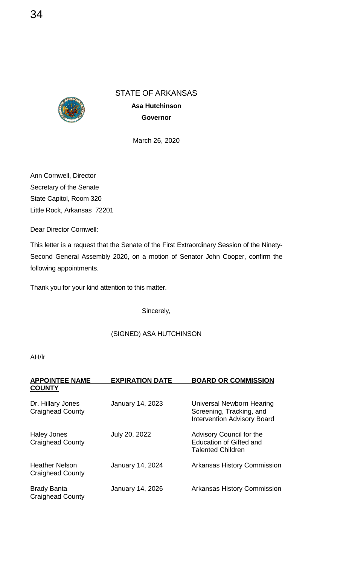

March 26, 2020

Ann Cornwell, Director Secretary of the Senate State Capitol, Room 320 Little Rock, Arkansas 72201

Dear Director Cornwell:

This letter is a request that the Senate of the First Extraordinary Session of the Ninety-Second General Assembly 2020, on a motion of Senator John Cooper, confirm the following appointments.

Thank you for your kind attention to this matter.

Sincerely,

#### (SIGNED) ASA HUTCHINSON

| <b>APPOINTEE NAME</b><br><b>COUNTY</b>           | <b>EXPIRATION DATE</b>  | <b>BOARD OR COMMISSION</b>                                                                  |
|--------------------------------------------------|-------------------------|---------------------------------------------------------------------------------------------|
| Dr. Hillary Jones<br><b>Craighead County</b>     | <b>January 14, 2023</b> | Universal Newborn Hearing<br>Screening, Tracking, and<br><b>Intervention Advisory Board</b> |
| <b>Haley Jones</b><br><b>Craighead County</b>    | July 20, 2022           | Advisory Council for the<br><b>Education of Gifted and</b><br><b>Talented Children</b>      |
| <b>Heather Nelson</b><br><b>Craighead County</b> | <b>January 14, 2024</b> | <b>Arkansas History Commission</b>                                                          |
| <b>Brady Banta</b><br><b>Craighead County</b>    | January 14, 2026        | <b>Arkansas History Commission</b>                                                          |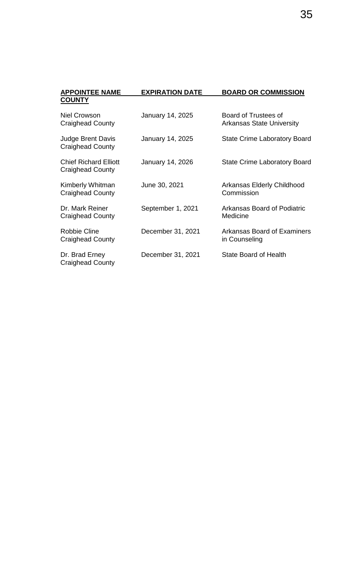| <b>APPOINTEE NAME</b>                                   | <b>EXPIRATION DATE</b> | <b>BOARD OR COMMISSION</b>                               |
|---------------------------------------------------------|------------------------|----------------------------------------------------------|
| <b>COUNTY</b>                                           |                        |                                                          |
| <b>Niel Crowson</b><br><b>Craighead County</b>          | January 14, 2025       | Board of Trustees of<br><b>Arkansas State University</b> |
| <b>Judge Brent Davis</b><br><b>Craighead County</b>     | January 14, 2025       | <b>State Crime Laboratory Board</b>                      |
| <b>Chief Richard Elliott</b><br><b>Craighead County</b> | January 14, 2026       | <b>State Crime Laboratory Board</b>                      |
| Kimberly Whitman<br><b>Craighead County</b>             | June 30, 2021          | <b>Arkansas Elderly Childhood</b><br>Commission          |
| Dr. Mark Reiner<br><b>Craighead County</b>              | September 1, 2021      | Arkansas Board of Podiatric<br>Medicine                  |
| <b>Robbie Cline</b><br>Craighead County                 | December 31, 2021      | Arkansas Board of Examiners<br>in Counseling             |
| Dr. Brad Erney<br><b>Craighead County</b>               | December 31, 2021      | State Board of Health                                    |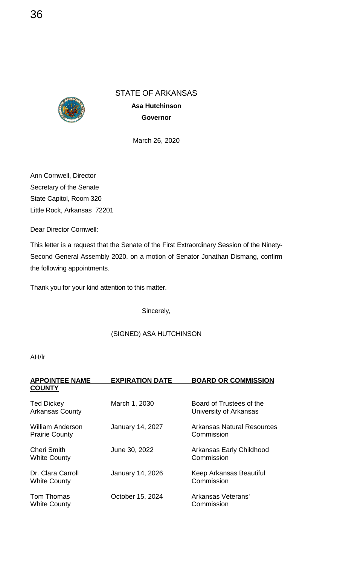

March 26, 2020

Ann Cornwell, Director Secretary of the Senate State Capitol, Room 320 Little Rock, Arkansas 72201

Dear Director Cornwell:

This letter is a request that the Senate of the First Extraordinary Session of the Ninety-Second General Assembly 2020, on a motion of Senator Jonathan Dismang, confirm the following appointments.

Thank you for your kind attention to this matter.

Sincerely,

#### (SIGNED) ASA HUTCHINSON

| <b>APPOINTEE NAME</b><br><b>COUNTY</b>      | <b>EXPIRATION DATE</b>  | <b>BOARD OR COMMISSION</b>                         |
|---------------------------------------------|-------------------------|----------------------------------------------------|
| <b>Ted Dickey</b><br><b>Arkansas County</b> | March 1, 2030           | Board of Trustees of the<br>University of Arkansas |
| William Anderson<br><b>Prairie County</b>   | <b>January 14, 2027</b> | Arkansas Natural Resources<br>Commission           |
| <b>Cheri Smith</b><br><b>White County</b>   | June 30, 2022           | Arkansas Early Childhood<br>Commission             |
| Dr. Clara Carroll<br><b>White County</b>    | <b>January 14, 2026</b> | Keep Arkansas Beautiful<br>Commission              |
| Tom Thomas<br><b>White County</b>           | October 15, 2024        | Arkansas Veterans'<br>Commission                   |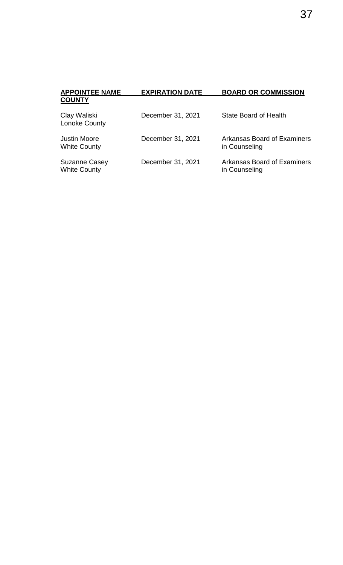| <b>APPOINTEE NAME</b>                       | <b>EXPIRATION DATE</b> | <b>BOARD OR COMMISSION</b>                          |
|---------------------------------------------|------------------------|-----------------------------------------------------|
| <b>COUNTY</b>                               |                        |                                                     |
| Clay Waliski<br><b>Lonoke County</b>        | December 31, 2021      | State Board of Health                               |
| <b>Justin Moore</b><br><b>White County</b>  | December 31, 2021      | <b>Arkansas Board of Examiners</b><br>in Counseling |
| <b>Suzanne Casey</b><br><b>White County</b> | December 31, 2021      | Arkansas Board of Examiners<br>in Counseling        |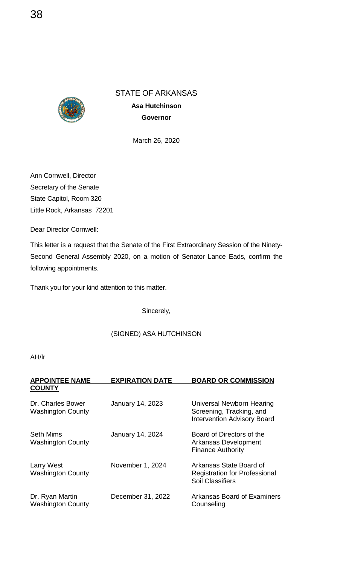

March 26, 2020

Ann Cornwell, Director Secretary of the Senate State Capitol, Room 320 Little Rock, Arkansas 72201

Dear Director Cornwell:

This letter is a request that the Senate of the First Extraordinary Session of the Ninety-Second General Assembly 2020, on a motion of Senator Lance Eads, confirm the following appointments.

Thank you for your kind attention to this matter.

Sincerely,

#### (SIGNED) ASA HUTCHINSON

| <b>APPOINTEE NAME</b><br><b>COUNTY</b>        | <b>EXPIRATION DATE</b>  | <b>BOARD OR COMMISSION</b>                                                                  |
|-----------------------------------------------|-------------------------|---------------------------------------------------------------------------------------------|
| Dr. Charles Bower<br><b>Washington County</b> | <b>January 14, 2023</b> | Universal Newborn Hearing<br>Screening, Tracking, and<br><b>Intervention Advisory Board</b> |
| <b>Seth Mims</b><br><b>Washington County</b>  | January 14, 2024        | Board of Directors of the<br>Arkansas Development<br><b>Finance Authority</b>               |
| <b>Larry West</b><br><b>Washington County</b> | November 1, 2024        | Arkansas State Board of<br><b>Registration for Professional</b><br><b>Soil Classifiers</b>  |
| Dr. Ryan Martin<br><b>Washington County</b>   | December 31, 2022       | Arkansas Board of Examiners<br>Counseling                                                   |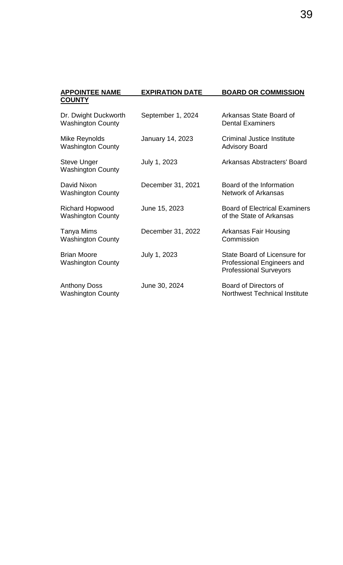| <b>APPOINTEE NAME</b>                              | <b>EXPIRATION DATE</b> | <b>BOARD OR COMMISSION</b>                                                                  |
|----------------------------------------------------|------------------------|---------------------------------------------------------------------------------------------|
| <b>COUNTY</b>                                      |                        |                                                                                             |
| Dr. Dwight Duckworth<br><b>Washington County</b>   | September 1, 2024      | Arkansas State Board of<br><b>Dental Examiners</b>                                          |
| Mike Reynolds<br><b>Washington County</b>          | January 14, 2023       | Criminal Justice Institute<br><b>Advisory Board</b>                                         |
| <b>Steve Unger</b><br><b>Washington County</b>     | July 1, 2023           | Arkansas Abstracters' Board                                                                 |
| David Nixon<br><b>Washington County</b>            | December 31, 2021      | Board of the Information<br>Network of Arkansas                                             |
| <b>Richard Hopwood</b><br><b>Washington County</b> | June 15, 2023          | <b>Board of Electrical Examiners</b><br>of the State of Arkansas                            |
| Tanya Mims<br><b>Washington County</b>             | December 31, 2022      | Arkansas Fair Housing<br>Commission                                                         |
| <b>Brian Moore</b><br><b>Washington County</b>     | July 1, 2023           | State Board of Licensure for<br>Professional Engineers and<br><b>Professional Surveyors</b> |
| <b>Anthony Doss</b><br><b>Washington County</b>    | June 30, 2024          | Board of Directors of<br><b>Northwest Technical Institute</b>                               |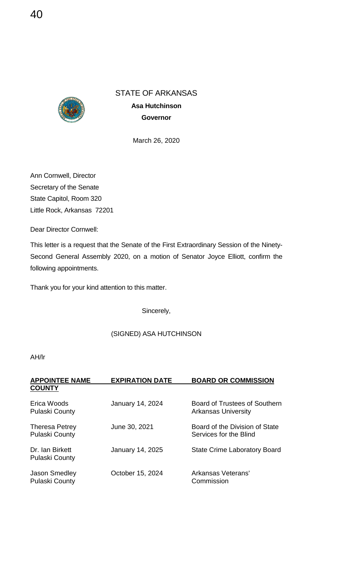

March 26, 2020

Ann Cornwell, Director Secretary of the Senate State Capitol, Room 320 Little Rock, Arkansas 72201

Dear Director Cornwell:

This letter is a request that the Senate of the First Extraordinary Session of the Ninety-Second General Assembly 2020, on a motion of Senator Joyce Elliott, confirm the following appointments.

Thank you for your kind attention to this matter.

Sincerely,

#### (SIGNED) ASA HUTCHINSON

| <b>APPOINTEE NAME</b>                    | <b>EXPIRATION DATE</b> | <b>BOARD OR COMMISSION</b>                                  |
|------------------------------------------|------------------------|-------------------------------------------------------------|
| <b>COUNTY</b>                            |                        |                                                             |
| Erica Woods<br><b>Pulaski County</b>     | January 14, 2024       | Board of Trustees of Southern<br><b>Arkansas University</b> |
| Theresa Petrey<br><b>Pulaski County</b>  | June 30, 2021          | Board of the Division of State<br>Services for the Blind    |
| Dr. Ian Birkett<br><b>Pulaski County</b> | January 14, 2025       | <b>State Crime Laboratory Board</b>                         |
| Jason Smedley<br><b>Pulaski County</b>   | October 15, 2024       | Arkansas Veterans'<br>Commission                            |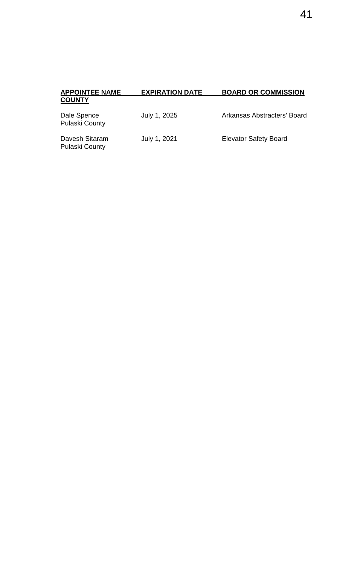| <b>APPOINTEE NAME</b>                | <b>EXPIRATION DATE</b> | <b>BOARD OR COMMISSION</b>   |
|--------------------------------------|------------------------|------------------------------|
| <b>COUNTY</b>                        |                        |                              |
| Dale Spence<br><b>Pulaski County</b> | July 1, 2025           | Arkansas Abstracters' Board  |
| Davesh Sitaram                       | July 1, 2021           | <b>Elevator Safety Board</b> |

| <b>APPOINTEE NAME</b><br><b>COUNTY</b> | <b>EXPIRATION DATE</b> | <b>BOARD OR COMMISSION</b>  |
|----------------------------------------|------------------------|-----------------------------|
| Dale Spence<br><b>Pulaski County</b>   | July 1, 2025           | Arkansas Abstracters' Board |

Pulaski County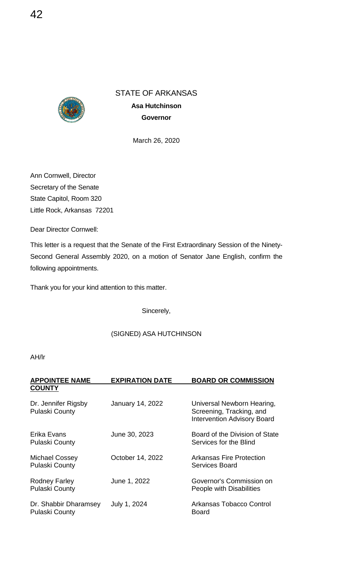

March 26, 2020

Ann Cornwell, Director Secretary of the Senate State Capitol, Room 320 Little Rock, Arkansas 72201

Dear Director Cornwell:

This letter is a request that the Senate of the First Extraordinary Session of the Ninety-Second General Assembly 2020, on a motion of Senator Jane English, confirm the following appointments.

Thank you for your kind attention to this matter.

Sincerely,

#### (SIGNED) ASA HUTCHINSON

| <b>APPOINTEE NAME</b><br><b>COUNTY</b>         | <b>EXPIRATION DATE</b>  | <b>BOARD OR COMMISSION</b>                                                                   |
|------------------------------------------------|-------------------------|----------------------------------------------------------------------------------------------|
| Dr. Jennifer Rigsby<br><b>Pulaski County</b>   | <b>January 14, 2022</b> | Universal Newborn Hearing,<br>Screening, Tracking, and<br><b>Intervention Advisory Board</b> |
| Erika Evans<br><b>Pulaski County</b>           | June 30, 2023           | Board of the Division of State<br>Services for the Blind                                     |
| <b>Michael Cossey</b><br><b>Pulaski County</b> | October 14, 2022        | Arkansas Fire Protection<br><b>Services Board</b>                                            |
| <b>Rodney Farley</b><br><b>Pulaski County</b>  | June 1, 2022            | Governor's Commission on<br>People with Disabilities                                         |
| Dr. Shabbir Dharamsey<br><b>Pulaski County</b> | July 1, 2024            | Arkansas Tobacco Control<br>Board                                                            |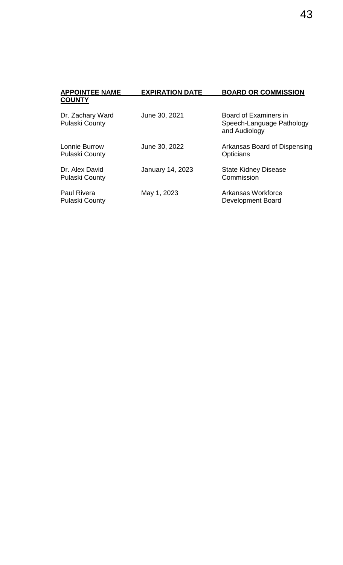| <b>APPOINTEE NAME</b><br><b>COUNTY</b>      | <b>EXPIRATION DATE</b>  | <b>BOARD OR COMMISSION</b>                                          |
|---------------------------------------------|-------------------------|---------------------------------------------------------------------|
| Dr. Zachary Ward<br><b>Pulaski County</b>   | June 30, 2021           | Board of Examiners in<br>Speech-Language Pathology<br>and Audiology |
| Lonnie Burrow<br><b>Pulaski County</b>      | June 30, 2022           | Arkansas Board of Dispensing<br>Opticians                           |
| Dr. Alex David<br><b>Pulaski County</b>     | <b>January 14, 2023</b> | <b>State Kidney Disease</b><br>Commission                           |
| <b>Paul Rivera</b><br><b>Pulaski County</b> | May 1, 2023             | Arkansas Workforce<br>Development Board                             |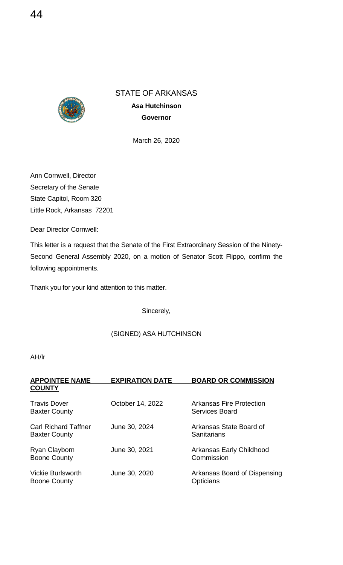

March 26, 2020

Ann Cornwell, Director Secretary of the Senate State Capitol, Room 320 Little Rock, Arkansas 72201

Dear Director Cornwell:

This letter is a request that the Senate of the First Extraordinary Session of the Ninety-Second General Assembly 2020, on a motion of Senator Scott Flippo, confirm the following appointments.

Thank you for your kind attention to this matter.

Sincerely,

## (SIGNED) ASA HUTCHINSON

| <b>APPOINTEE NAME</b><br><b>COUNTY</b>              | <b>EXPIRATION DATE</b> | <b>BOARD OR COMMISSION</b>                        |
|-----------------------------------------------------|------------------------|---------------------------------------------------|
|                                                     |                        |                                                   |
| <b>Travis Dover</b><br><b>Baxter County</b>         | October 14, 2022       | Arkansas Fire Protection<br><b>Services Board</b> |
| <b>Carl Richard Taffner</b><br><b>Baxter County</b> | June 30, 2024          | Arkansas State Board of<br>Sanitarians            |
| Ryan Clayborn<br><b>Boone County</b>                | June 30, 2021          | Arkansas Early Childhood<br>Commission            |
| <b>Vickie Burlsworth</b><br><b>Boone County</b>     | June 30, 2020          | Arkansas Board of Dispensing<br>Opticians         |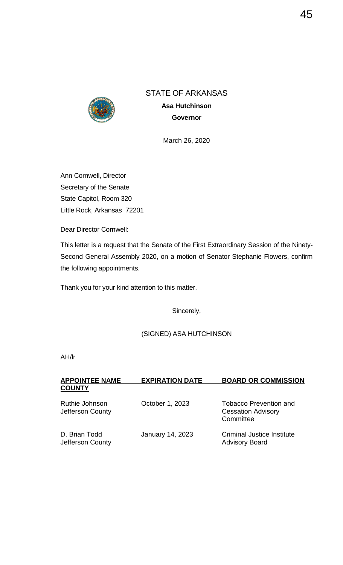

March 26, 2020

Ann Cornwell, Director Secretary of the Senate State Capitol, Room 320 Little Rock, Arkansas 72201

Dear Director Cornwell:

This letter is a request that the Senate of the First Extraordinary Session of the Ninety-Second General Assembly 2020, on a motion of Senator Stephanie Flowers, confirm the following appointments.

Thank you for your kind attention to this matter.

Sincerely,

## (SIGNED) ASA HUTCHINSON

| <b>APPOINTEE NAME</b>                     | <b>EXPIRATION DATE</b>  | <b>BOARD OR COMMISSION</b>                                              |
|-------------------------------------------|-------------------------|-------------------------------------------------------------------------|
| <b>COUNTY</b>                             |                         |                                                                         |
| <b>Ruthie Johnson</b><br>Jefferson County | October 1, 2023         | <b>Tobacco Prevention and</b><br><b>Cessation Advisory</b><br>Committee |
| D. Brian Todd<br>Jefferson County         | <b>January 14, 2023</b> | <b>Criminal Justice Institute</b><br><b>Advisory Board</b>              |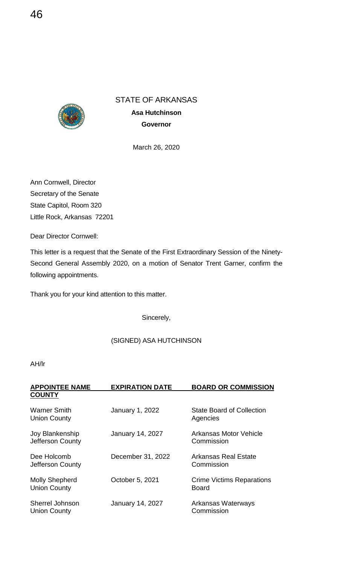

**Asa Hutchinson Governor**

March 26, 2020

Ann Cornwell, Director Secretary of the Senate State Capitol, Room 320 Little Rock, Arkansas 72201

Dear Director Cornwell:

This letter is a request that the Senate of the First Extraordinary Session of the Ninety-Second General Assembly 2020, on a motion of Senator Trent Garner, confirm the following appointments.

Thank you for your kind attention to this matter.

Sincerely,

## (SIGNED) ASA HUTCHINSON

| <b>APPOINTEE NAME</b><br><b>COUNTY</b>       | <b>EXPIRATION DATE</b>  | <b>BOARD OR COMMISSION</b>                       |
|----------------------------------------------|-------------------------|--------------------------------------------------|
| <b>Warner Smith</b><br><b>Union County</b>   | January 1, 2022         | State Board of Collection<br>Agencies            |
| Joy Blankenship<br>Jefferson County          | <b>January 14, 2027</b> | Arkansas Motor Vehicle<br>Commission             |
| Dee Holcomb<br>Jefferson County              | December 31, 2022       | <b>Arkansas Real Estate</b><br>Commission        |
| <b>Molly Shepherd</b><br><b>Union County</b> | October 5, 2021         | <b>Crime Victims Reparations</b><br><b>Board</b> |
| Sherrel Johnson<br><b>Union County</b>       | <b>January 14, 2027</b> | Arkansas Waterways<br>Commission                 |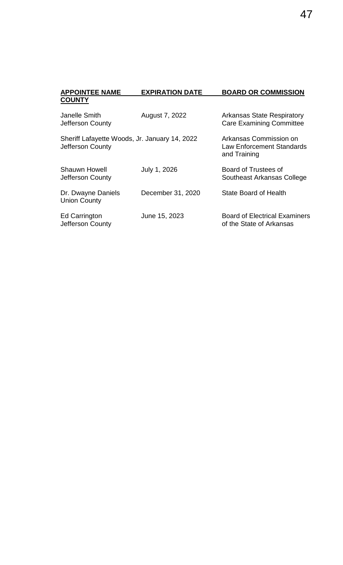| лг ологен илие                                                    | ЕЛІ ІІЛІІУІ РАІЕ  | ייטוטטווייטט טוא ש                                                         |
|-------------------------------------------------------------------|-------------------|----------------------------------------------------------------------------|
| <b>COUNTY</b>                                                     |                   |                                                                            |
| Janelle Smith<br>Jefferson County                                 | August 7, 2022    | <b>Arkansas State Respiratory</b><br><b>Care Examining Committee</b>       |
| Sheriff Lafayette Woods, Jr. January 14, 2022<br>Jefferson County |                   | Arkansas Commission on<br><b>Law Enforcement Standards</b><br>and Training |
| Shauwn Howell<br>Jefferson County                                 | July 1, 2026      | Board of Trustees of<br>Southeast Arkansas College                         |
| Dr. Dwayne Daniels<br><b>Union County</b>                         | December 31, 2020 | <b>State Board of Health</b>                                               |
| <b>Ed Carrington</b><br>Jefferson County                          | June 15, 2023     | <b>Board of Electrical Examiners</b><br>of the State of Arkansas           |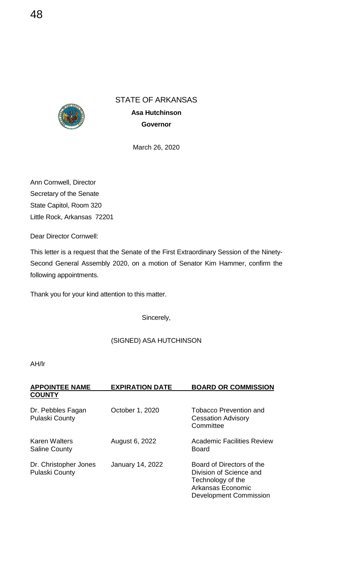

**Asa Hutchinson Governor**

March 26, 2020

Ann Cornwell, Director Secretary of the Senate State Capitol, Room 320 Little Rock, Arkansas 72201

Dear Director Cornwell:

This letter is a request that the Senate of the First Extraordinary Session of the Ninety-Second General Assembly 2020, on a motion of Senator Kim Hammer, confirm the following appointments.

Thank you for your kind attention to this matter.

Sincerely,

## (SIGNED) ASA HUTCHINSON

| <b>APPOINTEE NAME</b><br><b>COUNTY</b>         | <b>EXPIRATION DATE</b> | <b>BOARD OR COMMISSION</b>                                                                                                      |
|------------------------------------------------|------------------------|---------------------------------------------------------------------------------------------------------------------------------|
| Dr. Pebbles Fagan<br><b>Pulaski County</b>     | October 1, 2020        | <b>Tobacco Prevention and</b><br><b>Cessation Advisory</b><br>Committee                                                         |
| Karen Walters<br><b>Saline County</b>          | August 6, 2022         | Academic Facilities Review<br><b>Board</b>                                                                                      |
| Dr. Christopher Jones<br><b>Pulaski County</b> | January 14, 2022       | Board of Directors of the<br>Division of Science and<br>Technology of the<br>Arkansas Economic<br><b>Development Commission</b> |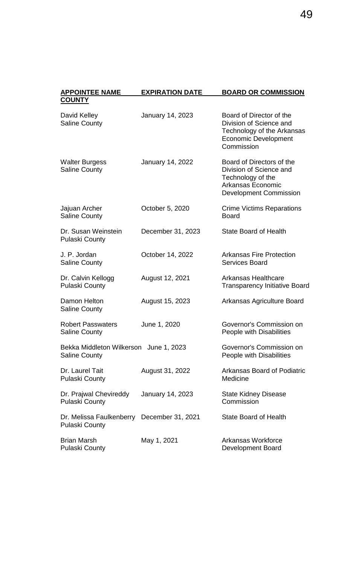| <b>APPOINTEE NAME</b><br><b>COUNTY</b>                         | <b>EXPIRATION DATE</b>  | <b>BOARD OR COMMISSION</b>                                                                                                             |
|----------------------------------------------------------------|-------------------------|----------------------------------------------------------------------------------------------------------------------------------------|
| David Kelley<br><b>Saline County</b>                           | January 14, 2023        | Board of Director of the<br>Division of Science and<br>Technology of the Arkansas<br><b>Economic Development</b><br>Commission         |
| <b>Walter Burgess</b><br><b>Saline County</b>                  | January 14, 2022        | Board of Directors of the<br>Division of Science and<br>Technology of the<br><b>Arkansas Economic</b><br><b>Development Commission</b> |
| Jajuan Archer<br><b>Saline County</b>                          | October 5, 2020         | <b>Crime Victims Reparations</b><br><b>Board</b>                                                                                       |
| Dr. Susan Weinstein<br><b>Pulaski County</b>                   | December 31, 2023       | <b>State Board of Health</b>                                                                                                           |
| J. P. Jordan<br><b>Saline County</b>                           | October 14, 2022        | <b>Arkansas Fire Protection</b><br><b>Services Board</b>                                                                               |
| Dr. Calvin Kellogg<br><b>Pulaski County</b>                    | August 12, 2021         | <b>Arkansas Healthcare</b><br><b>Transparency Initiative Board</b>                                                                     |
| Damon Helton<br><b>Saline County</b>                           | August 15, 2023         | Arkansas Agriculture Board                                                                                                             |
| <b>Robert Passwaters</b><br><b>Saline County</b>               | June 1, 2020            | Governor's Commission on<br>People with Disabilities                                                                                   |
| Bekka Middleton Wilkerson June 1, 2023<br><b>Saline County</b> |                         | Governor's Commission on<br>People with Disabilities                                                                                   |
| Dr. Laurel Tait<br><b>Pulaski County</b>                       | August 31, 2022         | <b>Arkansas Board of Podiatric</b><br>Medicine                                                                                         |
| Dr. Prajwal Chevireddy<br><b>Pulaski County</b>                | <b>January 14, 2023</b> | <b>State Kidney Disease</b><br>Commission                                                                                              |
| Dr. Melissa Faulkenberry<br><b>Pulaski County</b>              | December 31, 2021       | <b>State Board of Health</b>                                                                                                           |
| <b>Brian Marsh</b><br><b>Pulaski County</b>                    | May 1, 2021             | Arkansas Workforce<br><b>Development Board</b>                                                                                         |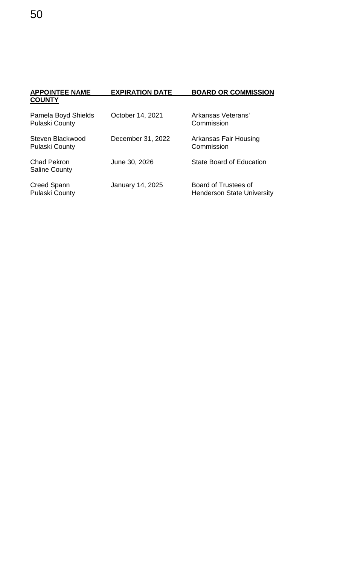| <b>APPOINTEE NAME</b>                        | <b>EXPIRATION DATE</b>  | <b>BOARD OR COMMISSION</b>                                |
|----------------------------------------------|-------------------------|-----------------------------------------------------------|
| <b>COUNTY</b>                                |                         |                                                           |
| Pamela Boyd Shields<br><b>Pulaski County</b> | October 14, 2021        | Arkansas Veterans'<br>Commission                          |
| Steven Blackwood<br><b>Pulaski County</b>    | December 31, 2022       | Arkansas Fair Housing<br>Commission                       |
| <b>Chad Pekron</b><br><b>Saline County</b>   | June 30, 2026           | <b>State Board of Education</b>                           |
| Creed Spann<br><b>Pulaski County</b>         | <b>January 14, 2025</b> | Board of Trustees of<br><b>Henderson State University</b> |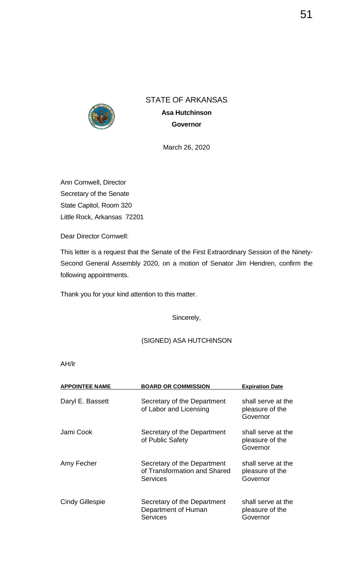

**Asa Hutchinson Governor**

March 26, 2020

Ann Cornwell, Director Secretary of the Senate State Capitol, Room 320 Little Rock, Arkansas 72201

Dear Director Cornwell:

This letter is a request that the Senate of the First Extraordinary Session of the Ninety-Second General Assembly 2020, on a motion of Senator Jim Hendren, confirm the following appointments.

Thank you for your kind attention to this matter.

Sincerely,

## (SIGNED) ASA HUTCHINSON

| <b>APPOINTEE NAME</b>  | <b>BOARD OR COMMISSION</b>                                                     | <b>Expiration Date</b>                            |
|------------------------|--------------------------------------------------------------------------------|---------------------------------------------------|
| Daryl E. Bassett       | Secretary of the Department<br>of Labor and Licensing                          | shall serve at the<br>pleasure of the<br>Governor |
| Jami Cook              | Secretary of the Department<br>of Public Safety                                | shall serve at the<br>pleasure of the<br>Governor |
| Amy Fecher             | Secretary of the Department<br>of Transformation and Shared<br><b>Services</b> | shall serve at the<br>pleasure of the<br>Governor |
| <b>Cindy Gillespie</b> | Secretary of the Department<br>Department of Human<br><b>Services</b>          | shall serve at the<br>pleasure of the<br>Governor |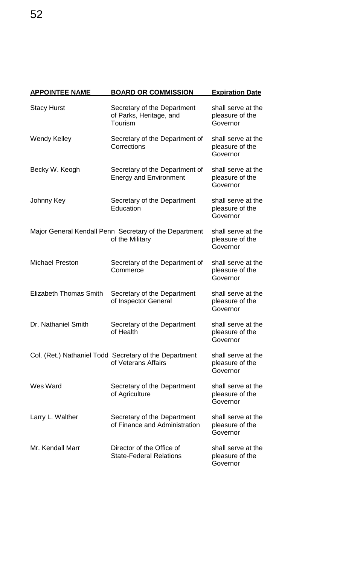| <b>APPOINTEE NAME</b>         | <b>BOARD OR COMMISSION</b>                                                    | <b>Expiration Date</b>                            |
|-------------------------------|-------------------------------------------------------------------------------|---------------------------------------------------|
| <b>Stacy Hurst</b>            | Secretary of the Department<br>of Parks, Heritage, and<br>Tourism             | shall serve at the<br>pleasure of the<br>Governor |
| <b>Wendy Kelley</b>           | Secretary of the Department of<br>Corrections                                 | shall serve at the<br>pleasure of the<br>Governor |
| Becky W. Keogh                | Secretary of the Department of<br><b>Energy and Environment</b>               | shall serve at the<br>pleasure of the<br>Governor |
| Johnny Key                    | Secretary of the Department<br>Education                                      | shall serve at the<br>pleasure of the<br>Governor |
|                               | Major General Kendall Penn Secretary of the Department<br>of the Military     | shall serve at the<br>pleasure of the<br>Governor |
| <b>Michael Preston</b>        | Secretary of the Department of<br>Commerce                                    | shall serve at the<br>pleasure of the<br>Governor |
| <b>Elizabeth Thomas Smith</b> | Secretary of the Department<br>of Inspector General                           | shall serve at the<br>pleasure of the<br>Governor |
| Dr. Nathaniel Smith           | Secretary of the Department<br>of Health                                      | shall serve at the<br>pleasure of the<br>Governor |
|                               | Col. (Ret.) Nathaniel Todd Secretary of the Department<br>of Veterans Affairs | shall serve at the<br>pleasure of the<br>Governor |
| Wes Ward                      | Secretary of the Department<br>of Agriculture                                 | shall serve at the<br>pleasure of the<br>Governor |
| Larry L. Walther              | Secretary of the Department<br>of Finance and Administration                  | shall serve at the<br>pleasure of the<br>Governor |
| Mr. Kendall Marr              | Director of the Office of<br><b>State-Federal Relations</b>                   | shall serve at the<br>pleasure of the<br>Governor |

52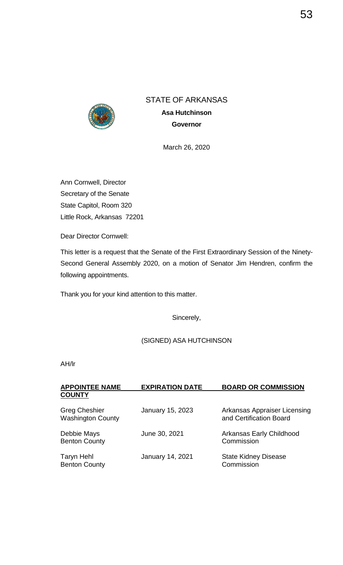

**Asa Hutchinson Governor**

March 26, 2020

Ann Cornwell, Director Secretary of the Senate State Capitol, Room 320 Little Rock, Arkansas 72201

Dear Director Cornwell:

This letter is a request that the Senate of the First Extraordinary Session of the Ninety-Second General Assembly 2020, on a motion of Senator Jim Hendren, confirm the following appointments.

Thank you for your kind attention to this matter.

Sincerely,

(SIGNED) ASA HUTCHINSON

| <b>APPOINTEE NAME</b>                            | <b>EXPIRATION DATE</b>  | <b>BOARD OR COMMISSION</b>                              |
|--------------------------------------------------|-------------------------|---------------------------------------------------------|
| <b>COUNTY</b>                                    |                         |                                                         |
| <b>Greg Cheshier</b><br><b>Washington County</b> | <b>January 15, 2023</b> | Arkansas Appraiser Licensing<br>and Certification Board |
| Debbie Mays<br><b>Benton County</b>              | June 30, 2021           | Arkansas Early Childhood<br>Commission                  |
| <b>Taryn Hehl</b><br><b>Benton County</b>        | <b>January 14, 2021</b> | <b>State Kidney Disease</b><br>Commission               |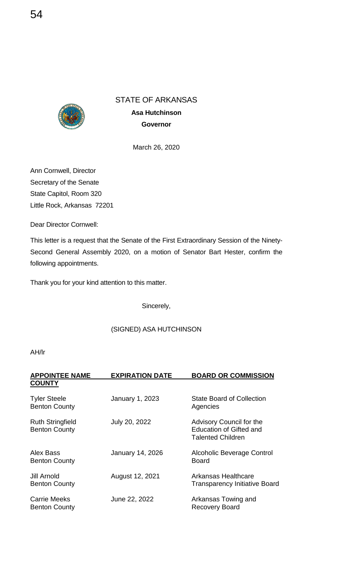

**Asa Hutchinson Governor**

March 26, 2020

Ann Cornwell, Director Secretary of the Senate State Capitol, Room 320 Little Rock, Arkansas 72201

Dear Director Cornwell:

This letter is a request that the Senate of the First Extraordinary Session of the Ninety-Second General Assembly 2020, on a motion of Senator Bart Hester, confirm the following appointments.

Thank you for your kind attention to this matter.

Sincerely,

## (SIGNED) ASA HUTCHINSON

| <b>APPOINTEE NAME</b><br><b>COUNTY</b>          | <b>EXPIRATION DATE</b> | <b>BOARD OR COMMISSION</b>                                                      |
|-------------------------------------------------|------------------------|---------------------------------------------------------------------------------|
|                                                 |                        |                                                                                 |
| <b>Tyler Steele</b><br><b>Benton County</b>     | January 1, 2023        | <b>State Board of Collection</b><br>Agencies                                    |
| <b>Ruth Stringfield</b><br><b>Benton County</b> | July 20, 2022          | Advisory Council for the<br>Education of Gifted and<br><b>Talented Children</b> |
| Alex Bass<br><b>Benton County</b>               | January 14, 2026       | <b>Alcoholic Beverage Control</b><br><b>Board</b>                               |
| Jill Arnold<br><b>Benton County</b>             | August 12, 2021        | Arkansas Healthcare<br><b>Transparency Initiative Board</b>                     |
| <b>Carrie Meeks</b><br><b>Benton County</b>     | June 22, 2022          | Arkansas Towing and<br><b>Recovery Board</b>                                    |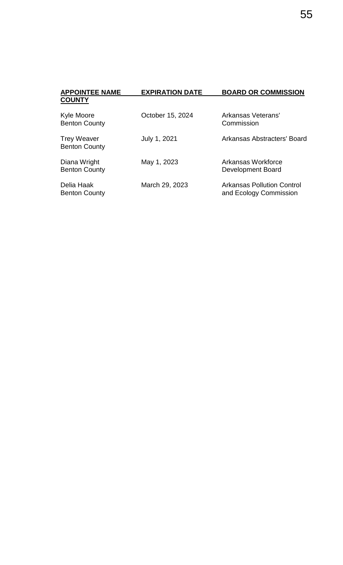| <b>APPOINTEE NAME</b>                      | <b>EXPIRATION DATE</b> | <b>BOARD OR COMMISSION</b>                                  |
|--------------------------------------------|------------------------|-------------------------------------------------------------|
| <b>COUNTY</b>                              |                        |                                                             |
| Kyle Moore<br><b>Benton County</b>         | October 15, 2024       | Arkansas Veterans'<br>Commission                            |
| <b>Trey Weaver</b><br><b>Benton County</b> | July 1, 2021           | Arkansas Abstracters' Board                                 |
| Diana Wright<br><b>Benton County</b>       | May 1, 2023            | Arkansas Workforce<br>Development Board                     |
| Delia Haak<br><b>Benton County</b>         | March 29, 2023         | <b>Arkansas Pollution Control</b><br>and Ecology Commission |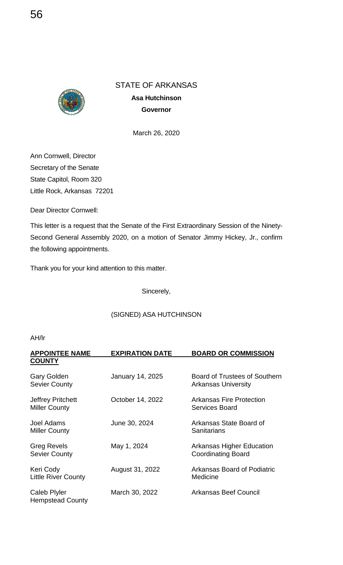

**Asa Hutchinson Governor**

March 26, 2020

Ann Cornwell, Director Secretary of the Senate State Capitol, Room 320 Little Rock, Arkansas 72201

Dear Director Cornwell:

This letter is a request that the Senate of the First Extraordinary Session of the Ninety-Second General Assembly 2020, on a motion of Senator Jimmy Hickey, Jr., confirm the following appointments.

Thank you for your kind attention to this matter.

Sincerely,

## (SIGNED) ASA HUTCHINSON

| <b>APPOINTEE NAME</b>                          | <b>EXPIRATION DATE</b> | <b>BOARD OR COMMISSION</b>                                  |
|------------------------------------------------|------------------------|-------------------------------------------------------------|
| <b>COUNTY</b>                                  |                        |                                                             |
| <b>Gary Golden</b><br><b>Sevier County</b>     | January 14, 2025       | Board of Trustees of Southern<br><b>Arkansas University</b> |
| Jeffrey Pritchett<br><b>Miller County</b>      | October 14, 2022       | <b>Arkansas Fire Protection</b><br>Services Board           |
| Joel Adams<br><b>Miller County</b>             | June 30, 2024          | Arkansas State Board of<br>Sanitarians                      |
| <b>Greg Revels</b><br><b>Sevier County</b>     | May 1, 2024            | Arkansas Higher Education<br><b>Coordinating Board</b>      |
| Keri Cody<br><b>Little River County</b>        | August 31, 2022        | Arkansas Board of Podiatric<br>Medicine                     |
| <b>Caleb Plyler</b><br><b>Hempstead County</b> | March 30, 2022         | Arkansas Beef Council                                       |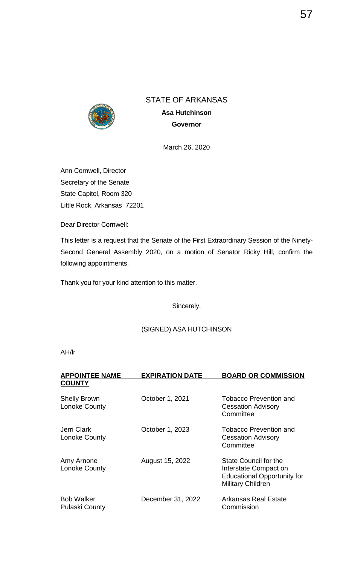

**Asa Hutchinson Governor**

March 26, 2020

Ann Cornwell, Director Secretary of the Senate State Capitol, Room 320 Little Rock, Arkansas 72201

Dear Director Cornwell:

This letter is a request that the Senate of the First Extraordinary Session of the Ninety-Second General Assembly 2020, on a motion of Senator Ricky Hill, confirm the following appointments.

Thank you for your kind attention to this matter.

Sincerely,

(SIGNED) ASA HUTCHINSON

| <b>APPOINTEE NAME</b>                      | <b>EXPIRATION DATE</b> | <b>BOARD OR COMMISSION</b>                                                                                       |
|--------------------------------------------|------------------------|------------------------------------------------------------------------------------------------------------------|
| <b>COUNTY</b>                              |                        |                                                                                                                  |
| <b>Shelly Brown</b><br>Lonoke County       | October 1, 2021        | <b>Tobacco Prevention and</b><br><b>Cessation Advisory</b><br>Committee                                          |
| Jerri Clark<br>Lonoke County               | October 1, 2023        | <b>Tobacco Prevention and</b><br><b>Cessation Advisory</b><br>Committee                                          |
| Amy Arnone<br>Lonoke County                | August 15, 2022        | State Council for the<br>Interstate Compact on<br><b>Educational Opportunity for</b><br><b>Military Children</b> |
| <b>Bob Walker</b><br><b>Pulaski County</b> | December 31, 2022      | <b>Arkansas Real Estate</b><br>Commission                                                                        |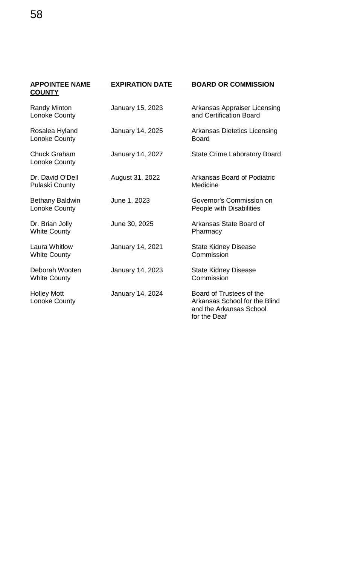| <b>APPOINTEE NAME</b>                       | <b>EXPIRATION DATE</b>  | <b>BOARD OR COMMISSION</b>                                                                           |
|---------------------------------------------|-------------------------|------------------------------------------------------------------------------------------------------|
| <b>COUNTY</b>                               |                         |                                                                                                      |
| <b>Randy Minton</b><br>Lonoke County        | January 15, 2023        | <b>Arkansas Appraiser Licensing</b><br>and Certification Board                                       |
| Rosalea Hyland<br>Lonoke County             | <b>January 14, 2025</b> | <b>Arkansas Dietetics Licensing</b><br><b>Board</b>                                                  |
| <b>Chuck Graham</b><br>Lonoke County        | January 14, 2027        | <b>State Crime Laboratory Board</b>                                                                  |
| Dr. David O'Dell<br><b>Pulaski County</b>   | August 31, 2022         | <b>Arkansas Board of Podiatric</b><br>Medicine                                                       |
| <b>Bethany Baldwin</b><br>Lonoke County     | June 1, 2023            | Governor's Commission on<br>People with Disabilities                                                 |
| Dr. Brian Jolly<br><b>White County</b>      | June 30, 2025           | Arkansas State Board of<br>Pharmacy                                                                  |
| <b>Laura Whitlow</b><br><b>White County</b> | January 14, 2021        | <b>State Kidney Disease</b><br>Commission                                                            |
| Deborah Wooten<br><b>White County</b>       | January 14, 2023        | <b>State Kidney Disease</b><br>Commission                                                            |
| <b>Holley Mott</b><br>Lonoke County         | <b>January 14, 2024</b> | Board of Trustees of the<br>Arkansas School for the Blind<br>and the Arkansas School<br>for the Deaf |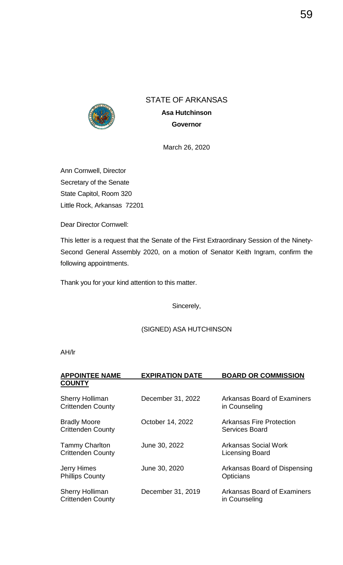

**Asa Hutchinson Governor**

March 26, 2020

Ann Cornwell, Director Secretary of the Senate State Capitol, Room 320 Little Rock, Arkansas 72201

Dear Director Cornwell:

This letter is a request that the Senate of the First Extraordinary Session of the Ninety-Second General Assembly 2020, on a motion of Senator Keith Ingram, confirm the following appointments.

Thank you for your kind attention to this matter.

Sincerely,

(SIGNED) ASA HUTCHINSON

| <b>APPOINTEE NAME</b>                              | <b>EXPIRATION DATE</b> | <b>BOARD OR COMMISSION</b>                        |
|----------------------------------------------------|------------------------|---------------------------------------------------|
| <b>COUNTY</b>                                      |                        |                                                   |
| <b>Sherry Holliman</b><br><b>Crittenden County</b> | December 31, 2022      | Arkansas Board of Examiners<br>in Counseling      |
| <b>Bradly Moore</b><br><b>Crittenden County</b>    | October 14, 2022       | <b>Arkansas Fire Protection</b><br>Services Board |
| <b>Tammy Charlton</b><br><b>Crittenden County</b>  | June 30, 2022          | Arkansas Social Work<br><b>Licensing Board</b>    |
| <b>Jerry Himes</b><br><b>Phillips County</b>       | June 30, 2020          | Arkansas Board of Dispensing<br><b>Opticians</b>  |
| <b>Sherry Holliman</b><br><b>Crittenden County</b> | December 31, 2019      | Arkansas Board of Examiners<br>in Counseling      |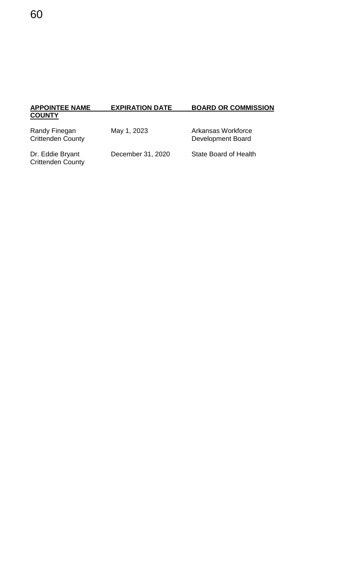## **EXPIRATION DATE BOARD OR COMMISSION APPOINTEE NAME**<br>COUNTY

| Randy Finegan            |
|--------------------------|
| <b>Crittenden County</b> |

May 1, 2023 Arkansas Workforce Development Board

Dr. Eddie Bryant<br>Crittenden County

December 31, 2020 State Board of Health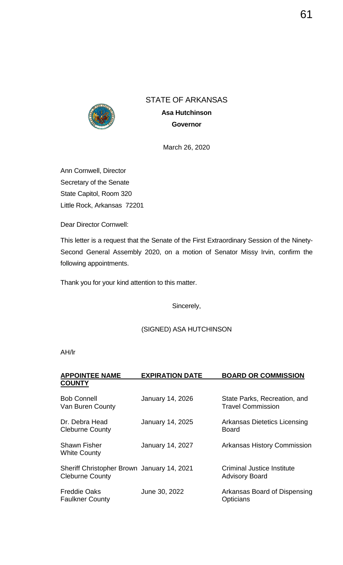

**Asa Hutchinson Governor**

March 26, 2020

Ann Cornwell, Director Secretary of the Senate State Capitol, Room 320 Little Rock, Arkansas 72201

Dear Director Cornwell:

This letter is a request that the Senate of the First Extraordinary Session of the Ninety-Second General Assembly 2020, on a motion of Senator Missy Irvin, confirm the following appointments.

Thank you for your kind attention to this matter.

Sincerely,

## (SIGNED) ASA HUTCHINSON

| <b>APPOINTEE NAME</b>                                                | <b>EXPIRATION DATE</b>  | <b>BOARD OR COMMISSION</b>                               |
|----------------------------------------------------------------------|-------------------------|----------------------------------------------------------|
| <b>COUNTY</b>                                                        |                         |                                                          |
| <b>Bob Connell</b><br>Van Buren County                               | <b>January 14, 2026</b> | State Parks, Recreation, and<br><b>Travel Commission</b> |
| Dr. Debra Head<br><b>Cleburne County</b>                             | <b>January 14, 2025</b> | <b>Arkansas Dietetics Licensing</b><br><b>Board</b>      |
| <b>Shawn Fisher</b><br><b>White County</b>                           | <b>January 14, 2027</b> | <b>Arkansas History Commission</b>                       |
| Sheriff Christopher Brown January 14, 2021<br><b>Cleburne County</b> |                         | Criminal Justice Institute<br><b>Advisory Board</b>      |
| <b>Freddie Oaks</b><br><b>Faulkner County</b>                        | June 30, 2022           | Arkansas Board of Dispensing<br>Opticians                |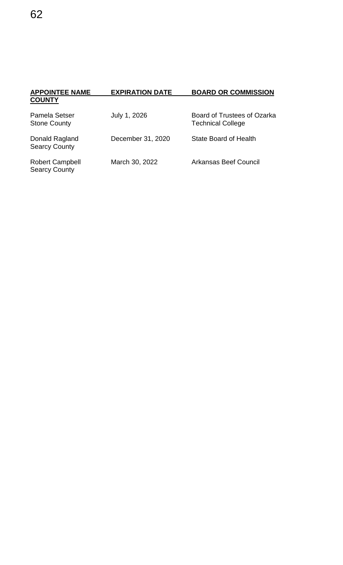| <b>APPOINTEE NAME</b><br><b>COUNTY</b>         | <b>EXPIRATION DATE</b> | <b>BOARD OR COMMISSION</b>                              |
|------------------------------------------------|------------------------|---------------------------------------------------------|
| Pamela Setser<br><b>Stone County</b>           | July 1, 2026           | Board of Trustees of Ozarka<br><b>Technical College</b> |
| Donald Ragland<br><b>Searcy County</b>         | December 31, 2020      | State Board of Health                                   |
| <b>Robert Campbell</b><br><b>Searcy County</b> | March 30, 2022         | Arkansas Beef Council                                   |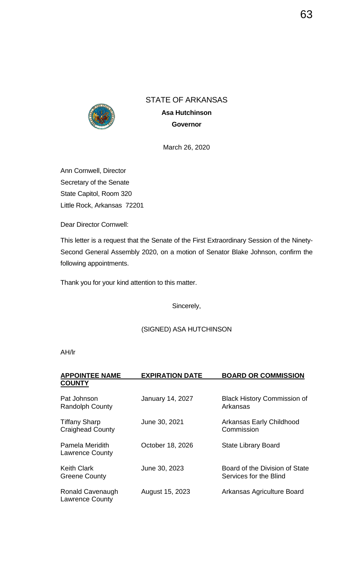

**Asa Hutchinson Governor**

March 26, 2020

Ann Cornwell, Director Secretary of the Senate State Capitol, Room 320 Little Rock, Arkansas 72201

Dear Director Cornwell:

This letter is a request that the Senate of the First Extraordinary Session of the Ninety-Second General Assembly 2020, on a motion of Senator Blake Johnson, confirm the following appointments.

Thank you for your kind attention to this matter.

Sincerely,

(SIGNED) ASA HUTCHINSON

| <b>APPOINTEE NAME</b>                           | <b>EXPIRATION DATE</b>  | <b>BOARD OR COMMISSION</b>                               |
|-------------------------------------------------|-------------------------|----------------------------------------------------------|
| <b>COUNTY</b>                                   |                         |                                                          |
| Pat Johnson<br><b>Randolph County</b>           | <b>January 14, 2027</b> | <b>Black History Commission of</b><br>Arkansas           |
| <b>Tiffany Sharp</b><br><b>Craighead County</b> | June 30, 2021           | Arkansas Early Childhood<br>Commission                   |
| Pamela Meridith<br><b>Lawrence County</b>       | October 18, 2026        | <b>State Library Board</b>                               |
| Keith Clark<br><b>Greene County</b>             | June 30, 2023           | Board of the Division of State<br>Services for the Blind |
| Ronald Cavenaugh<br><b>Lawrence County</b>      | August 15, 2023         | Arkansas Agriculture Board                               |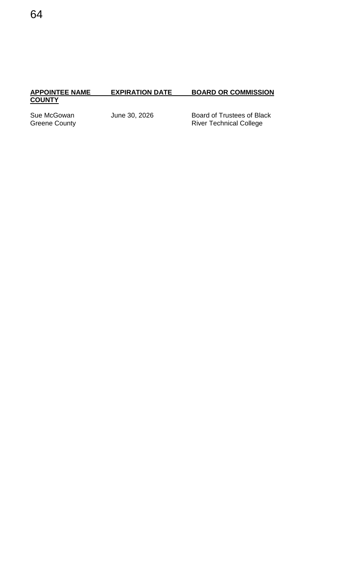# **APPOINTEE NAME**<br>COUNTY

# **EXPIRATION DATE BOARD OR COMMISSION**

Sue McGowan June 30, 2026 Board of Trustees of Black<br>Greene County Funching Board College River Technical College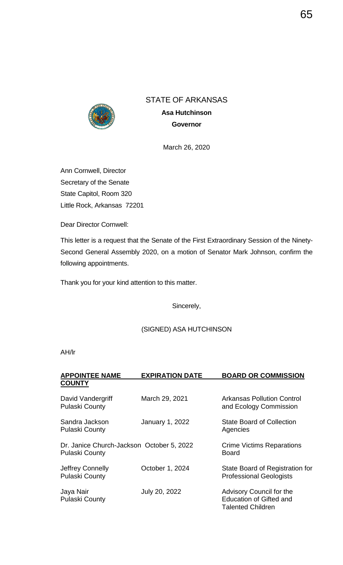

**Asa Hutchinson Governor**

March 26, 2020

Ann Cornwell, Director Secretary of the Senate State Capitol, Room 320 Little Rock, Arkansas 72201

Dear Director Cornwell:

This letter is a request that the Senate of the First Extraordinary Session of the Ninety-Second General Assembly 2020, on a motion of Senator Mark Johnson, confirm the following appointments.

Thank you for your kind attention to this matter.

Sincerely,

## (SIGNED) ASA HUTCHINSON

| <b>APPOINTEE NAME</b>                                       | <b>EXPIRATION DATE</b> | <b>BOARD OR COMMISSION</b>                                                             |
|-------------------------------------------------------------|------------------------|----------------------------------------------------------------------------------------|
| <b>COUNTY</b>                                               |                        |                                                                                        |
| David Vandergriff<br><b>Pulaski County</b>                  | March 29, 2021         | <b>Arkansas Pollution Control</b><br>and Ecology Commission                            |
| Sandra Jackson<br><b>Pulaski County</b>                     | January 1, 2022        | <b>State Board of Collection</b><br>Agencies                                           |
| Dr. Janice Church-Jackson October 5, 2022<br>Pulaski County |                        | <b>Crime Victims Reparations</b><br><b>Board</b>                                       |
| Jeffrey Connelly<br><b>Pulaski County</b>                   | October 1, 2024        | State Board of Registration for<br><b>Professional Geologists</b>                      |
| Jaya Nair<br><b>Pulaski County</b>                          | July 20, 2022          | Advisory Council for the<br><b>Education of Gifted and</b><br><b>Talented Children</b> |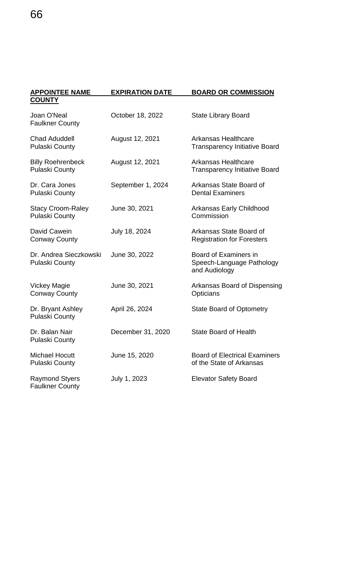| <b>APPOINTEE NAME</b>                             | <b>EXPIRATION DATE</b> | <b>BOARD OR COMMISSION</b>                                          |
|---------------------------------------------------|------------------------|---------------------------------------------------------------------|
| <b>COUNTY</b>                                     |                        |                                                                     |
| Joan O'Neal<br><b>Faulkner County</b>             | October 18, 2022       | <b>State Library Board</b>                                          |
| <b>Chad Aduddell</b><br><b>Pulaski County</b>     | August 12, 2021        | <b>Arkansas Healthcare</b><br><b>Transparency Initiative Board</b>  |
| <b>Billy Roehrenbeck</b><br><b>Pulaski County</b> | August 12, 2021        | <b>Arkansas Healthcare</b><br><b>Transparency Initiative Board</b>  |
| Dr. Cara Jones<br><b>Pulaski County</b>           | September 1, 2024      | Arkansas State Board of<br><b>Dental Examiners</b>                  |
| <b>Stacy Croom-Raley</b><br><b>Pulaski County</b> | June 30, 2021          | Arkansas Early Childhood<br>Commission                              |
| David Cawein<br><b>Conway County</b>              | July 18, 2024          | Arkansas State Board of<br><b>Registration for Foresters</b>        |
| Dr. Andrea Sieczkowski<br><b>Pulaski County</b>   | June 30, 2022          | Board of Examiners in<br>Speech-Language Pathology<br>and Audiology |
| <b>Vickey Magie</b><br><b>Conway County</b>       | June 30, 2021          | Arkansas Board of Dispensing<br>Opticians                           |
| Dr. Bryant Ashley<br><b>Pulaski County</b>        | April 26, 2024         | <b>State Board of Optometry</b>                                     |
| Dr. Balan Nair<br><b>Pulaski County</b>           | December 31, 2020      | <b>State Board of Health</b>                                        |
| <b>Michael Hocutt</b><br><b>Pulaski County</b>    | June 15, 2020          | <b>Board of Electrical Examiners</b><br>of the State of Arkansas    |
| <b>Raymond Styers</b><br><b>Faulkner County</b>   | July 1, 2023           | <b>Elevator Safety Board</b>                                        |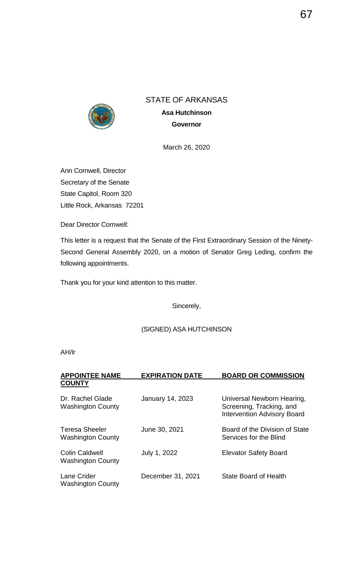

**Asa Hutchinson Governor**

March 26, 2020

Ann Cornwell, Director Secretary of the Senate State Capitol, Room 320 Little Rock, Arkansas 72201

Dear Director Cornwell:

This letter is a request that the Senate of the First Extraordinary Session of the Ninety-Second General Assembly 2020, on a motion of Senator Greg Leding, confirm the following appointments.

Thank you for your kind attention to this matter.

Sincerely,

(SIGNED) ASA HUTCHINSON

| <b>APPOINTEE NAME</b>                             | <b>EXPIRATION DATE</b>  | <b>BOARD OR COMMISSION</b>                                                                   |
|---------------------------------------------------|-------------------------|----------------------------------------------------------------------------------------------|
| <b>COUNTY</b>                                     |                         |                                                                                              |
| Dr. Rachel Glade<br><b>Washington County</b>      | <b>January 14, 2023</b> | Universal Newborn Hearing,<br>Screening, Tracking, and<br><b>Intervention Advisory Board</b> |
| Teresa Sheeler<br><b>Washington County</b>        | June 30, 2021           | Board of the Division of State<br>Services for the Blind                                     |
| <b>Colin Caldwell</b><br><b>Washington County</b> | July 1, 2022            | <b>Elevator Safety Board</b>                                                                 |
| Lane Crider<br><b>Washington County</b>           | December 31, 2021       | <b>State Board of Health</b>                                                                 |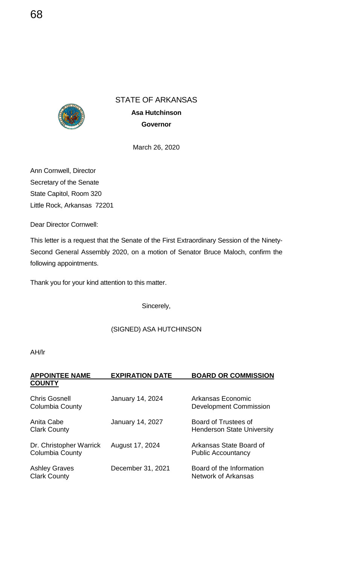

**Asa Hutchinson Governor**

March 26, 2020

Ann Cornwell, Director Secretary of the Senate State Capitol, Room 320 Little Rock, Arkansas 72201

Dear Director Cornwell:

This letter is a request that the Senate of the First Extraordinary Session of the Ninety-Second General Assembly 2020, on a motion of Senator Bruce Maloch, confirm the following appointments.

Thank you for your kind attention to this matter.

Sincerely,

## (SIGNED) ASA HUTCHINSON

| <b>APPOINTEE NAME</b>                             | <b>EXPIRATION DATE</b>  | <b>BOARD OR COMMISSION</b>                                |
|---------------------------------------------------|-------------------------|-----------------------------------------------------------|
| <b>COUNTY</b>                                     |                         |                                                           |
| <b>Chris Gosnell</b><br><b>Columbia County</b>    | <b>January 14, 2024</b> | Arkansas Economic<br><b>Development Commission</b>        |
| Anita Cabe<br><b>Clark County</b>                 | <b>January 14, 2027</b> | Board of Trustees of<br><b>Henderson State University</b> |
| Dr. Christopher Warrick<br><b>Columbia County</b> | August 17, 2024         | Arkansas State Board of<br><b>Public Accountancy</b>      |
| <b>Ashley Graves</b><br><b>Clark County</b>       | December 31, 2021       | Board of the Information<br><b>Network of Arkansas</b>    |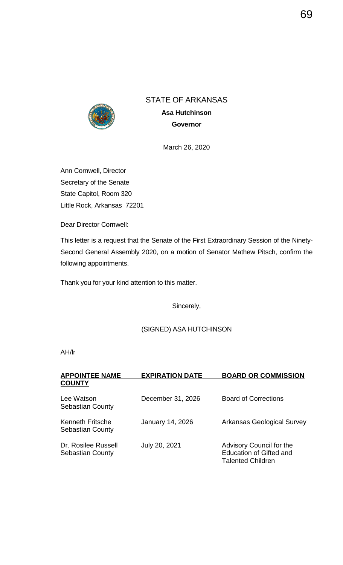

**Asa Hutchinson Governor**

March 26, 2020

Ann Cornwell, Director Secretary of the Senate State Capitol, Room 320 Little Rock, Arkansas 72201

Dear Director Cornwell:

This letter is a request that the Senate of the First Extraordinary Session of the Ninety-Second General Assembly 2020, on a motion of Senator Mathew Pitsch, confirm the following appointments.

Thank you for your kind attention to this matter.

Sincerely,

(SIGNED) ASA HUTCHINSON

| <b>APPOINTEE NAME</b>                              | <b>EXPIRATION DATE</b>  | <b>BOARD OR COMMISSION</b>                                                             |
|----------------------------------------------------|-------------------------|----------------------------------------------------------------------------------------|
| <b>COUNTY</b>                                      |                         |                                                                                        |
| Lee Watson<br><b>Sebastian County</b>              | December 31, 2026       | <b>Board of Corrections</b>                                                            |
| <b>Kenneth Fritsche</b><br><b>Sebastian County</b> | <b>January 14, 2026</b> | <b>Arkansas Geological Survey</b>                                                      |
| Dr. Rosilee Russell<br><b>Sebastian County</b>     | July 20, 2021           | Advisory Council for the<br><b>Education of Gifted and</b><br><b>Talented Children</b> |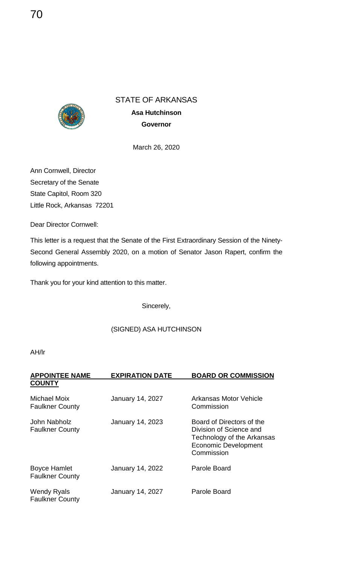

**Asa Hutchinson Governor**

March 26, 2020

Ann Cornwell, Director Secretary of the Senate State Capitol, Room 320 Little Rock, Arkansas 72201

Dear Director Cornwell:

This letter is a request that the Senate of the First Extraordinary Session of the Ninety-Second General Assembly 2020, on a motion of Senator Jason Rapert, confirm the following appointments.

Thank you for your kind attention to this matter.

Sincerely,

### (SIGNED) ASA HUTCHINSON

| <b>APPOINTEE NAME</b><br><b>COUNTY</b>        | <b>EXPIRATION DATE</b>  | <b>BOARD OR COMMISSION</b>                                                                                                      |
|-----------------------------------------------|-------------------------|---------------------------------------------------------------------------------------------------------------------------------|
| <b>Michael Moix</b><br><b>Faulkner County</b> | <b>January 14, 2027</b> | Arkansas Motor Vehicle<br>Commission                                                                                            |
| John Nabholz<br><b>Faulkner County</b>        | <b>January 14, 2023</b> | Board of Directors of the<br>Division of Science and<br>Technology of the Arkansas<br><b>Economic Development</b><br>Commission |
| <b>Boyce Hamlet</b><br><b>Faulkner County</b> | January 14, 2022        | Parole Board                                                                                                                    |
| <b>Wendy Ryals</b><br><b>Faulkner County</b>  | <b>January 14, 2027</b> | Parole Board                                                                                                                    |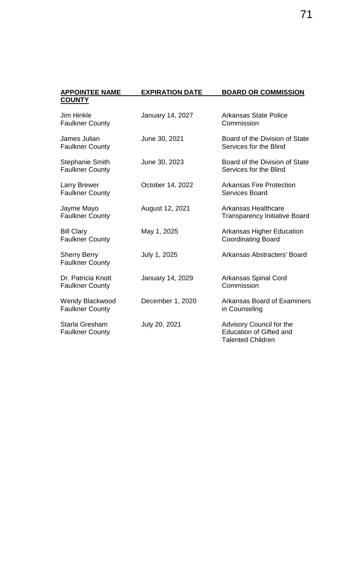| <b>APPOINTEE NAME</b>                            | <b>EXPIRATION DATE</b> | <b>BOARD OR COMMISSION</b>                                                             |
|--------------------------------------------------|------------------------|----------------------------------------------------------------------------------------|
| <b>COUNTY</b>                                    |                        |                                                                                        |
| <b>Jim Hinkle</b><br><b>Faulkner County</b>      | January 14, 2027       | <b>Arkansas State Police</b><br>Commission                                             |
| James Julian<br><b>Faulkner County</b>           | June 30, 2021          | Board of the Division of State<br>Services for the Blind                               |
| <b>Stephanie Smith</b><br><b>Faulkner County</b> | June 30, 2023          | Board of the Division of State<br>Services for the Blind                               |
| <b>Larry Brewer</b><br><b>Faulkner County</b>    | October 14, 2022       | <b>Arkansas Fire Protection</b><br><b>Services Board</b>                               |
| Jayme Mayo<br><b>Faulkner County</b>             | August 12, 2021        | <b>Arkansas Healthcare</b><br><b>Transparency Initiative Board</b>                     |
| <b>Bill Clary</b><br><b>Faulkner County</b>      | May 1, 2025            | <b>Arkansas Higher Education</b><br><b>Coordinating Board</b>                          |
| <b>Sherry Berry</b><br><b>Faulkner County</b>    | July 1, 2025           | <b>Arkansas Abstracters' Board</b>                                                     |
| Dr. Patricia Knott<br><b>Faulkner County</b>     | January 14, 2029       | <b>Arkansas Spinal Cord</b><br>Commission                                              |
| <b>Wendy Blackwood</b><br><b>Faulkner County</b> | December 1, 2020       | <b>Arkansas Board of Examiners</b><br>in Counseling                                    |
| Starla Gresham<br><b>Faulkner County</b>         | July 20, 2021          | Advisory Council for the<br><b>Education of Gifted and</b><br><b>Talented Children</b> |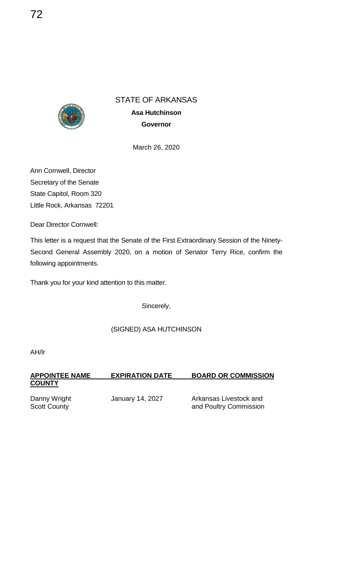

**Asa Hutchinson Governor**

March 26, 2020

Ann Cornwell, Director Secretary of the Senate State Capitol, Room 320 Little Rock, Arkansas 72201

Dear Director Cornwell:

This letter is a request that the Senate of the First Extraordinary Session of the Ninety-Second General Assembly 2020, on a motion of Senator Terry Rice, confirm the following appointments.

Thank you for your kind attention to this matter.

Sincerely,

(SIGNED) ASA HUTCHINSON

AH/lr

**APPOINTEE NAME EXPIRATION DATE BOARD OR COMMISSION COUNTY**

Danny Wright **January 14, 2027** Arkansas Livestock and<br>Scott County **Arkansas Livestock** and Poultry Commission and Poultry Commission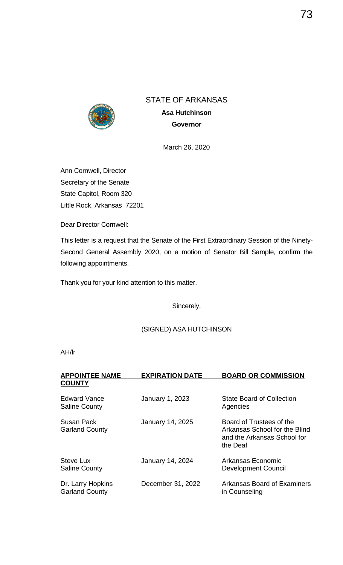

**Asa Hutchinson Governor**

March 26, 2020

Ann Cornwell, Director Secretary of the Senate State Capitol, Room 320 Little Rock, Arkansas 72201

Dear Director Cornwell:

This letter is a request that the Senate of the First Extraordinary Session of the Ninety-Second General Assembly 2020, on a motion of Senator Bill Sample, confirm the following appointments.

Thank you for your kind attention to this matter.

Sincerely,

(SIGNED) ASA HUTCHINSON

| <b>APPOINTEE NAME</b><br><b>COUNTY</b>      | <b>EXPIRATION DATE</b>  | <b>BOARD OR COMMISSION</b>                                                                           |
|---------------------------------------------|-------------------------|------------------------------------------------------------------------------------------------------|
| <b>Edward Vance</b><br><b>Saline County</b> | January 1, 2023         | <b>State Board of Collection</b><br>Agencies                                                         |
| Susan Pack<br><b>Garland County</b>         | <b>January 14, 2025</b> | Board of Trustees of the<br>Arkansas School for the Blind<br>and the Arkansas School for<br>the Deaf |
| <b>Steve Lux</b><br><b>Saline County</b>    | <b>January 14, 2024</b> | Arkansas Economic<br><b>Development Council</b>                                                      |
| Dr. Larry Hopkins<br><b>Garland County</b>  | December 31, 2022       | Arkansas Board of Examiners<br>in Counseling                                                         |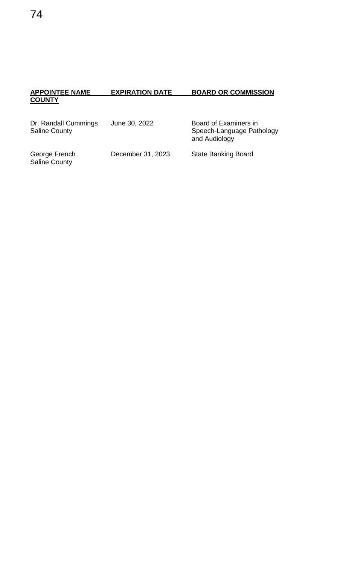### **APPOINTEE NAME EXPIRATION DATE BOARD OR COMMISSION COUNTY**

| Dr. Randall Cummings<br><b>Saline County</b> | June 30, 2022     | Board of Examiners in<br>Speech-Language Pathology<br>and Audiology |
|----------------------------------------------|-------------------|---------------------------------------------------------------------|
| George French<br><b>Saline County</b>        | December 31, 2023 | <b>State Banking Board</b>                                          |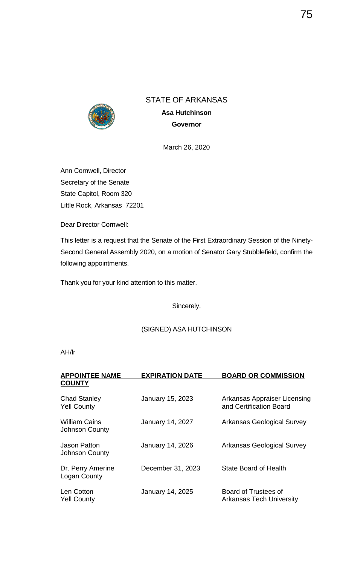

**Asa Hutchinson Governor**

March 26, 2020

Ann Cornwell, Director Secretary of the Senate State Capitol, Room 320 Little Rock, Arkansas 72201

Dear Director Cornwell:

This letter is a request that the Senate of the First Extraordinary Session of the Ninety-Second General Assembly 2020, on a motion of Senator Gary Stubblefield, confirm the following appointments.

Thank you for your kind attention to this matter.

Sincerely,

(SIGNED) ASA HUTCHINSON

| <b>APPOINTEE NAME</b><br><b>COUNTY</b>        | <b>EXPIRATION DATE</b>  | <b>BOARD OR COMMISSION</b>                              |
|-----------------------------------------------|-------------------------|---------------------------------------------------------|
| <b>Chad Stanley</b><br><b>Yell County</b>     | January 15, 2023        | Arkansas Appraiser Licensing<br>and Certification Board |
| <b>William Cains</b><br><b>Johnson County</b> | <b>January 14, 2027</b> | <b>Arkansas Geological Survey</b>                       |
| Jason Patton<br><b>Johnson County</b>         | <b>January 14, 2026</b> | <b>Arkansas Geological Survey</b>                       |
| Dr. Perry Amerine<br>Logan County             | December 31, 2023       | <b>State Board of Health</b>                            |
| Len Cotton<br><b>Yell County</b>              | <b>January 14, 2025</b> | Board of Trustees of<br><b>Arkansas Tech University</b> |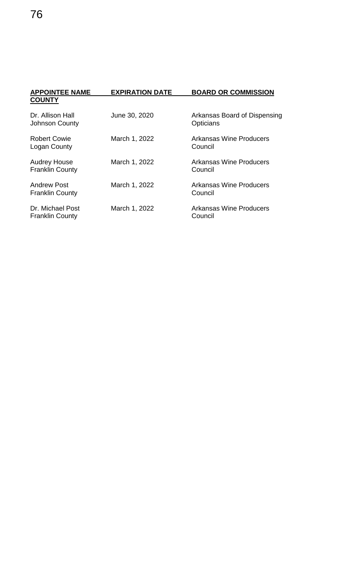| <b>APPOINTEE NAME</b><br><b>COUNTY</b>        | <b>EXPIRATION DATE</b> | <b>BOARD OR COMMISSION</b>                       |
|-----------------------------------------------|------------------------|--------------------------------------------------|
| Dr. Allison Hall<br>Johnson County            | June 30, 2020          | Arkansas Board of Dispensing<br><b>Opticians</b> |
| <b>Robert Cowie</b><br>Logan County           | March 1, 2022          | <b>Arkansas Wine Producers</b><br>Council        |
| <b>Audrey House</b><br><b>Franklin County</b> | March 1, 2022          | <b>Arkansas Wine Producers</b><br>Council        |
| <b>Andrew Post</b><br><b>Franklin County</b>  | March 1, 2022          | <b>Arkansas Wine Producers</b><br>Council        |
| Dr. Michael Post<br><b>Franklin County</b>    | March 1, 2022          | <b>Arkansas Wine Producers</b><br>Council        |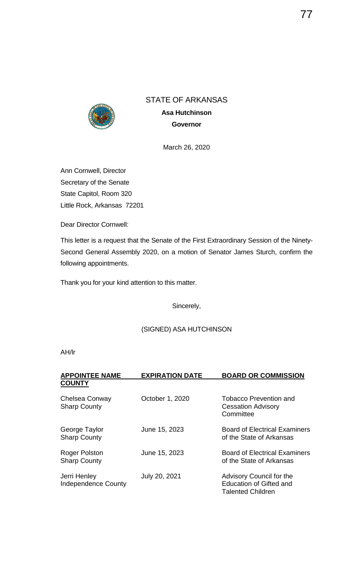

**Asa Hutchinson Governor**

March 26, 2020

Ann Cornwell, Director Secretary of the Senate State Capitol, Room 320 Little Rock, Arkansas 72201

Dear Director Cornwell:

This letter is a request that the Senate of the First Extraordinary Session of the Ninety-Second General Assembly 2020, on a motion of Senator James Sturch, confirm the following appointments.

Thank you for your kind attention to this matter.

Sincerely,

(SIGNED) ASA HUTCHINSON

| <b>APPOINTEE NAME</b><br><b>COUNTY</b>     | <b>EXPIRATION DATE</b> | <b>BOARD OR COMMISSION</b>                                                             |
|--------------------------------------------|------------------------|----------------------------------------------------------------------------------------|
| Chelsea Conway<br><b>Sharp County</b>      | October 1, 2020        | <b>Tobacco Prevention and</b><br><b>Cessation Advisory</b><br>Committee                |
| George Taylor<br><b>Sharp County</b>       | June 15, 2023          | <b>Board of Electrical Examiners</b><br>of the State of Arkansas                       |
| Roger Polston<br><b>Sharp County</b>       | June 15, 2023          | <b>Board of Electrical Examiners</b><br>of the State of Arkansas                       |
| Jerri Henley<br><b>Independence County</b> | July 20, 2021          | Advisory Council for the<br><b>Education of Gifted and</b><br><b>Talented Children</b> |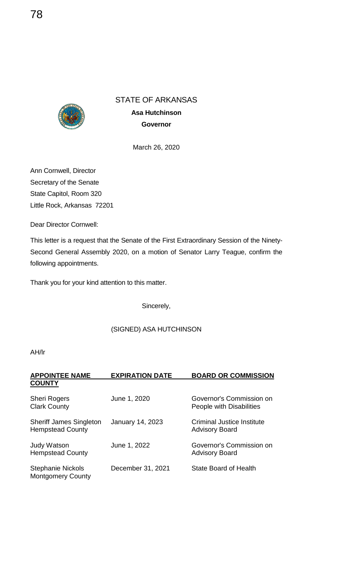

**Asa Hutchinson Governor**

March 26, 2020

Ann Cornwell, Director Secretary of the Senate State Capitol, Room 320 Little Rock, Arkansas 72201

Dear Director Cornwell:

This letter is a request that the Senate of the First Extraordinary Session of the Ninety-Second General Assembly 2020, on a motion of Senator Larry Teague, confirm the following appointments.

Thank you for your kind attention to this matter.

Sincerely,

### (SIGNED) ASA HUTCHINSON

| <b>APPOINTEE NAME</b>                                     | <b>EXPIRATION DATE</b> | <b>BOARD OR COMMISSION</b>                                 |
|-----------------------------------------------------------|------------------------|------------------------------------------------------------|
| <b>COUNTY</b>                                             |                        |                                                            |
| <b>Sheri Rogers</b><br><b>Clark County</b>                | June 1, 2020           | Governor's Commission on<br>People with Disabilities       |
| <b>Sheriff James Singleton</b><br><b>Hempstead County</b> | January 14, 2023       | <b>Criminal Justice Institute</b><br><b>Advisory Board</b> |
| <b>Judy Watson</b><br><b>Hempstead County</b>             | June 1, 2022           | Governor's Commission on<br><b>Advisory Board</b>          |
| <b>Stephanie Nickols</b><br><b>Montgomery County</b>      | December 31, 2021      | <b>State Board of Health</b>                               |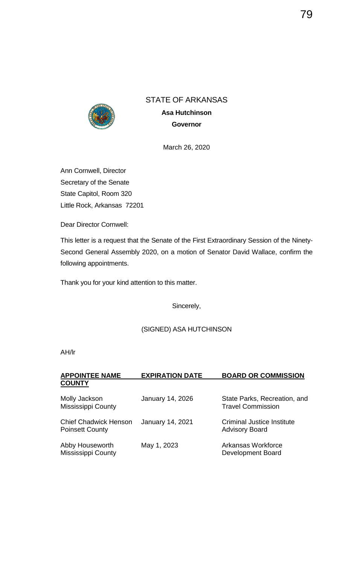

**Asa Hutchinson Governor**

March 26, 2020

Ann Cornwell, Director Secretary of the Senate State Capitol, Room 320 Little Rock, Arkansas 72201

Dear Director Cornwell:

This letter is a request that the Senate of the First Extraordinary Session of the Ninety-Second General Assembly 2020, on a motion of Senator David Wallace, confirm the following appointments.

Thank you for your kind attention to this matter.

Sincerely,

(SIGNED) ASA HUTCHINSON

| <b>APPOINTEE NAME</b>                                  | <b>EXPIRATION DATE</b>  | <b>BOARD OR COMMISSION</b>                                 |
|--------------------------------------------------------|-------------------------|------------------------------------------------------------|
| <b>COUNTY</b>                                          |                         |                                                            |
| Molly Jackson<br><b>Mississippi County</b>             | <b>January 14, 2026</b> | State Parks, Recreation, and<br><b>Travel Commission</b>   |
| <b>Chief Chadwick Henson</b><br><b>Poinsett County</b> | <b>January 14, 2021</b> | <b>Criminal Justice Institute</b><br><b>Advisory Board</b> |
| Abby Houseworth<br><b>Mississippi County</b>           | May 1, 2023             | Arkansas Workforce<br><b>Development Board</b>             |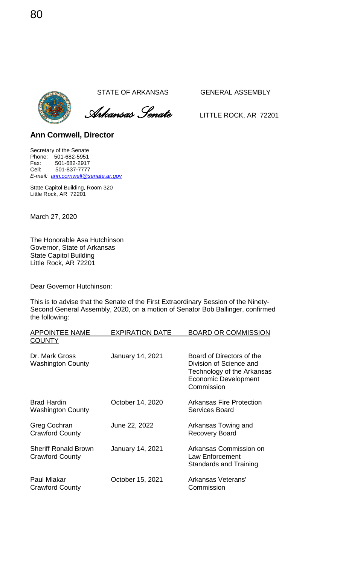*Arkansas Senate* LITTLE ROCK, AR <sup>72201</sup>

### **Ann Cornwell, Director**

Secretary of the Senate Phone: 501-682-5951 Fax: 501-682-2917<br>Cell: 501-837-7777 Cell: 501-837-7777 *E-mail: [ann.cornwell@senate.ar.gov](mailto:ann.cornwell@senate.ar.gov)*

State Capitol Building, Room 320 Little Rock, AR 72201

March 27, 2020

The Honorable Asa Hutchinson Governor, State of Arkansas State Capitol Building Little Rock, AR 72201

Dear Governor Hutchinson:

This is to advise that the Senate of the First Extraordinary Session of the Ninety-Second General Assembly, 2020, on a motion of Senator Bob Ballinger, confirmed the following:

| <b>APPOINTEE NAME</b>                                 | <b>EXPIRATION DATE</b>  | <b>BOARD OR COMMISSION</b>                                                                                               |
|-------------------------------------------------------|-------------------------|--------------------------------------------------------------------------------------------------------------------------|
| <b>COUNTY</b>                                         |                         |                                                                                                                          |
| Dr. Mark Gross<br><b>Washington County</b>            | <b>January 14, 2021</b> | Board of Directors of the<br>Division of Science and<br>Technology of the Arkansas<br>Economic Development<br>Commission |
| <b>Brad Hardin</b><br><b>Washington County</b>        | October 14, 2020        | <b>Arkansas Fire Protection</b><br>Services Board                                                                        |
| Greg Cochran<br><b>Crawford County</b>                | June 22, 2022           | Arkansas Towing and<br><b>Recovery Board</b>                                                                             |
| <b>Sheriff Ronald Brown</b><br><b>Crawford County</b> | January 14, 2021        | Arkansas Commission on<br>Law Enforcement<br>Standards and Training                                                      |
| <b>Paul Mlakar</b><br><b>Crawford County</b>          | October 15, 2021        | Arkansas Veterans'<br>Commission                                                                                         |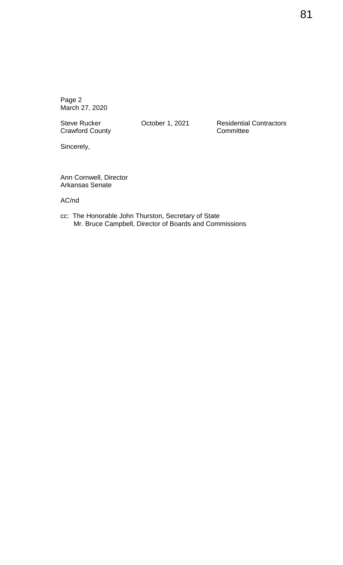**Crawford County** 

Steve Rucker **Contractors** October 1, 2021 Residential Contractors<br>Crawford County **Contractors** Committee

Sincerely,

Ann Cornwell, Director Arkansas Senate

AC/nd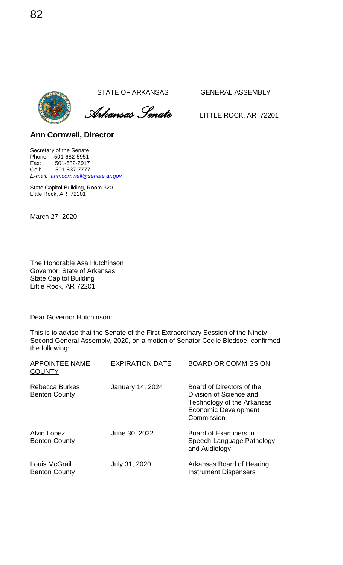*Arkansas Senate* LITTLE ROCK, AR <sup>72201</sup>

**Ann Cornwell, Director** 

Secretary of the Senate Phone: 501-682-5951 Fax: 501-682-2917<br>Cell: 501-837-7777 Cell: 501-837-7777 *E-mail: [ann.cornwell@senate.ar.gov](mailto:ann.cornwell@senate.ar.gov)*

State Capitol Building, Room 320 Little Rock, AR 72201

March 27, 2020

The Honorable Asa Hutchinson Governor, State of Arkansas State Capitol Building Little Rock, AR 72201

Dear Governor Hutchinson:

This is to advise that the Senate of the First Extraordinary Session of the Ninety-Second General Assembly, 2020, on a motion of Senator Cecile Bledsoe, confirmed the following:

| <b>APPOINTEE NAME</b>                         | <b>EXPIRATION DATE</b> | <b>BOARD OR COMMISSION</b>                                                                                                      |
|-----------------------------------------------|------------------------|---------------------------------------------------------------------------------------------------------------------------------|
| <b>COUNTY</b>                                 |                        |                                                                                                                                 |
| <b>Rebecca Burkes</b><br><b>Benton County</b> | January 14, 2024       | Board of Directors of the<br>Division of Science and<br>Technology of the Arkansas<br><b>Economic Development</b><br>Commission |
| Alvin Lopez<br><b>Benton County</b>           | June 30, 2022          | Board of Examiners in<br>Speech-Language Pathology<br>and Audiology                                                             |
| Louis McGrail<br><b>Benton County</b>         | July 31, 2020          | Arkansas Board of Hearing<br><b>Instrument Dispensers</b>                                                                       |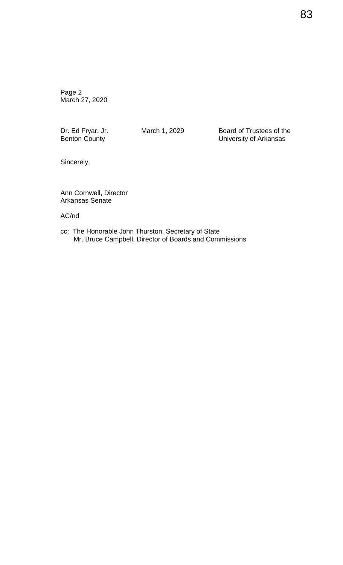Dr. Ed Fryar, Jr. **March 1, 2029** Board of Trustees of the Benton County **Board County University of Arkansas** 

Sincerely,

Ann Cornwell, Director Arkansas Senate

AC/nd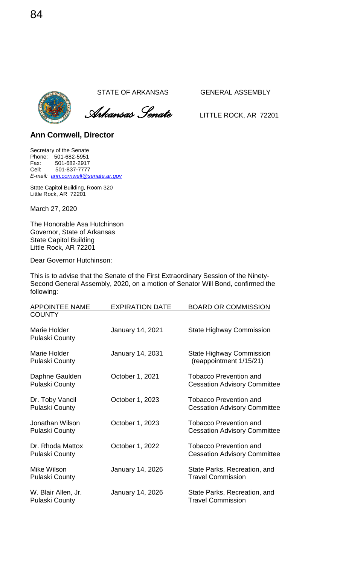

 *Arkansas Senate* LITTLE ROCK, AR <sup>72201</sup>

**Ann Cornwell, Director** 

Secretary of the Senate Phone: 501-682-5951 Fax: 501-682-2917<br>Cell: 501-837-7777 Cell: 501-837-7777 *E-mail: [ann.cornwell@senate.ar.gov](mailto:ann.cornwell@senate.ar.gov)*

State Capitol Building, Room 320 Little Rock, AR 72201

March 27, 2020

The Honorable Asa Hutchinson Governor, State of Arkansas State Capitol Building Little Rock, AR 72201

Dear Governor Hutchinson:

This is to advise that the Senate of the First Extraordinary Session of the Ninety-Second General Assembly, 2020, on a motion of Senator Will Bond, confirmed the following:

| <b>APPOINTEE NAME</b>                        | <b>EXPIRATION DATE</b> | <b>BOARD OR COMMISSION</b>                                           |
|----------------------------------------------|------------------------|----------------------------------------------------------------------|
| <b>COUNTY</b>                                |                        |                                                                      |
| Marie Holder<br><b>Pulaski County</b>        | January 14, 2021       | <b>State Highway Commission</b>                                      |
| Marie Holder<br><b>Pulaski County</b>        | January 14, 2031       | <b>State Highway Commission</b><br>(reappointment 1/15/21)           |
| Daphne Gaulden<br><b>Pulaski County</b>      | October 1, 2021        | <b>Tobacco Prevention and</b><br><b>Cessation Advisory Committee</b> |
| Dr. Toby Vancil<br><b>Pulaski County</b>     | October 1, 2023        | <b>Tobacco Prevention and</b><br><b>Cessation Advisory Committee</b> |
| Jonathan Wilson<br><b>Pulaski County</b>     | October 1, 2023        | <b>Tobacco Prevention and</b><br><b>Cessation Advisory Committee</b> |
| Dr. Rhoda Mattox<br><b>Pulaski County</b>    | October 1, 2022        | <b>Tobacco Prevention and</b><br><b>Cessation Advisory Committee</b> |
| Mike Wilson<br><b>Pulaski County</b>         | January 14, 2026       | State Parks, Recreation, and<br><b>Travel Commission</b>             |
| W. Blair Allen, Jr.<br><b>Pulaski County</b> | January 14, 2026       | State Parks, Recreation, and<br><b>Travel Commission</b>             |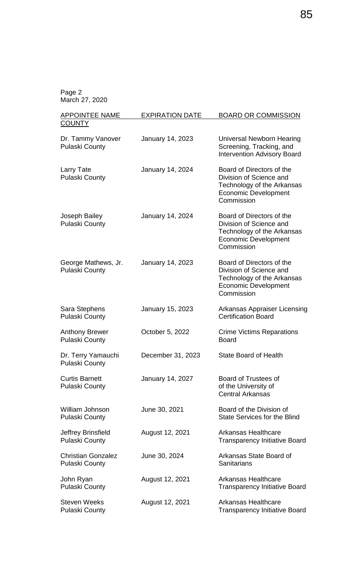| <b>APPOINTEE NAME</b>                              | <b>EXPIRATION DATE</b> | <b>BOARD OR COMMISSION</b>                                                                                                      |
|----------------------------------------------------|------------------------|---------------------------------------------------------------------------------------------------------------------------------|
| <b>COUNTY</b>                                      |                        |                                                                                                                                 |
| Dr. Tammy Vanover<br><b>Pulaski County</b>         | January 14, 2023       | Universal Newborn Hearing<br>Screening, Tracking, and<br><b>Intervention Advisory Board</b>                                     |
| Larry Tate<br><b>Pulaski County</b>                | January 14, 2024       | Board of Directors of the<br>Division of Science and<br>Technology of the Arkansas<br><b>Economic Development</b><br>Commission |
| Joseph Bailey<br><b>Pulaski County</b>             | January 14, 2024       | Board of Directors of the<br>Division of Science and<br>Technology of the Arkansas<br><b>Economic Development</b><br>Commission |
| George Mathews, Jr.<br><b>Pulaski County</b>       | January 14, 2023       | Board of Directors of the<br>Division of Science and<br>Technology of the Arkansas<br><b>Economic Development</b><br>Commission |
| Sara Stephens<br><b>Pulaski County</b>             | January 15, 2023       | <b>Arkansas Appraiser Licensing</b><br><b>Certification Board</b>                                                               |
| <b>Anthony Brewer</b><br><b>Pulaski County</b>     | October 5, 2022        | <b>Crime Victims Reparations</b><br><b>Board</b>                                                                                |
| Dr. Terry Yamauchi<br><b>Pulaski County</b>        | December 31, 2023      | <b>State Board of Health</b>                                                                                                    |
| <b>Curtis Barnett</b><br><b>Pulaski County</b>     | January 14, 2027       | <b>Board of Trustees of</b><br>of the University of<br><b>Central Arkansas</b>                                                  |
| William Johnson<br><b>Pulaski County</b>           | June 30, 2021          | Board of the Division of<br><b>State Services for the Blind</b>                                                                 |
| Jeffrey Brinsfield<br><b>Pulaski County</b>        | August 12, 2021        | Arkansas Healthcare<br><b>Transparency Initiative Board</b>                                                                     |
| <b>Christian Gonzalez</b><br><b>Pulaski County</b> | June 30, 2024          | Arkansas State Board of<br>Sanitarians                                                                                          |
| John Ryan<br><b>Pulaski County</b>                 | August 12, 2021        | <b>Arkansas Healthcare</b><br><b>Transparency Initiative Board</b>                                                              |
| <b>Steven Weeks</b><br><b>Pulaski County</b>       | August 12, 2021        | <b>Arkansas Healthcare</b><br><b>Transparency Initiative Board</b>                                                              |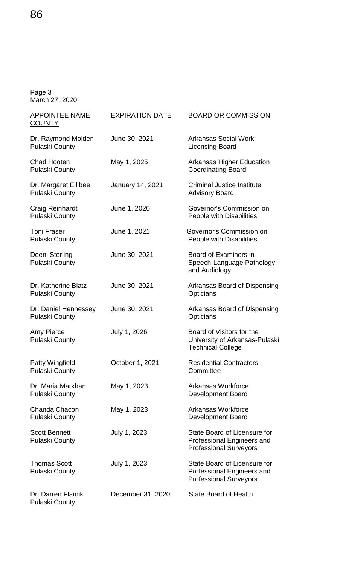| <b>APPOINTEE NAME</b>                           | <b>EXPIRATION DATE</b> | <b>BOARD OR COMMISSION</b>                                                                  |
|-------------------------------------------------|------------------------|---------------------------------------------------------------------------------------------|
| <b>COUNTY</b>                                   |                        |                                                                                             |
| Dr. Raymond Molden<br><b>Pulaski County</b>     | June 30, 2021          | <b>Arkansas Social Work</b><br><b>Licensing Board</b>                                       |
| Chad Hooten<br><b>Pulaski County</b>            | May 1, 2025            | <b>Arkansas Higher Education</b><br><b>Coordinating Board</b>                               |
| Dr. Margaret Ellibee<br><b>Pulaski County</b>   | January 14, 2021       | <b>Criminal Justice Institute</b><br><b>Advisory Board</b>                                  |
| Craig Reinhardt<br><b>Pulaski County</b>        | June 1, 2020           | Governor's Commission on<br>People with Disabilities                                        |
| <b>Toni Fraser</b><br><b>Pulaski County</b>     | June 1, 2021           | Governor's Commission on<br>People with Disabilities                                        |
| Deeni Sterling<br><b>Pulaski County</b>         | June 30, 2021          | Board of Examiners in<br>Speech-Language Pathology<br>and Audiology                         |
| Dr. Katherine Blatz<br><b>Pulaski County</b>    | June 30, 2021          | Arkansas Board of Dispensing<br>Opticians                                                   |
| Dr. Daniel Hennessey<br><b>Pulaski County</b>   | June 30, 2021          | Arkansas Board of Dispensing<br>Opticians                                                   |
| Amy Pierce<br><b>Pulaski County</b>             | July 1, 2026           | Board of Visitors for the<br>University of Arkansas-Pulaski<br><b>Technical College</b>     |
| <b>Patty Wingfield</b><br><b>Pulaski County</b> | October 1, 2021        | <b>Residential Contractors</b><br>Committee                                                 |
| Dr. Maria Markham<br><b>Pulaski County</b>      | May 1, 2023            | <b>Arkansas Workforce</b><br><b>Development Board</b>                                       |
| Chanda Chacon<br><b>Pulaski County</b>          | May 1, 2023            | Arkansas Workforce<br><b>Development Board</b>                                              |
| <b>Scott Bennett</b><br><b>Pulaski County</b>   | July 1, 2023           | State Board of Licensure for<br>Professional Engineers and<br><b>Professional Surveyors</b> |
| <b>Thomas Scott</b><br><b>Pulaski County</b>    | July 1, 2023           | State Board of Licensure for<br>Professional Engineers and<br><b>Professional Surveyors</b> |
| Dr. Darren Flamik<br><b>Pulaski County</b>      | December 31, 2020      | <b>State Board of Health</b>                                                                |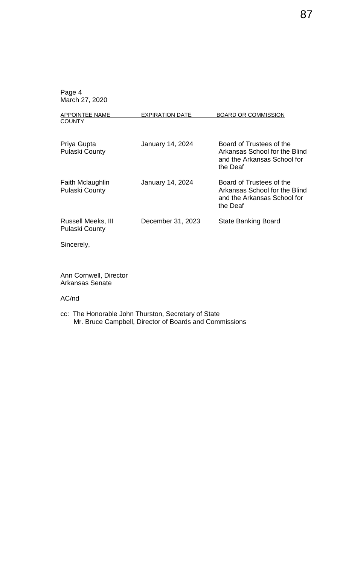| <b>APPOINTEE NAME</b><br><b>COUNTY</b>      | <b>EXPIRATION DATE</b>  | <b>BOARD OR COMMISSION</b>                                                                           |
|---------------------------------------------|-------------------------|------------------------------------------------------------------------------------------------------|
| Priya Gupta<br><b>Pulaski County</b>        | <b>January 14, 2024</b> | Board of Trustees of the<br>Arkansas School for the Blind<br>and the Arkansas School for<br>the Deaf |
| Faith Mclaughlin<br><b>Pulaski County</b>   | <b>January 14, 2024</b> | Board of Trustees of the<br>Arkansas School for the Blind<br>and the Arkansas School for<br>the Deaf |
| Russell Meeks, III<br><b>Pulaski County</b> | December 31, 2023       | <b>State Banking Board</b>                                                                           |
| Sincerely,                                  |                         |                                                                                                      |

Ann Cornwell, Director Arkansas Senate

AC/nd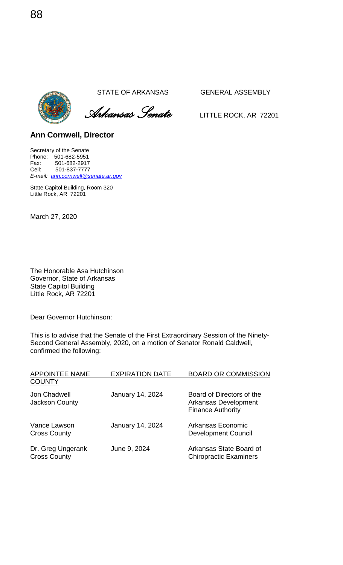*Arkansas Senate* LITTLE ROCK, AR <sup>72201</sup>

**Ann Cornwell, Director** 

Secretary of the Senate Phone: 501-682-5951 Fax: 501-682-2917<br>Cell: 501-837-7777 Cell: 501-837-7777 *E-mail: [ann.cornwell@senate.ar.gov](mailto:ann.cornwell@senate.ar.gov)*

State Capitol Building, Room 320 Little Rock, AR 72201

March 27, 2020

The Honorable Asa Hutchinson Governor, State of Arkansas State Capitol Building Little Rock, AR 72201

Dear Governor Hutchinson:

This is to advise that the Senate of the First Extraordinary Session of the Ninety-Second General Assembly, 2020, on a motion of Senator Ronald Caldwell, confirmed the following:

| <b>APPOINTEE NAME</b>                    | <b>EXPIRATION DATE</b> | <b>BOARD OR COMMISSION</b>                                                    |
|------------------------------------------|------------------------|-------------------------------------------------------------------------------|
| <b>COUNTY</b>                            |                        |                                                                               |
| Jon Chadwell<br><b>Jackson County</b>    | January 14, 2024       | Board of Directors of the<br>Arkansas Development<br><b>Finance Authority</b> |
| Vance Lawson<br><b>Cross County</b>      | January 14, 2024       | Arkansas Economic<br><b>Development Council</b>                               |
| Dr. Greg Ungerank<br><b>Cross County</b> | June 9, 2024           | Arkansas State Board of<br><b>Chiropractic Examiners</b>                      |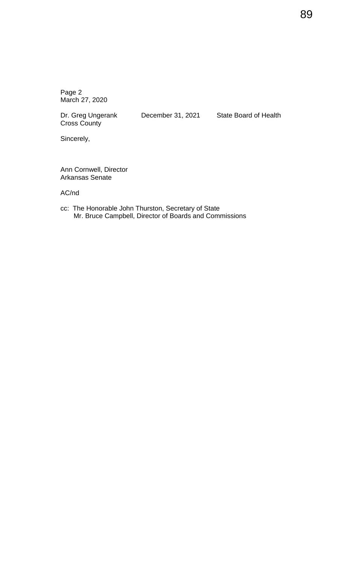Cross County

Dr. Greg Ungerank December 31, 2021 State Board of Health

Sincerely,

Ann Cornwell, Director Arkansas Senate

AC/nd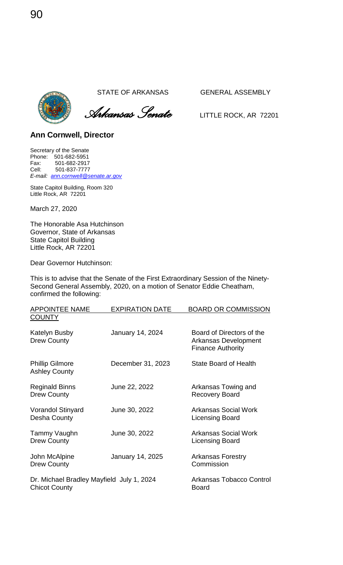

 *Arkansas Senate* LITTLE ROCK, AR <sup>72201</sup>

### **Ann Cornwell, Director**

Secretary of the Senate Phone: 501-682-5951 Fax: 501-682-2917<br>Cell: 501-837-7777 Cell: 501-837-7777 *E-mail: [ann.cornwell@senate.ar.gov](mailto:ann.cornwell@senate.ar.gov)*

State Capitol Building, Room 320 Little Rock, AR 72201

March 27, 2020

The Honorable Asa Hutchinson Governor, State of Arkansas State Capitol Building Little Rock, AR 72201

Dear Governor Hutchinson:

This is to advise that the Senate of the First Extraordinary Session of the Ninety-Second General Assembly, 2020, on a motion of Senator Eddie Cheatham, confirmed the following:

| <b>APPOINTEE NAME</b>                                             | <b>EXPIRATION DATE</b>  | <b>BOARD OR COMMISSION</b>                                                    |
|-------------------------------------------------------------------|-------------------------|-------------------------------------------------------------------------------|
| <b>COUNTY</b>                                                     |                         |                                                                               |
| Katelyn Busby<br><b>Drew County</b>                               | January 14, 2024        | Board of Directors of the<br>Arkansas Development<br><b>Finance Authority</b> |
| <b>Phillip Gilmore</b><br><b>Ashley County</b>                    | December 31, 2023       | State Board of Health                                                         |
| <b>Reginald Binns</b><br><b>Drew County</b>                       | June 22, 2022           | Arkansas Towing and<br><b>Recovery Board</b>                                  |
| <b>Vorandol Stinyard</b><br>Desha County                          | June 30, 2022           | <b>Arkansas Social Work</b><br>Licensing Board                                |
| Tammy Vaughn<br><b>Drew County</b>                                | June 30, 2022           | <b>Arkansas Social Work</b><br>Licensing Board                                |
| John McAlpine<br><b>Drew County</b>                               | <b>January 14, 2025</b> | <b>Arkansas Forestry</b><br>Commission                                        |
| Dr. Michael Bradley Mayfield July 1, 2024<br><b>Chicot County</b> |                         | Arkansas Tobacco Control<br><b>Board</b>                                      |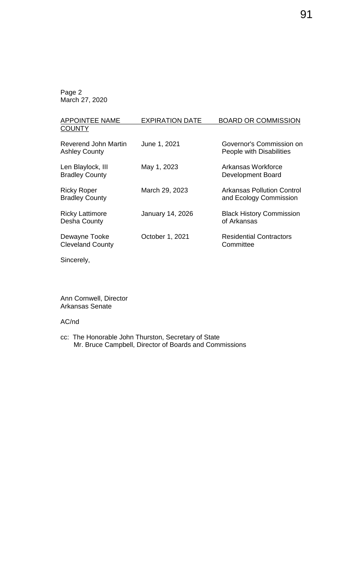| <b>EXPIRATION DATE</b>  | <b>BOARD OR COMMISSION</b>                           |
|-------------------------|------------------------------------------------------|
|                         |                                                      |
| June 1, 2021            | Governor's Commission on<br>People with Disabilities |
| May 1, 2023             | Arkansas Workforce<br><b>Development Board</b>       |
| March 29, 2023          | Arkansas Pollution Control<br>and Ecology Commission |
| <b>January 14, 2026</b> | <b>Black History Commission</b><br>of Arkansas       |
| October 1, 2021         | <b>Residential Contractors</b><br>Committee          |
|                         |                                                      |

Sincerely,

Ann Cornwell, Director Arkansas Senate

### AC/nd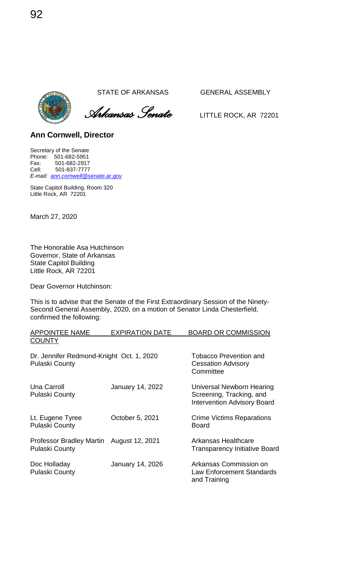*Arkansas Senate* LITTLE ROCK, AR <sup>72201</sup>

**Ann Cornwell, Director** 

Secretary of the Senate Phone: 501-682-5951 Fax: 501-682-2917<br>Cell: 501-837-7777 Cell: 501-837-7777 *E-mail: [ann.cornwell@senate.ar.gov](mailto:ann.cornwell@senate.ar.gov)*

State Capitol Building, Room 320 Little Rock, AR 72201

March 27, 2020

The Honorable Asa Hutchinson Governor, State of Arkansas State Capitol Building Little Rock, AR 72201

Dear Governor Hutchinson:

This is to advise that the Senate of the First Extraordinary Session of the Ninety-Second General Assembly, 2020, on a motion of Senator Linda Chesterfield, confirmed the following:

| <b>APPOINTEE NAME</b>                                             | <b>EXPIRATION DATE</b>  | <b>BOARD OR COMMISSION</b>                                                                  |
|-------------------------------------------------------------------|-------------------------|---------------------------------------------------------------------------------------------|
| <b>COUNTY</b>                                                     |                         |                                                                                             |
| Dr. Jennifer Redmond-Knight Oct. 1, 2020<br><b>Pulaski County</b> |                         | <b>Tobacco Prevention and</b><br><b>Cessation Advisory</b><br>Committee                     |
| Una Carroll<br><b>Pulaski County</b>                              | <b>January 14, 2022</b> | Universal Newborn Hearing<br>Screening, Tracking, and<br><b>Intervention Advisory Board</b> |
| Lt. Eugene Tyree<br><b>Pulaski County</b>                         | October 5, 2021         | <b>Crime Victims Reparations</b><br><b>Board</b>                                            |
| <b>Professor Bradley Martin</b><br><b>Pulaski County</b>          | August 12, 2021         | Arkansas Healthcare<br><b>Transparency Initiative Board</b>                                 |
| Doc Holladay<br><b>Pulaski County</b>                             | January 14, 2026        | Arkansas Commission on<br>Law Enforcement Standards<br>and Training                         |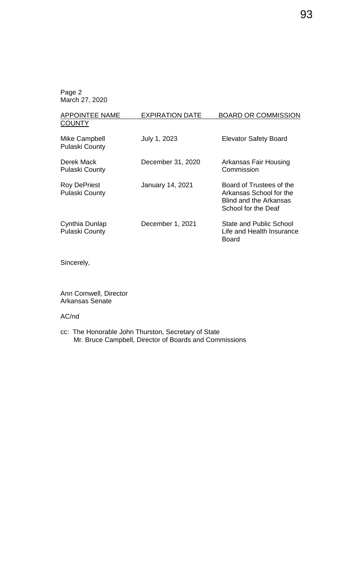| <b>APPOINTEE NAME</b>                        | <b>EXPIRATION DATE</b> | <b>BOARD OR COMMISSION</b>                                                                           |
|----------------------------------------------|------------------------|------------------------------------------------------------------------------------------------------|
| <b>COUNTY</b>                                |                        |                                                                                                      |
| Mike Campbell<br><b>Pulaski County</b>       | July 1, 2023           | <b>Elevator Safety Board</b>                                                                         |
| Derek Mack<br><b>Pulaski County</b>          | December 31, 2020      | Arkansas Fair Housing<br>Commission                                                                  |
| <b>Roy DePriest</b><br><b>Pulaski County</b> | January 14, 2021       | Board of Trustees of the<br>Arkansas School for the<br>Blind and the Arkansas<br>School for the Deaf |
| Cynthia Dunlap<br><b>Pulaski County</b>      | December 1, 2021       | <b>State and Public School</b><br>Life and Health Insurance<br>Board                                 |

Sincerely,

Ann Cornwell, Director Arkansas Senate

### AC/nd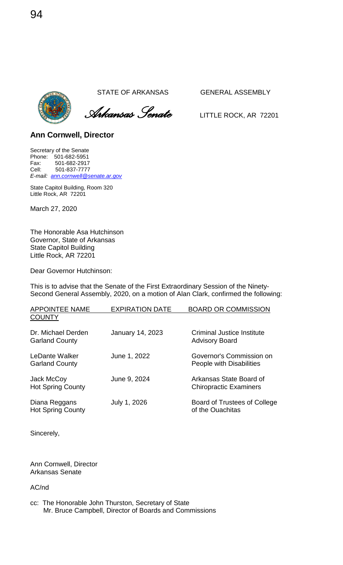

 *Arkansas Senate* LITTLE ROCK, AR <sup>72201</sup>

### **Ann Cornwell, Director**

Secretary of the Senate Phone: 501-682-5951 Fax: 501-682-2917<br>Cell: 501-837-7777 Cell: 501-837-7777 *E-mail: [ann.cornwell@senate.ar.gov](mailto:ann.cornwell@senate.ar.gov)*

State Capitol Building, Room 320 Little Rock, AR 72201

March 27, 2020

The Honorable Asa Hutchinson Governor, State of Arkansas State Capitol Building Little Rock, AR 72201

Dear Governor Hutchinson:

This is to advise that the Senate of the First Extraordinary Session of the Ninety-Second General Assembly, 2020, on a motion of Alan Clark, confirmed the following:

| <b>APPOINTEE NAME</b><br><b>COUNTY</b>      | <b>EXPIRATION DATE</b>  | <b>BOARD OR COMMISSION</b>                               |
|---------------------------------------------|-------------------------|----------------------------------------------------------|
| Dr. Michael Derden<br><b>Garland County</b> | <b>January 14, 2023</b> | Criminal Justice Institute<br><b>Advisory Board</b>      |
| LeDante Walker<br><b>Garland County</b>     | June 1, 2022            | Governor's Commission on<br>People with Disabilities     |
| Jack McCoy<br><b>Hot Spring County</b>      | June 9, 2024            | Arkansas State Board of<br><b>Chiropractic Examiners</b> |
| Diana Reggans<br><b>Hot Spring County</b>   | July 1, 2026            | Board of Trustees of College<br>of the Ouachitas         |
|                                             |                         |                                                          |

Sincerely,

Ann Cornwell, Director Arkansas Senate

AC/nd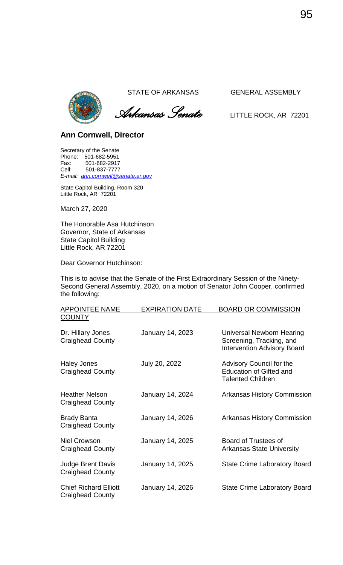

 *Arkansas Senate* LITTLE ROCK, AR <sup>72201</sup>

### **Ann Cornwell, Director**

Secretary of the Senate Phone: 501-682-5951 Fax: 501-682-2917<br>Cell: 501-837-7777 Cell: 501-837-7777 *E-mail: [ann.cornwell@senate.ar.gov](mailto:ann.cornwell@senate.ar.gov)*

State Capitol Building, Room 320 Little Rock, AR 72201

March 27, 2020

The Honorable Asa Hutchinson Governor, State of Arkansas State Capitol Building Little Rock, AR 72201

Dear Governor Hutchinson:

This is to advise that the Senate of the First Extraordinary Session of the Ninety-Second General Assembly, 2020, on a motion of Senator John Cooper, confirmed the following:

| <b>APPOINTEE NAME</b>                                   | <b>EXPIRATION DATE</b> | <b>BOARD OR COMMISSION</b>                                                                  |
|---------------------------------------------------------|------------------------|---------------------------------------------------------------------------------------------|
| <b>COUNTY</b>                                           |                        |                                                                                             |
| Dr. Hillary Jones<br><b>Craighead County</b>            | January 14, 2023       | Universal Newborn Hearing<br>Screening, Tracking, and<br><b>Intervention Advisory Board</b> |
| <b>Haley Jones</b><br><b>Craighead County</b>           | July 20, 2022          | Advisory Council for the<br><b>Education of Gifted and</b><br><b>Talented Children</b>      |
| <b>Heather Nelson</b><br><b>Craighead County</b>        | January 14, 2024       | <b>Arkansas History Commission</b>                                                          |
| <b>Brady Banta</b><br><b>Craighead County</b>           | January 14, 2026       | <b>Arkansas History Commission</b>                                                          |
| Niel Crowson<br><b>Craighead County</b>                 | January 14, 2025       | Board of Trustees of<br><b>Arkansas State University</b>                                    |
| <b>Judge Brent Davis</b><br><b>Craighead County</b>     | January 14, 2025       | <b>State Crime Laboratory Board</b>                                                         |
| <b>Chief Richard Elliott</b><br><b>Craighead County</b> | January 14, 2026       | <b>State Crime Laboratory Board</b>                                                         |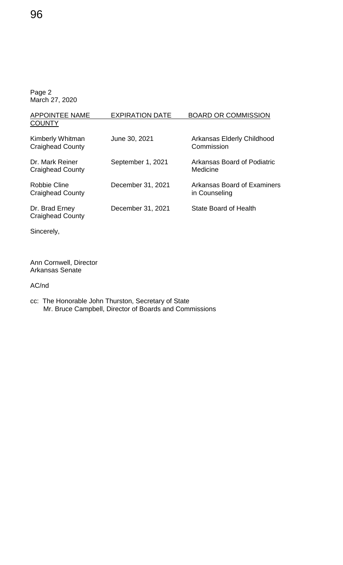| <b>APPOINTEE NAME</b>                       | <b>EXPIRATION DATE</b> | <b>BOARD OR COMMISSION</b>                   |
|---------------------------------------------|------------------------|----------------------------------------------|
| <b>COUNTY</b>                               |                        |                                              |
| Kimberly Whitman<br><b>Craighead County</b> | June 30, 2021          | Arkansas Elderly Childhood<br>Commission     |
| Dr. Mark Reiner<br><b>Craighead County</b>  | September 1, 2021      | Arkansas Board of Podiatric<br>Medicine      |
| Robbie Cline<br><b>Craighead County</b>     | December 31, 2021      | Arkansas Board of Examiners<br>in Counseling |
| Dr. Brad Erney<br><b>Craighead County</b>   | December 31, 2021      | State Board of Health                        |

Sincerely,

Ann Cornwell, Director Arkansas Senate

AC/nd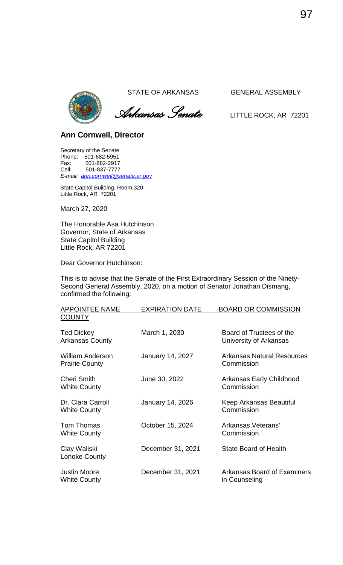

 *Arkansas Senate* LITTLE ROCK, AR <sup>72201</sup>

### **Ann Cornwell, Director**

Secretary of the Senate Phone: 501-682-5951 Fax: 501-682-2917<br>Cell: 501-837-7777 Cell: 501-837-7777 *E-mail: [ann.cornwell@senate.ar.gov](mailto:ann.cornwell@senate.ar.gov)*

State Capitol Building, Room 320 Little Rock, AR 72201

March 27, 2020

The Honorable Asa Hutchinson Governor, State of Arkansas State Capitol Building Little Rock, AR 72201

Dear Governor Hutchinson:

This is to advise that the Senate of the First Extraordinary Session of the Ninety-Second General Assembly, 2020, on a motion of Senator Jonathan Dismang, confirmed the following:

| <b>APPOINTEE NAME</b>                            | <b>EXPIRATION DATE</b> | <b>BOARD OR COMMISSION</b>                         |
|--------------------------------------------------|------------------------|----------------------------------------------------|
| <b>COUNTY</b>                                    |                        |                                                    |
| <b>Ted Dickey</b><br><b>Arkansas County</b>      | March 1, 2030          | Board of Trustees of the<br>University of Arkansas |
| <b>William Anderson</b><br><b>Prairie County</b> | January 14, 2027       | <b>Arkansas Natural Resources</b><br>Commission    |
| <b>Cheri Smith</b><br><b>White County</b>        | June 30, 2022          | Arkansas Early Childhood<br>Commission             |
| Dr. Clara Carroll<br><b>White County</b>         | January 14, 2026       | Keep Arkansas Beautiful<br>Commission              |
| Tom Thomas<br><b>White County</b>                | October 15, 2024       | Arkansas Veterans'<br>Commission                   |
| Clay Waliski<br>Lonoke County                    | December 31, 2021      | <b>State Board of Health</b>                       |
| <b>Justin Moore</b><br><b>White County</b>       | December 31, 2021      | Arkansas Board of Examiners<br>in Counseling       |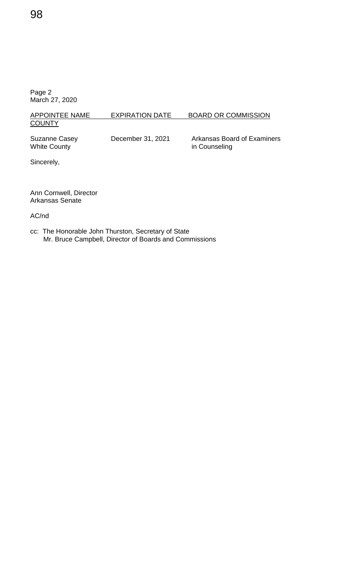### APPOINTEE NAME EXPIRATION DATE BOARD OR COMMISSION **COUNTY**

Suzanne Casey December 31, 2021 Arkansas Board of Examiners<br>White County in Counseling in Counseling

Sincerely,

Ann Cornwell, Director Arkansas Senate

AC/nd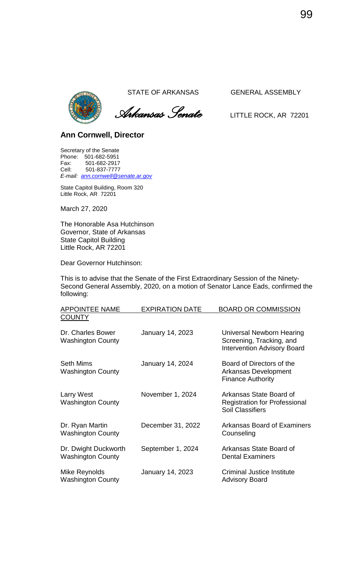

 *Arkansas Senate* LITTLE ROCK, AR <sup>72201</sup>

### **Ann Cornwell, Director**

Secretary of the Senate Phone: 501-682-5951 Fax: 501-682-2917<br>Cell: 501-837-7777 Cell: 501-837-7777 *E-mail: [ann.cornwell@senate.ar.gov](mailto:ann.cornwell@senate.ar.gov)*

State Capitol Building, Room 320 Little Rock, AR 72201

March 27, 2020

The Honorable Asa Hutchinson Governor, State of Arkansas State Capitol Building Little Rock, AR 72201

Dear Governor Hutchinson:

This is to advise that the Senate of the First Extraordinary Session of the Ninety-Second General Assembly, 2020, on a motion of Senator Lance Eads, confirmed the following:

| <b>APPOINTEE NAME</b>                            | <b>EXPIRATION DATE</b> | <b>BOARD OR COMMISSION</b>                                                                  |
|--------------------------------------------------|------------------------|---------------------------------------------------------------------------------------------|
| <b>COUNTY</b>                                    |                        |                                                                                             |
| Dr. Charles Bower<br><b>Washington County</b>    | January 14, 2023       | Universal Newborn Hearing<br>Screening, Tracking, and<br><b>Intervention Advisory Board</b> |
| <b>Seth Mims</b><br><b>Washington County</b>     | January 14, 2024       | Board of Directors of the<br><b>Arkansas Development</b><br><b>Finance Authority</b>        |
| <b>Larry West</b><br><b>Washington County</b>    | November 1, 2024       | Arkansas State Board of<br><b>Registration for Professional</b><br><b>Soil Classifiers</b>  |
| Dr. Ryan Martin<br><b>Washington County</b>      | December 31, 2022      | Arkansas Board of Examiners<br>Counseling                                                   |
| Dr. Dwight Duckworth<br><b>Washington County</b> | September 1, 2024      | Arkansas State Board of<br><b>Dental Examiners</b>                                          |
| Mike Reynolds<br><b>Washington County</b>        | January 14, 2023       | Criminal Justice Institute<br><b>Advisory Board</b>                                         |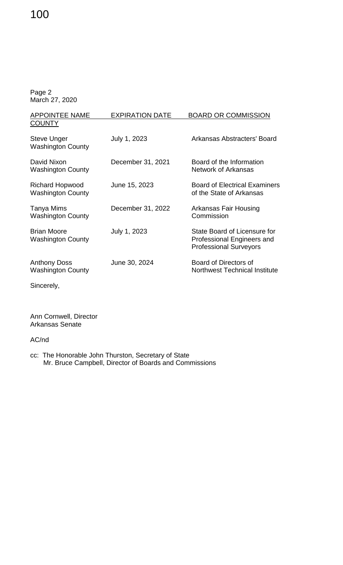| <b>APPOINTEE NAME</b>                              | <b>EXPIRATION DATE</b> | <b>BOARD OR COMMISSION</b>                                                                  |
|----------------------------------------------------|------------------------|---------------------------------------------------------------------------------------------|
| <b>COUNTY</b>                                      |                        |                                                                                             |
| <b>Steve Unger</b><br><b>Washington County</b>     | July 1, 2023           | Arkansas Abstracters' Board                                                                 |
| David Nixon<br><b>Washington County</b>            | December 31, 2021      | Board of the Information<br><b>Network of Arkansas</b>                                      |
| <b>Richard Hopwood</b><br><b>Washington County</b> | June 15, 2023          | <b>Board of Electrical Examiners</b><br>of the State of Arkansas                            |
| Tanya Mims<br><b>Washington County</b>             | December 31, 2022      | Arkansas Fair Housing<br>Commission                                                         |
| <b>Brian Moore</b><br><b>Washington County</b>     | July 1, 2023           | State Board of Licensure for<br>Professional Engineers and<br><b>Professional Surveyors</b> |
| <b>Anthony Doss</b><br><b>Washington County</b>    | June 30, 2024          | Board of Directors of<br><b>Northwest Technical Institute</b>                               |
| Sincerely,                                         |                        |                                                                                             |

Ann Cornwell, Director Arkansas Senate

AC/nd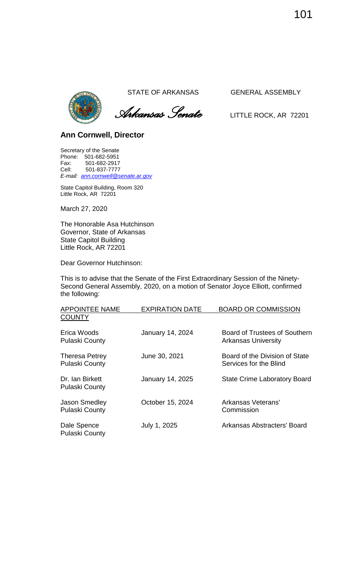

 *Arkansas Senate* LITTLE ROCK, AR <sup>72201</sup>

### **Ann Cornwell, Director**

Secretary of the Senate Phone: 501-682-5951 Fax: 501-682-2917<br>Cell: 501-837-7777 Cell: 501-837-7777 *E-mail: [ann.cornwell@senate.ar.gov](mailto:ann.cornwell@senate.ar.gov)*

State Capitol Building, Room 320 Little Rock, AR 72201

March 27, 2020

The Honorable Asa Hutchinson Governor, State of Arkansas State Capitol Building Little Rock, AR 72201

Dear Governor Hutchinson:

This is to advise that the Senate of the First Extraordinary Session of the Ninety-Second General Assembly, 2020, on a motion of Senator Joyce Elliott, confirmed the following:

| <b>APPOINTEE NAME</b>                          | <b>EXPIRATION DATE</b> | <b>BOARD OR COMMISSION</b>                                  |
|------------------------------------------------|------------------------|-------------------------------------------------------------|
| <b>COUNTY</b>                                  |                        |                                                             |
| Erica Woods<br><b>Pulaski County</b>           | January 14, 2024       | Board of Trustees of Southern<br><b>Arkansas University</b> |
| <b>Theresa Petrey</b><br><b>Pulaski County</b> | June 30, 2021          | Board of the Division of State<br>Services for the Blind    |
| Dr. Ian Birkett<br><b>Pulaski County</b>       | January 14, 2025       | <b>State Crime Laboratory Board</b>                         |
| <b>Jason Smedley</b><br><b>Pulaski County</b>  | October 15, 2024       | Arkansas Veterans'<br>Commission                            |
| Dale Spence<br><b>Pulaski County</b>           | July 1, 2025           | Arkansas Abstracters' Board                                 |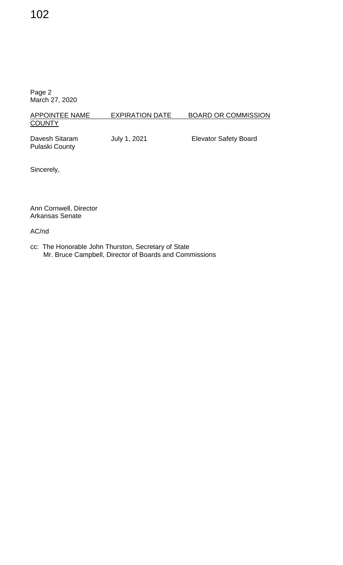## APPOINTEE NAME EXPIRATION DATE BOARD OR COMMISSION **COUNTY**

Pulaski County

Davesh Sitaram **July 1, 2021** Elevator Safety Board

Sincerely,

Ann Cornwell, Director Arkansas Senate

AC/nd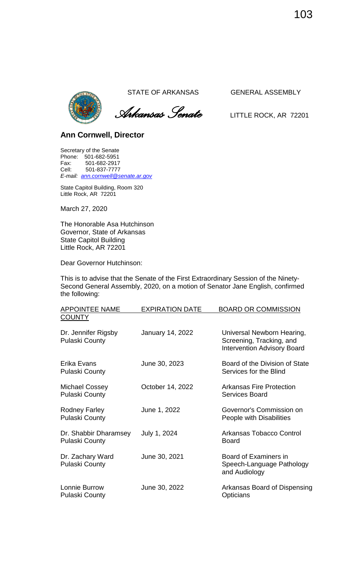

 *Arkansas Senate* LITTLE ROCK, AR <sup>72201</sup>

### **Ann Cornwell, Director**

Secretary of the Senate Phone: 501-682-5951 Fax: 501-682-2917<br>Cell: 501-837-7777 Cell: 501-837-7777 *E-mail: [ann.cornwell@senate.ar.gov](mailto:ann.cornwell@senate.ar.gov)*

State Capitol Building, Room 320 Little Rock, AR 72201

March 27, 2020

The Honorable Asa Hutchinson Governor, State of Arkansas State Capitol Building Little Rock, AR 72201

Dear Governor Hutchinson:

This is to advise that the Senate of the First Extraordinary Session of the Ninety-Second General Assembly, 2020, on a motion of Senator Jane English, confirmed the following:

| <b>APPOINTEE NAME</b>                          | <b>EXPIRATION DATE</b>  | <b>BOARD OR COMMISSION</b>                                                                   |
|------------------------------------------------|-------------------------|----------------------------------------------------------------------------------------------|
| <b>COUNTY</b>                                  |                         |                                                                                              |
| Dr. Jennifer Rigsby<br><b>Pulaski County</b>   | <b>January 14, 2022</b> | Universal Newborn Hearing,<br>Screening, Tracking, and<br><b>Intervention Advisory Board</b> |
| Erika Evans<br><b>Pulaski County</b>           | June 30, 2023           | Board of the Division of State<br>Services for the Blind                                     |
| Michael Cossey<br><b>Pulaski County</b>        | October 14, 2022        | <b>Arkansas Fire Protection</b><br>Services Board                                            |
| Rodney Farley<br><b>Pulaski County</b>         | June 1, 2022            | Governor's Commission on<br>People with Disabilities                                         |
| Dr. Shabbir Dharamsey<br><b>Pulaski County</b> | July 1, 2024            | Arkansas Tobacco Control<br><b>Board</b>                                                     |
| Dr. Zachary Ward<br><b>Pulaski County</b>      | June 30, 2021           | Board of Examiners in<br>Speech-Language Pathology<br>and Audiology                          |
| Lonnie Burrow<br><b>Pulaski County</b>         | June 30, 2022           | Arkansas Board of Dispensing<br>Opticians                                                    |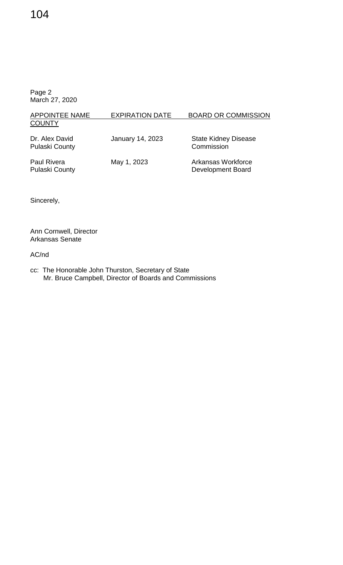# 104

Page 2 March 27, 2020

| <b>APPOINTEE NAME</b><br><b>COUNTY</b>      | <b>EXPIRATION DATE</b>  | <b>BOARD OR COMMISSION</b>                |
|---------------------------------------------|-------------------------|-------------------------------------------|
| Dr. Alex David<br><b>Pulaski County</b>     | <b>January 14, 2023</b> | <b>State Kidney Disease</b><br>Commission |
| <b>Paul Rivera</b><br><b>Pulaski County</b> | May 1, 2023             | Arkansas Workforce<br>Development Board   |

Sincerely,

Ann Cornwell, Director Arkansas Senate

AC/nd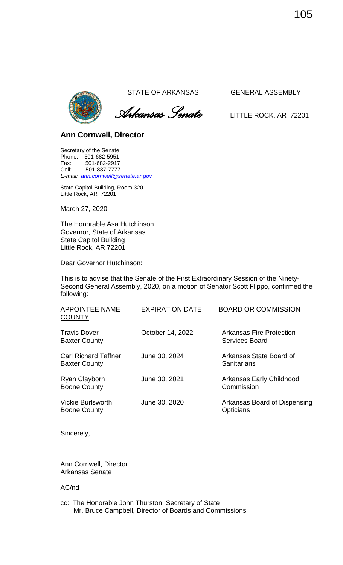

 *Arkansas Senate* LITTLE ROCK, AR <sup>72201</sup>

### **Ann Cornwell, Director**

Secretary of the Senate Phone: 501-682-5951 Fax: 501-682-2917 Cell: 501-837-7777 *E-mail: [ann.cornwell@senate.ar.gov](mailto:ann.cornwell@senate.ar.gov)*

State Capitol Building, Room 320 Little Rock, AR 72201

March 27, 2020

The Honorable Asa Hutchinson Governor, State of Arkansas State Capitol Building Little Rock, AR 72201

Dear Governor Hutchinson:

This is to advise that the Senate of the First Extraordinary Session of the Ninety-Second General Assembly, 2020, on a motion of Senator Scott Flippo, confirmed the following:

| <b>APPOINTEE NAME</b><br><b>COUNTY</b>              | <b>EXPIRATION DATE</b> | <b>BOARD OR COMMISSION</b>                        |
|-----------------------------------------------------|------------------------|---------------------------------------------------|
| <b>Travis Dover</b><br><b>Baxter County</b>         | October 14, 2022       | Arkansas Fire Protection<br><b>Services Board</b> |
| <b>Carl Richard Taffner</b><br><b>Baxter County</b> | June 30, 2024          | Arkansas State Board of<br>Sanitarians            |
| Ryan Clayborn<br><b>Boone County</b>                | June 30, 2021          | Arkansas Early Childhood<br>Commission            |
| <b>Vickie Burlsworth</b><br><b>Boone County</b>     | June 30, 2020          | Arkansas Board of Dispensing<br>Opticians         |
|                                                     |                        |                                                   |

Sincerely,

Ann Cornwell, Director Arkansas Senate

AC/nd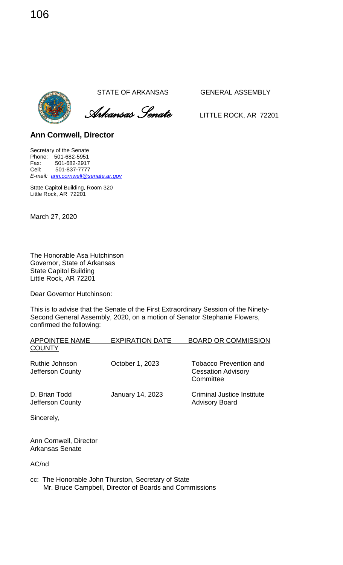*Arkansas Senate* LITTLE ROCK, AR <sup>72201</sup>

**Ann Cornwell, Director** 

Secretary of the Senate Phone: 501-682-5951 Fax: 501-682-2917 Cell: 501-837-7777 *E-mail: [ann.cornwell@senate.ar.gov](mailto:ann.cornwell@senate.ar.gov)*

State Capitol Building, Room 320 Little Rock, AR 72201

March 27, 2020

The Honorable Asa Hutchinson Governor, State of Arkansas State Capitol Building Little Rock, AR 72201

Dear Governor Hutchinson:

This is to advise that the Senate of the First Extraordinary Session of the Ninety-Second General Assembly, 2020, on a motion of Senator Stephanie Flowers, confirmed the following:

| <b>APPOINTEE NAME</b>              | <b>EXPIRATION DATE</b>  | <b>BOARD OR COMMISSION</b>                                              |
|------------------------------------|-------------------------|-------------------------------------------------------------------------|
| <b>COUNTY</b>                      |                         |                                                                         |
| Ruthie Johnson<br>Jefferson County | October 1, 2023         | <b>Tobacco Prevention and</b><br><b>Cessation Advisory</b><br>Committee |
| D. Brian Todd<br>Jefferson County  | <b>January 14, 2023</b> | Criminal Justice Institute<br><b>Advisory Board</b>                     |
| $\sim$ $\sim$ $\sim$ $\sim$        |                         |                                                                         |

Sincerely,

Ann Cornwell, Director Arkansas Senate

AC/nd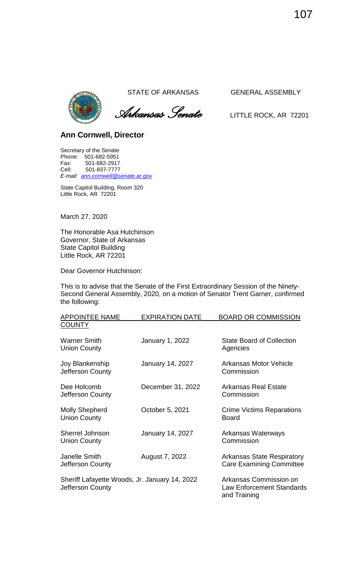

 *Arkansas Senate* LITTLE ROCK, AR <sup>72201</sup>

# **Ann Cornwell, Director**

Secretary of the Senate Phone: 501-682-5951 Fax: 501-682-2917<br>Cell: 501-837-7777 Cell: 501-837-7777 *E-mail: [ann.cornwell@senate.ar.gov](mailto:ann.cornwell@senate.ar.gov)*

State Capitol Building, Room 320 Little Rock, AR 72201

March 27, 2020

The Honorable Asa Hutchinson Governor, State of Arkansas State Capitol Building Little Rock, AR 72201

Dear Governor Hutchinson:

This is to advise that the Senate of the First Extraordinary Session of the Ninety-Second General Assembly, 2020, on a motion of Senator Trent Garner, confirmed the following:

| <b>APPOINTEE NAME</b>                                             | <b>EXPIRATION DATE</b> | <b>BOARD OR COMMISSION</b>                                                 |
|-------------------------------------------------------------------|------------------------|----------------------------------------------------------------------------|
| <b>COUNTY</b>                                                     |                        |                                                                            |
| <b>Warner Smith</b><br><b>Union County</b>                        | January 1, 2022        | <b>State Board of Collection</b><br>Agencies                               |
| Joy Blankenship<br>Jefferson County                               | January 14, 2027       | Arkansas Motor Vehicle<br>Commission                                       |
| Dee Holcomb<br>Jefferson County                                   | December 31, 2022      | Arkansas Real Estate<br>Commission                                         |
| <b>Molly Shepherd</b><br><b>Union County</b>                      | October 5, 2021        | <b>Crime Victims Reparations</b><br><b>Board</b>                           |
| <b>Sherrel Johnson</b><br><b>Union County</b>                     | January 14, 2027       | Arkansas Waterways<br>Commission                                           |
| Janelle Smith<br>Jefferson County                                 | August 7, 2022         | <b>Arkansas State Respiratory</b><br><b>Care Examining Committee</b>       |
| Sheriff Lafayette Woods, Jr. January 14, 2022<br>Jefferson County |                        | Arkansas Commission on<br><b>Law Enforcement Standards</b><br>and Training |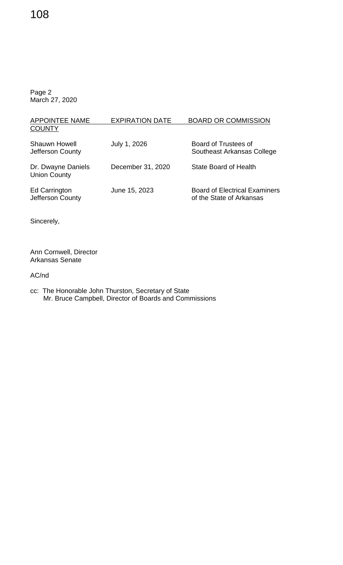# 108

Page 2 March 27, 2020

| <b>APPOINTEE NAME</b>                     | <b>EXPIRATION DATE</b> | <b>BOARD OR COMMISSION</b>                                       |
|-------------------------------------------|------------------------|------------------------------------------------------------------|
| <b>COUNTY</b>                             |                        |                                                                  |
| <b>Shauwn Howell</b><br>Jefferson County  | July 1, 2026           | Board of Trustees of<br>Southeast Arkansas College               |
| Dr. Dwayne Daniels<br><b>Union County</b> | December 31, 2020      | <b>State Board of Health</b>                                     |
| <b>Ed Carrington</b><br>Jefferson County  | June 15, 2023          | <b>Board of Electrical Examiners</b><br>of the State of Arkansas |

Sincerely,

Ann Cornwell, Director Arkansas Senate

AC/nd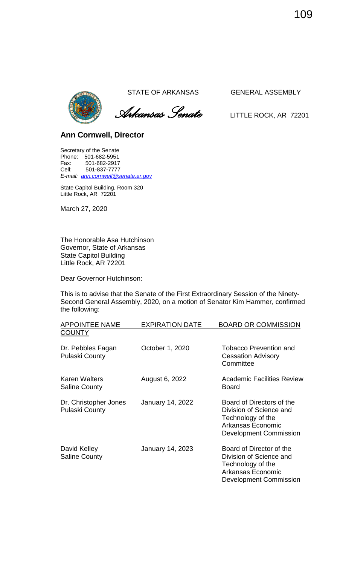

 *Arkansas Senate* LITTLE ROCK, AR <sup>72201</sup>

# **Ann Cornwell, Director**

Secretary of the Senate Phone: 501-682-5951 Fax: 501-682-2917<br>Cell: 501-837-7777 Cell: 501-837-7777 *E-mail: [ann.cornwell@senate.ar.gov](mailto:ann.cornwell@senate.ar.gov)*

State Capitol Building, Room 320 Little Rock, AR 72201

March 27, 2020

The Honorable Asa Hutchinson Governor, State of Arkansas State Capitol Building Little Rock, AR 72201

Dear Governor Hutchinson:

This is to advise that the Senate of the First Extraordinary Session of the Ninety-Second General Assembly, 2020, on a motion of Senator Kim Hammer, confirmed the following:

| <b>APPOINTEE NAME</b>                          | <b>EXPIRATION DATE</b>  | <b>BOARD OR COMMISSION</b>                                                                                                     |
|------------------------------------------------|-------------------------|--------------------------------------------------------------------------------------------------------------------------------|
| <b>COUNTY</b>                                  |                         |                                                                                                                                |
| Dr. Pebbles Fagan<br><b>Pulaski County</b>     | October 1, 2020         | <b>Tobacco Prevention and</b><br><b>Cessation Advisory</b><br>Committee                                                        |
| <b>Karen Walters</b><br><b>Saline County</b>   | August 6, 2022          | <b>Academic Facilities Review</b><br>Board                                                                                     |
| Dr. Christopher Jones<br><b>Pulaski County</b> | <b>January 14, 2022</b> | Board of Directors of the<br>Division of Science and<br>Technology of the<br>Arkansas Economic<br>Development Commission       |
| David Kelley<br><b>Saline County</b>           | <b>January 14, 2023</b> | Board of Director of the<br>Division of Science and<br>Technology of the<br>Arkansas Economic<br><b>Development Commission</b> |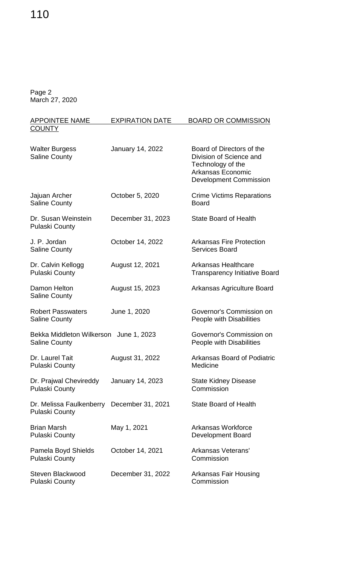# 110

Page 2 March 27, 2020

| <b>APPOINTEE NAME</b>                                               | <b>EXPIRATION DATE</b>  | <b>BOARD OR COMMISSION</b>                                                                                                      |
|---------------------------------------------------------------------|-------------------------|---------------------------------------------------------------------------------------------------------------------------------|
| <b>COUNTY</b>                                                       |                         |                                                                                                                                 |
| <b>Walter Burgess</b><br><b>Saline County</b>                       | <b>January 14, 2022</b> | Board of Directors of the<br>Division of Science and<br>Technology of the<br>Arkansas Economic<br><b>Development Commission</b> |
| Jajuan Archer<br><b>Saline County</b>                               | October 5, 2020         | <b>Crime Victims Reparations</b><br><b>Board</b>                                                                                |
| Dr. Susan Weinstein<br><b>Pulaski County</b>                        | December 31, 2023       | <b>State Board of Health</b>                                                                                                    |
| J. P. Jordan<br><b>Saline County</b>                                | October 14, 2022        | <b>Arkansas Fire Protection</b><br><b>Services Board</b>                                                                        |
| Dr. Calvin Kellogg<br><b>Pulaski County</b>                         | August 12, 2021         | <b>Arkansas Healthcare</b><br><b>Transparency Initiative Board</b>                                                              |
| Damon Helton<br><b>Saline County</b>                                | August 15, 2023         | Arkansas Agriculture Board                                                                                                      |
| <b>Robert Passwaters</b><br><b>Saline County</b>                    | June 1, 2020            | Governor's Commission on<br>People with Disabilities                                                                            |
| Bekka Middleton Wilkerson June 1, 2023<br><b>Saline County</b>      |                         | Governor's Commission on<br>People with Disabilities                                                                            |
| Dr. Laurel Tait<br>Pulaski County                                   | August 31, 2022         | <b>Arkansas Board of Podiatric</b><br>Medicine                                                                                  |
| Dr. Prajwal Chevireddy<br><b>Pulaski County</b>                     | January 14, 2023        | <b>State Kidney Disease</b><br>Commission                                                                                       |
| Dr. Melissa Faulkenberry December 31, 2021<br><b>Pulaski County</b> |                         | <b>State Board of Health</b>                                                                                                    |
| Brian Marsh<br><b>Pulaski County</b>                                | May 1, 2021             | Arkansas Workforce<br>Development Board                                                                                         |
| Pamela Boyd Shields<br><b>Pulaski County</b>                        | October 14, 2021        | Arkansas Veterans'<br>Commission                                                                                                |
| Steven Blackwood<br>Pulaski County                                  | December 31, 2022       | <b>Arkansas Fair Housing</b><br>Commission                                                                                      |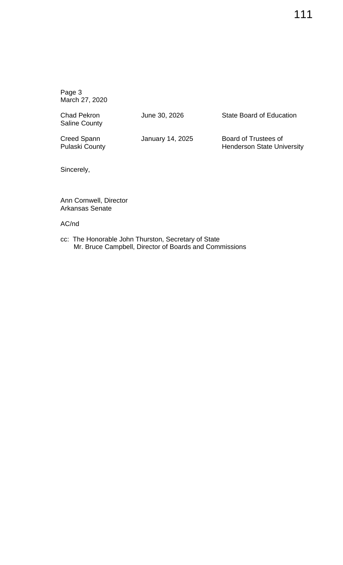Saline County

Chad Pekron **June 30, 2026** State Board of Education

Creed Spann **January 14, 2025** Board of Trustees of<br>Pulaski County **Bullet County** Henderson State Uni Henderson State University

Sincerely,

Ann Cornwell, Director Arkansas Senate

AC/nd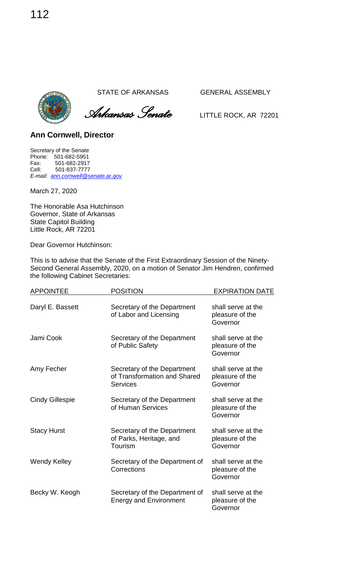*Arkansas Senate* LITTLE ROCK, AR <sup>72201</sup>

**Ann Cornwell, Director** 

Secretary of the Senate Phone: 501-682-5951 Fax: 501-682-2917<br>Cell: 501-837-7777 Cell: 501-837-7777 *E-mail: [ann.cornwell@senate.ar.gov](mailto:ann.cornwell@senate.ar.gov)*

March 27, 2020

The Honorable Asa Hutchinson Governor, State of Arkansas State Capitol Building Little Rock, AR 72201

Dear Governor Hutchinson:

This is to advise that the Senate of the First Extraordinary Session of the Ninety-Second General Assembly, 2020, on a motion of Senator Jim Hendren, confirmed the following Cabinet Secretaries:

| <b>APPOINTEE</b>       | <b>POSITION</b>                                                         | <b>EXPIRATION DATE</b>                            |
|------------------------|-------------------------------------------------------------------------|---------------------------------------------------|
| Daryl E. Bassett       | Secretary of the Department<br>of Labor and Licensing                   | shall serve at the<br>pleasure of the<br>Governor |
| Jami Cook              | Secretary of the Department<br>of Public Safety                         | shall serve at the<br>pleasure of the<br>Governor |
| Amy Fecher             | Secretary of the Department<br>of Transformation and Shared<br>Services | shall serve at the<br>pleasure of the<br>Governor |
| <b>Cindy Gillespie</b> | Secretary of the Department<br>of Human Services                        | shall serve at the<br>pleasure of the<br>Governor |
| <b>Stacy Hurst</b>     | Secretary of the Department<br>of Parks, Heritage, and<br>Tourism       | shall serve at the<br>pleasure of the<br>Governor |
| <b>Wendy Kelley</b>    | Secretary of the Department of<br>Corrections                           | shall serve at the<br>pleasure of the<br>Governor |
| Becky W. Keogh         | Secretary of the Department of<br><b>Energy and Environment</b>         | shall serve at the<br>pleasure of the<br>Governor |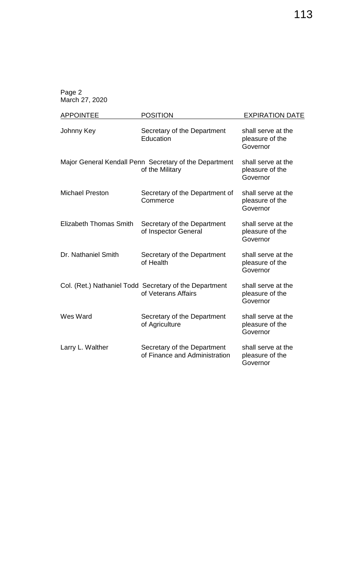| <b>APPOINTEE</b>              | <b>POSITION</b>                                                               | <b>EXPIRATION DATE</b>                            |
|-------------------------------|-------------------------------------------------------------------------------|---------------------------------------------------|
| Johnny Key                    | Secretary of the Department<br>Education                                      | shall serve at the<br>pleasure of the<br>Governor |
|                               | Major General Kendall Penn Secretary of the Department<br>of the Military     | shall serve at the<br>pleasure of the<br>Governor |
| <b>Michael Preston</b>        | Secretary of the Department of<br>Commerce                                    | shall serve at the<br>pleasure of the<br>Governor |
| <b>Elizabeth Thomas Smith</b> | Secretary of the Department<br>of Inspector General                           | shall serve at the<br>pleasure of the<br>Governor |
| Dr. Nathaniel Smith           | Secretary of the Department<br>of Health                                      | shall serve at the<br>pleasure of the<br>Governor |
|                               | Col. (Ret.) Nathaniel Todd Secretary of the Department<br>of Veterans Affairs | shall serve at the<br>pleasure of the<br>Governor |
| Wes Ward                      | Secretary of the Department<br>of Agriculture                                 | shall serve at the<br>pleasure of the<br>Governor |
| Larry L. Walther              | Secretary of the Department<br>of Finance and Administration                  | shall serve at the<br>pleasure of the<br>Governor |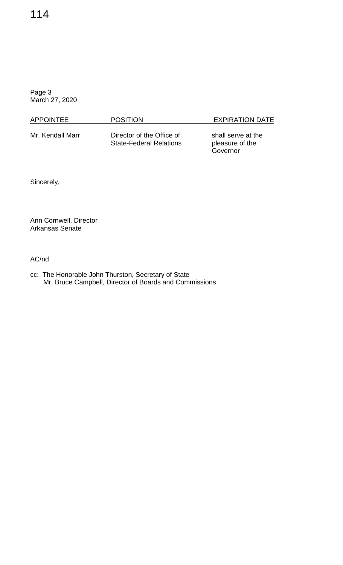| <b>APPOINTEE</b> | <b>POSITION</b>                                             | <b>EXPIRATION DATE</b>                            |
|------------------|-------------------------------------------------------------|---------------------------------------------------|
| Mr. Kendall Marr | Director of the Office of<br><b>State-Federal Relations</b> | shall serve at the<br>pleasure of the<br>Governor |

Sincerely,

Ann Cornwell, Director Arkansas Senate

AC/nd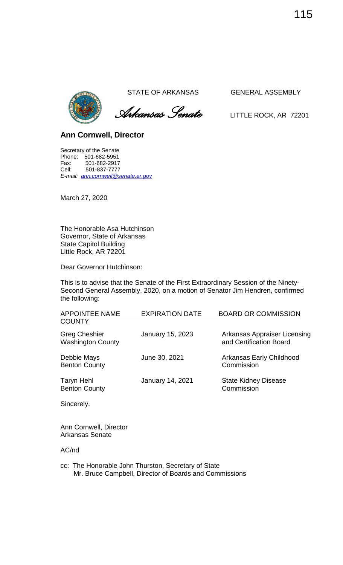

 *Arkansas Senate* LITTLE ROCK, AR <sup>72201</sup>

# **Ann Cornwell, Director**

Secretary of the Senate Phone: 501-682-5951 Fax: 501-682-2917 Cell: 501-837-7777 *E-mail: [ann.cornwell@senate.ar.gov](mailto:ann.cornwell@senate.ar.gov)*

March 27, 2020

The Honorable Asa Hutchinson Governor, State of Arkansas State Capitol Building Little Rock, AR 72201

Dear Governor Hutchinson:

This is to advise that the Senate of the First Extraordinary Session of the Ninety-Second General Assembly, 2020, on a motion of Senator Jim Hendren, confirmed the following:

| <b>APPOINTEE NAME</b>                            | <b>EXPIRATION DATE</b> | <b>BOARD OR COMMISSION</b>                              |
|--------------------------------------------------|------------------------|---------------------------------------------------------|
| <b>COUNTY</b>                                    |                        |                                                         |
| <b>Greg Cheshier</b><br><b>Washington County</b> | January 15, 2023       | Arkansas Appraiser Licensing<br>and Certification Board |
| Debbie Mays<br><b>Benton County</b>              | June 30, 2021          | Arkansas Early Childhood<br>Commission                  |
| Taryn Hehl<br><b>Benton County</b>               | January 14, 2021       | <b>State Kidney Disease</b><br>Commission               |
| Sincerely,                                       |                        |                                                         |

Ann Cornwell, Director Arkansas Senate

AC/nd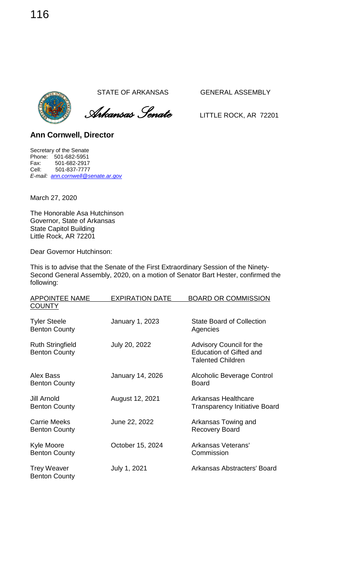*Arkansas Senate* LITTLE ROCK, AR <sup>72201</sup>

**Ann Cornwell, Director** 

Secretary of the Senate Phone: 501-682-5951 Fax: 501-682-2917<br>Cell: 501-837-7777 Cell: 501-837-7777 *E-mail: [ann.cornwell@senate.ar.gov](mailto:ann.cornwell@senate.ar.gov)*

March 27, 2020

The Honorable Asa Hutchinson Governor, State of Arkansas State Capitol Building Little Rock, AR 72201

Dear Governor Hutchinson:

This is to advise that the Senate of the First Extraordinary Session of the Ninety-Second General Assembly, 2020, on a motion of Senator Bart Hester, confirmed the following:

| <b>APPOINTEE NAME</b>                           | <b>EXPIRATION DATE</b> | <b>BOARD OR COMMISSION</b>                                                             |
|-------------------------------------------------|------------------------|----------------------------------------------------------------------------------------|
| <b>COUNTY</b>                                   |                        |                                                                                        |
| <b>Tyler Steele</b><br><b>Benton County</b>     | January 1, 2023        | <b>State Board of Collection</b><br>Agencies                                           |
| <b>Ruth Stringfield</b><br><b>Benton County</b> | July 20, 2022          | Advisory Council for the<br><b>Education of Gifted and</b><br><b>Talented Children</b> |
| Alex Bass<br><b>Benton County</b>               | January 14, 2026       | Alcoholic Beverage Control<br><b>Board</b>                                             |
| Jill Arnold<br><b>Benton County</b>             | August 12, 2021        | Arkansas Healthcare<br><b>Transparency Initiative Board</b>                            |
| <b>Carrie Meeks</b><br><b>Benton County</b>     | June 22, 2022          | Arkansas Towing and<br><b>Recovery Board</b>                                           |
| Kyle Moore<br><b>Benton County</b>              | October 15, 2024       | Arkansas Veterans'<br>Commission                                                       |
| <b>Trey Weaver</b><br><b>Benton County</b>      | July 1, 2021           | Arkansas Abstracters' Board                                                            |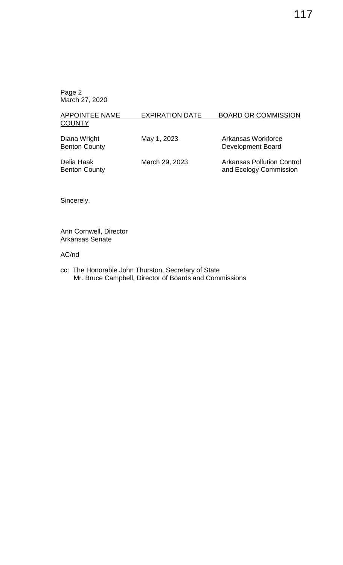| APPOINTEE NAME                       | <b>EXPIRATION DATE</b> | <b>BOARD OR COMMISSION</b>              |
|--------------------------------------|------------------------|-----------------------------------------|
| <b>COUNTY</b>                        |                        |                                         |
| Diana Wright<br><b>Benton County</b> | May 1, 2023            | Arkansas Workforce<br>Development Board |

Delia Haak March 29, 2023 Arkansas Pollution Control<br>Benton County **March 29, 2023** Arkansas Pollution Control and Ecology Commission

Sincerely,

Ann Cornwell, Director Arkansas Senate

#### AC/nd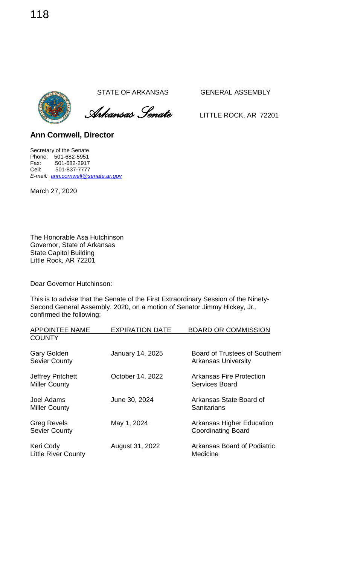*Arkansas Senate* LITTLE ROCK, AR <sup>72201</sup>

**Ann Cornwell, Director** 

Secretary of the Senate Phone: 501-682-5951 Fax: 501-682-2917<br>Cell: 501-837-7777 Cell: 501-837-7777 *E-mail: [ann.cornwell@senate.ar.gov](mailto:ann.cornwell@senate.ar.gov)*

March 27, 2020

The Honorable Asa Hutchinson Governor, State of Arkansas State Capitol Building Little Rock, AR 72201

Dear Governor Hutchinson:

This is to advise that the Senate of the First Extraordinary Session of the Ninety-Second General Assembly, 2020, on a motion of Senator Jimmy Hickey, Jr., confirmed the following:

| <b>APPOINTEE NAME</b>                            | <b>EXPIRATION DATE</b>  | <b>BOARD OR COMMISSION</b>                                    |
|--------------------------------------------------|-------------------------|---------------------------------------------------------------|
| <b>COUNTY</b>                                    |                         |                                                               |
| <b>Gary Golden</b><br><b>Sevier County</b>       | <b>January 14, 2025</b> | Board of Trustees of Southern<br><b>Arkansas University</b>   |
| <b>Jeffrey Pritchett</b><br><b>Miller County</b> | October 14, 2022        | <b>Arkansas Fire Protection</b><br>Services Board             |
| Joel Adams<br><b>Miller County</b>               | June 30, 2024           | Arkansas State Board of<br>Sanitarians                        |
| <b>Greg Revels</b><br><b>Sevier County</b>       | May 1, 2024             | <b>Arkansas Higher Education</b><br><b>Coordinating Board</b> |
| Keri Cody<br><b>Little River County</b>          | August 31, 2022         | Arkansas Board of Podiatric<br>Medicine                       |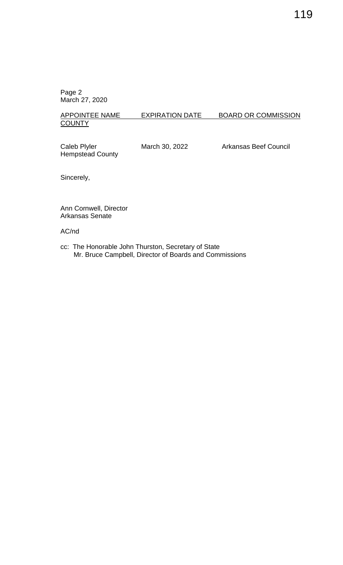#### APPOINTEE NAME EXPIRATION DATE BOARD OR COMMISSION **COUNTY**

Hempstead County

Caleb Plyler March 30, 2022 Arkansas Beef Council

Sincerely,

Ann Cornwell, Director Arkansas Senate

## AC/nd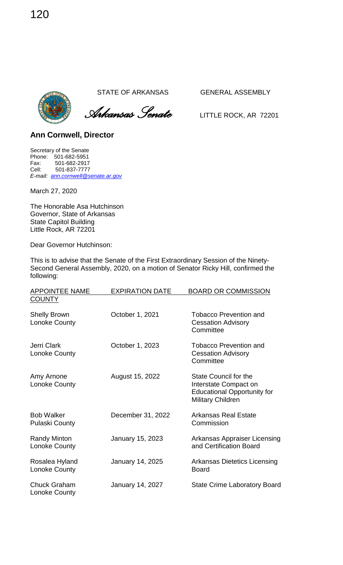



**Ann Cornwell, Director** 

Secretary of the Senate Phone: 501-682-5951 Fax: 501-682-2917<br>Cell: 501-837-7777 Cell: 501-837-7777 *E-mail: [ann.cornwell@senate.ar.gov](mailto:ann.cornwell@senate.ar.gov)*

March 27, 2020

The Honorable Asa Hutchinson Governor, State of Arkansas State Capitol Building Little Rock, AR 72201

Dear Governor Hutchinson:

This is to advise that the Senate of the First Extraordinary Session of the Ninety-Second General Assembly, 2020, on a motion of Senator Ricky Hill, confirmed the following:

| <b>APPOINTEE NAME</b>                      | <b>EXPIRATION DATE</b>  | <b>BOARD OR COMMISSION</b>                                                                                              |
|--------------------------------------------|-------------------------|-------------------------------------------------------------------------------------------------------------------------|
| <b>COUNTY</b>                              |                         |                                                                                                                         |
| <b>Shelly Brown</b><br>Lonoke County       | October 1, 2021         | <b>Tobacco Prevention and</b><br><b>Cessation Advisory</b><br>Committee                                                 |
| Jerri Clark<br>Lonoke County               | October 1, 2023         | <b>Tobacco Prevention and</b><br><b>Cessation Advisory</b><br>Committee                                                 |
| Amy Arnone<br>Lonoke County                | August 15, 2022         | <b>State Council for the</b><br>Interstate Compact on<br><b>Educational Opportunity for</b><br><b>Military Children</b> |
| <b>Bob Walker</b><br><b>Pulaski County</b> | December 31, 2022       | <b>Arkansas Real Estate</b><br>Commission                                                                               |
| <b>Randy Minton</b><br>Lonoke County       | January 15, 2023        | Arkansas Appraiser Licensing<br>and Certification Board                                                                 |
| Rosalea Hyland<br>Lonoke County            | January 14, 2025        | <b>Arkansas Dietetics Licensing</b><br><b>Board</b>                                                                     |
| <b>Chuck Graham</b><br>Lonoke County       | <b>January 14, 2027</b> | <b>State Crime Laboratory Board</b>                                                                                     |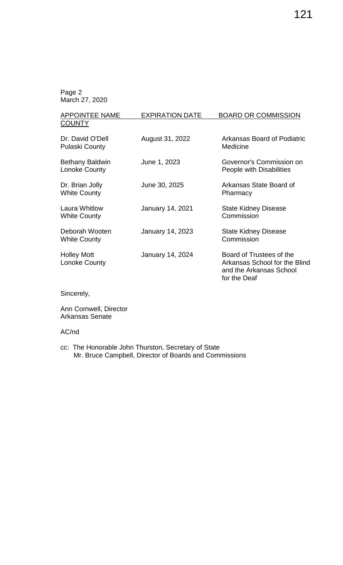| <b>APPOINTEE NAME</b><br><b>COUNTY</b>     | <b>EXPIRATION DATE</b> | <b>BOARD OR COMMISSION</b>                                                                           |
|--------------------------------------------|------------------------|------------------------------------------------------------------------------------------------------|
| Dr. David O'Dell<br><b>Pulaski County</b>  | August 31, 2022        | Arkansas Board of Podiatric<br>Medicine                                                              |
| <b>Bethany Baldwin</b><br>Lonoke County    | June 1, 2023           | Governor's Commission on<br>People with Disabilities                                                 |
| Dr. Brian Jolly<br><b>White County</b>     | June 30, 2025          | Arkansas State Board of<br>Pharmacy                                                                  |
| Laura Whitlow<br><b>White County</b>       | January 14, 2021       | <b>State Kidney Disease</b><br>Commission                                                            |
| Deborah Wooten<br><b>White County</b>      | January 14, 2023       | <b>State Kidney Disease</b><br>Commission                                                            |
| <b>Holley Mott</b><br><b>Lonoke County</b> | January 14, 2024       | Board of Trustees of the<br>Arkansas School for the Blind<br>and the Arkansas School<br>for the Deaf |

Sincerely,

Ann Cornwell, Director Arkansas Senate

#### AC/nd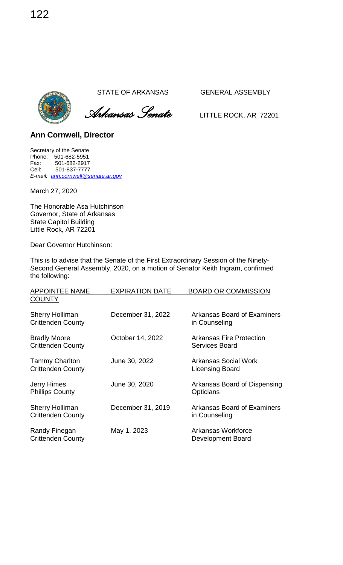



**Ann Cornwell, Director** 

Secretary of the Senate Phone: 501-682-5951 Fax: 501-682-2917<br>Cell: 501-837-7777 Cell: 501-837-7777 *E-mail: [ann.cornwell@senate.ar.gov](mailto:ann.cornwell@senate.ar.gov)*

March 27, 2020

The Honorable Asa Hutchinson Governor, State of Arkansas State Capitol Building Little Rock, AR 72201

Dear Governor Hutchinson:

This is to advise that the Senate of the First Extraordinary Session of the Ninety-Second General Assembly, 2020, on a motion of Senator Keith Ingram, confirmed the following:

| <b>APPOINTEE NAME</b>                              | <b>EXPIRATION DATE</b> | <b>BOARD OR COMMISSION</b>                          |
|----------------------------------------------------|------------------------|-----------------------------------------------------|
| <b>COUNTY</b>                                      |                        |                                                     |
| <b>Sherry Holliman</b><br><b>Crittenden County</b> | December 31, 2022      | <b>Arkansas Board of Examiners</b><br>in Counseling |
| <b>Bradly Moore</b><br><b>Crittenden County</b>    | October 14, 2022       | <b>Arkansas Fire Protection</b><br>Services Board   |
| <b>Tammy Charlton</b><br><b>Crittenden County</b>  | June 30, 2022          | Arkansas Social Work<br><b>Licensing Board</b>      |
| <b>Jerry Himes</b><br><b>Phillips County</b>       | June 30, 2020          | Arkansas Board of Dispensing<br>Opticians           |
| <b>Sherry Holliman</b><br><b>Crittenden County</b> | December 31, 2019      | Arkansas Board of Examiners<br>in Counseling        |
| Randy Finegan<br><b>Crittenden County</b>          | May 1, 2023            | Arkansas Workforce<br>Development Board             |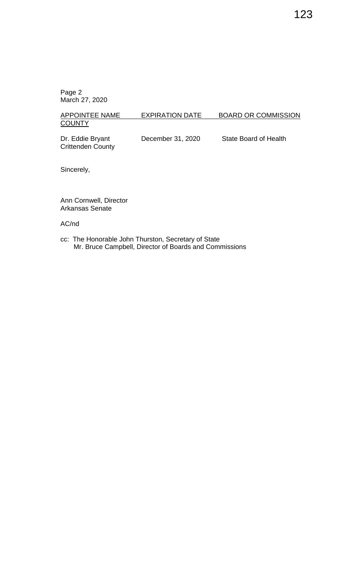### APPOINTEE NAME EXPIRATION DATE BOARD OR COMMISSION **COUNTY**

Dr. Eddie Bryant December 31, 2020 State Board of Health Crittenden County

Sincerely,

Ann Cornwell, Director Arkansas Senate

AC/nd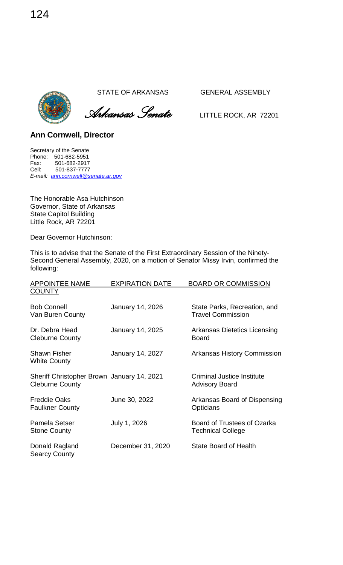

 *Arkansas Senate* LITTLE ROCK, AR <sup>72201</sup>

**Ann Cornwell, Director** 

Secretary of the Senate Phone: 501-682-5951 Fax: 501-682-2917<br>Cell: 501-837-7777 Cell: 501-837-7777 *E-mail: [ann.cornwell@senate.ar.gov](mailto:ann.cornwell@senate.ar.gov)*

The Honorable Asa Hutchinson Governor, State of Arkansas State Capitol Building Little Rock, AR 72201

Dear Governor Hutchinson:

This is to advise that the Senate of the First Extraordinary Session of the Ninety-Second General Assembly, 2020, on a motion of Senator Missy Irvin, confirmed the following:

| <b>APPOINTEE NAME</b>                                                | <b>EXPIRATION DATE</b> | <b>BOARD OR COMMISSION</b>                               |
|----------------------------------------------------------------------|------------------------|----------------------------------------------------------|
| <b>COUNTY</b>                                                        |                        |                                                          |
| <b>Bob Connell</b><br>Van Buren County                               | January 14, 2026       | State Parks, Recreation, and<br><b>Travel Commission</b> |
| Dr. Debra Head<br><b>Cleburne County</b>                             | January 14, 2025       | Arkansas Dietetics Licensing<br><b>Board</b>             |
| <b>Shawn Fisher</b><br><b>White County</b>                           | January 14, 2027       | <b>Arkansas History Commission</b>                       |
| Sheriff Christopher Brown January 14, 2021<br><b>Cleburne County</b> |                        | Criminal Justice Institute<br><b>Advisory Board</b>      |
| <b>Freddie Oaks</b><br><b>Faulkner County</b>                        | June 30, 2022          | Arkansas Board of Dispensing<br>Opticians                |
| <b>Pamela Setser</b><br><b>Stone County</b>                          | July 1, 2026           | Board of Trustees of Ozarka<br><b>Technical College</b>  |
| Donald Ragland<br><b>Searcy County</b>                               | December 31, 2020      | <b>State Board of Health</b>                             |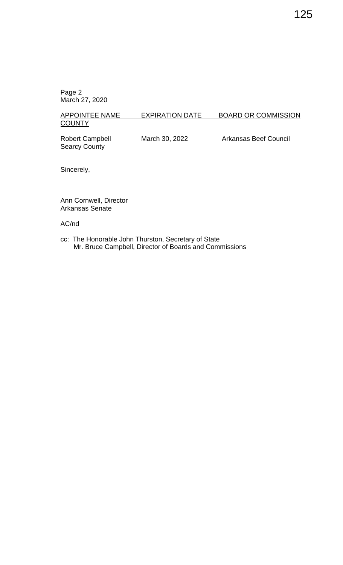#### APPOINTEE NAME EXPIRATION DATE BOARD OR COMMISSION **COUNTY**

Searcy County

Robert Campbell March 30, 2022 Arkansas Beef Council

Sincerely,

Ann Cornwell, Director Arkansas Senate

AC/nd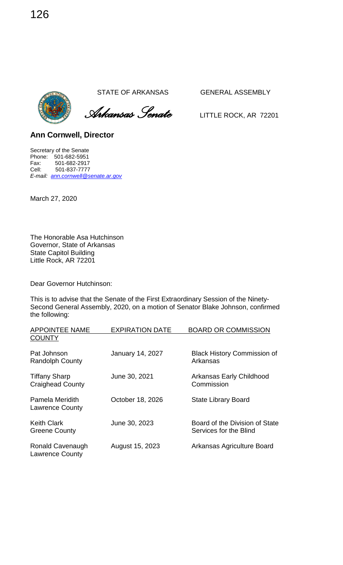*Arkansas Senate* LITTLE ROCK, AR <sup>72201</sup>

**Ann Cornwell, Director** 

Secretary of the Senate Phone: 501-682-5951 Fax: 501-682-2917<br>Cell: 501-837-7777 Cell: 501-837-7777 *E-mail: [ann.cornwell@senate.ar.gov](mailto:ann.cornwell@senate.ar.gov)*

March 27, 2020

The Honorable Asa Hutchinson Governor, State of Arkansas State Capitol Building Little Rock, AR 72201

Dear Governor Hutchinson:

This is to advise that the Senate of the First Extraordinary Session of the Ninety-Second General Assembly, 2020, on a motion of Senator Blake Johnson, confirmed the following:

| <b>APPOINTEE NAME</b>                           | <b>EXPIRATION DATE</b>  | <b>BOARD OR COMMISSION</b>                               |
|-------------------------------------------------|-------------------------|----------------------------------------------------------|
| <b>COUNTY</b>                                   |                         |                                                          |
| Pat Johnson<br><b>Randolph County</b>           | <b>January 14, 2027</b> | <b>Black History Commission of</b><br>Arkansas           |
| <b>Tiffany Sharp</b><br><b>Craighead County</b> | June 30, 2021           | Arkansas Early Childhood<br>Commission                   |
| Pamela Meridith<br><b>Lawrence County</b>       | October 18, 2026        | <b>State Library Board</b>                               |
| <b>Keith Clark</b><br><b>Greene County</b>      | June 30, 2023           | Board of the Division of State<br>Services for the Blind |
| Ronald Cavenaugh<br><b>Lawrence County</b>      | August 15, 2023         | Arkansas Agriculture Board                               |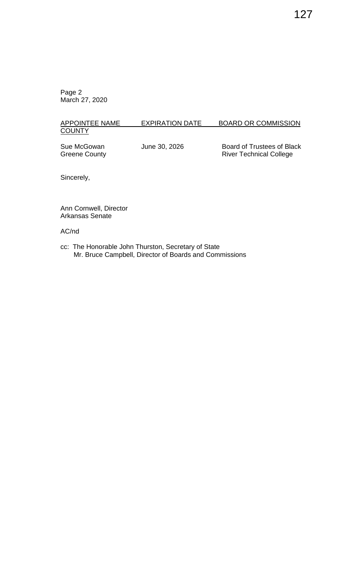#### APPOINTEE NAME EXPIRATION DATE BOARD OR COMMISSION **COUNTY**

Sue McGowan June 30, 2026 Board of Trustees of Black Greene County **River Technical College** River Technical College

Sincerely,

Ann Cornwell, Director Arkansas Senate

## AC/nd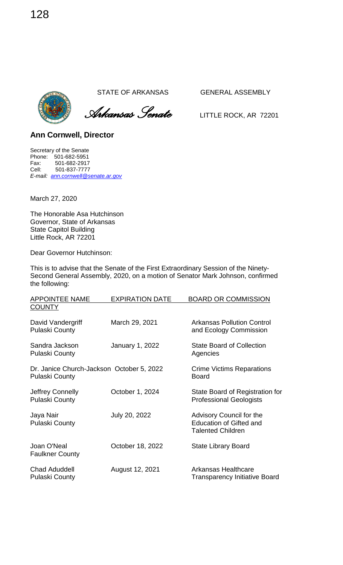



**Ann Cornwell, Director** 

Secretary of the Senate Phone: 501-682-5951 Fax: 501-682-2917<br>Cell: 501-837-7777 Cell: 501-837-7777 *E-mail: [ann.cornwell@senate.ar.gov](mailto:ann.cornwell@senate.ar.gov)*

March 27, 2020

The Honorable Asa Hutchinson Governor, State of Arkansas State Capitol Building Little Rock, AR 72201

Dear Governor Hutchinson:

This is to advise that the Senate of the First Extraordinary Session of the Ninety-Second General Assembly, 2020, on a motion of Senator Mark Johnson, confirmed the following:

| <b>APPOINTEE NAME</b>                                              | <b>EXPIRATION DATE</b> | <b>BOARD OR COMMISSION</b>                                                             |
|--------------------------------------------------------------------|------------------------|----------------------------------------------------------------------------------------|
| <b>COUNTY</b>                                                      |                        |                                                                                        |
| David Vandergriff<br><b>Pulaski County</b>                         | March 29, 2021         | <b>Arkansas Pollution Control</b><br>and Ecology Commission                            |
| Sandra Jackson<br><b>Pulaski County</b>                            | January 1, 2022        | <b>State Board of Collection</b><br>Agencies                                           |
| Dr. Janice Church-Jackson October 5, 2022<br><b>Pulaski County</b> |                        | <b>Crime Victims Reparations</b><br><b>Board</b>                                       |
| Jeffrey Connelly<br><b>Pulaski County</b>                          | October 1, 2024        | State Board of Registration for<br><b>Professional Geologists</b>                      |
| Jaya Nair<br><b>Pulaski County</b>                                 | July 20, 2022          | Advisory Council for the<br><b>Education of Gifted and</b><br><b>Talented Children</b> |
| Joan O'Neal<br><b>Faulkner County</b>                              | October 18, 2022       | <b>State Library Board</b>                                                             |
| <b>Chad Aduddell</b><br><b>Pulaski County</b>                      | August 12, 2021        | Arkansas Healthcare<br><b>Transparency Initiative Board</b>                            |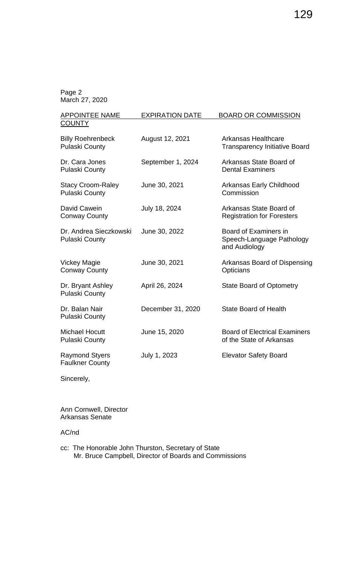| <b>APPOINTEE NAME</b>                             | <b>EXPIRATION DATE</b> | <b>BOARD OR COMMISSION</b>                                          |
|---------------------------------------------------|------------------------|---------------------------------------------------------------------|
| <b>COUNTY</b>                                     |                        |                                                                     |
| <b>Billy Roehrenbeck</b><br><b>Pulaski County</b> | August 12, 2021        | <b>Arkansas Healthcare</b><br><b>Transparency Initiative Board</b>  |
| Dr. Cara Jones<br><b>Pulaski County</b>           | September 1, 2024      | Arkansas State Board of<br><b>Dental Examiners</b>                  |
| <b>Stacy Croom-Raley</b><br><b>Pulaski County</b> | June 30, 2021          | Arkansas Early Childhood<br>Commission                              |
| David Cawein<br><b>Conway County</b>              | July 18, 2024          | Arkansas State Board of<br><b>Registration for Foresters</b>        |
| Dr. Andrea Sieczkowski<br><b>Pulaski County</b>   | June 30, 2022          | Board of Examiners in<br>Speech-Language Pathology<br>and Audiology |
| <b>Vickey Magie</b><br><b>Conway County</b>       | June 30, 2021          | Arkansas Board of Dispensing<br>Opticians                           |
| Dr. Bryant Ashley<br><b>Pulaski County</b>        | April 26, 2024         | <b>State Board of Optometry</b>                                     |
| Dr. Balan Nair<br><b>Pulaski County</b>           | December 31, 2020      | <b>State Board of Health</b>                                        |
| <b>Michael Hocutt</b><br><b>Pulaski County</b>    | June 15, 2020          | <b>Board of Electrical Examiners</b><br>of the State of Arkansas    |
| <b>Raymond Styers</b><br><b>Faulkner County</b>   | July 1, 2023           | <b>Elevator Safety Board</b>                                        |

Sincerely,

Ann Cornwell, Director Arkansas Senate

#### AC/nd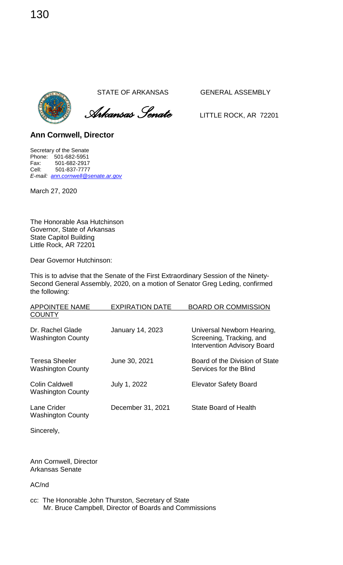*Arkansas Senate* LITTLE ROCK, AR <sup>72201</sup>

**Ann Cornwell, Director** 

Secretary of the Senate Phone: 501-682-5951 Fax: 501-682-2917<br>Cell: 501-837-7777 Cell: 501-837-7777 *E-mail: [ann.cornwell@senate.ar.gov](mailto:ann.cornwell@senate.ar.gov)*

March 27, 2020

The Honorable Asa Hutchinson Governor, State of Arkansas State Capitol Building Little Rock, AR 72201

Dear Governor Hutchinson:

This is to advise that the Senate of the First Extraordinary Session of the Ninety-Second General Assembly, 2020, on a motion of Senator Greg Leding, confirmed the following:

| <b>APPOINTEE NAME</b>                             | <b>EXPIRATION DATE</b>  | <b>BOARD OR COMMISSION</b>                                                                   |
|---------------------------------------------------|-------------------------|----------------------------------------------------------------------------------------------|
| <b>COUNTY</b>                                     |                         |                                                                                              |
| Dr. Rachel Glade<br><b>Washington County</b>      | <b>January 14, 2023</b> | Universal Newborn Hearing,<br>Screening, Tracking, and<br><b>Intervention Advisory Board</b> |
| <b>Teresa Sheeler</b><br><b>Washington County</b> | June 30, 2021           | Board of the Division of State<br>Services for the Blind                                     |
| <b>Colin Caldwell</b><br><b>Washington County</b> | July 1, 2022            | <b>Elevator Safety Board</b>                                                                 |
| Lane Crider<br><b>Washington County</b>           | December 31, 2021       | <b>State Board of Health</b>                                                                 |

Sincerely,

Ann Cornwell, Director Arkansas Senate

AC/nd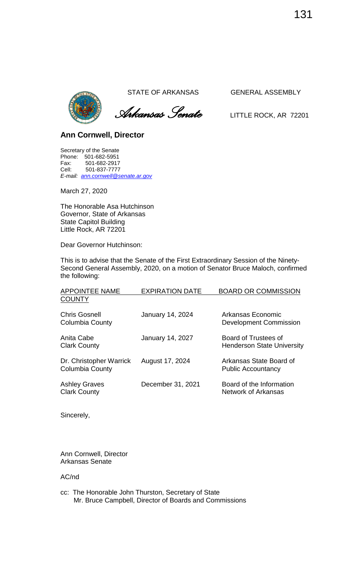

 *Arkansas Senate* LITTLE ROCK, AR <sup>72201</sup>

### **Ann Cornwell, Director**

Secretary of the Senate Phone: 501-682-5951 Fax: 501-682-2917<br>Cell: 501-837-7777 Cell: 501-837-7777 *E-mail: [ann.cornwell@senate.ar.gov](mailto:ann.cornwell@senate.ar.gov)*

March 27, 2020

The Honorable Asa Hutchinson Governor, State of Arkansas State Capitol Building Little Rock, AR 72201

Dear Governor Hutchinson:

This is to advise that the Senate of the First Extraordinary Session of the Ninety-Second General Assembly, 2020, on a motion of Senator Bruce Maloch, confirmed the following:

| <b>APPOINTEE NAME</b><br><b>COUNTY</b>      | <b>EXPIRATION DATE</b>  | <b>BOARD OR COMMISSION</b>                                |
|---------------------------------------------|-------------------------|-----------------------------------------------------------|
| <b>Chris Gosnell</b><br>Columbia County     | January 14, 2024        | Arkansas Economic<br><b>Development Commission</b>        |
| Anita Cabe<br><b>Clark County</b>           | <b>January 14, 2027</b> | Board of Trustees of<br><b>Henderson State University</b> |
| Dr. Christopher Warrick<br>Columbia County  | August 17, 2024         | Arkansas State Board of<br><b>Public Accountancy</b>      |
| <b>Ashley Graves</b><br><b>Clark County</b> | December 31, 2021       | Board of the Information<br>Network of Arkansas           |

Sincerely,

Ann Cornwell, Director Arkansas Senate

AC/nd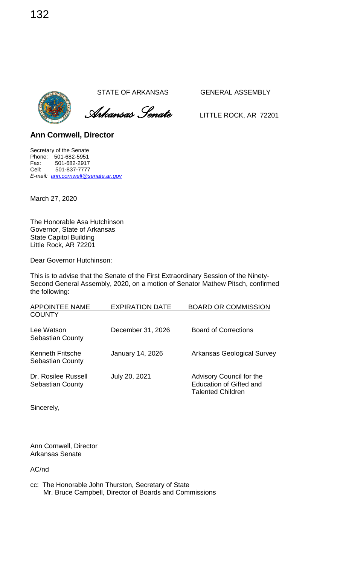*Arkansas Senate* LITTLE ROCK, AR <sup>72201</sup>

**Ann Cornwell, Director** 

Secretary of the Senate Phone: 501-682-5951 Fax: 501-682-2917<br>Cell: 501-837-7777 Cell: 501-837-7777 *E-mail: [ann.cornwell@senate.ar.gov](mailto:ann.cornwell@senate.ar.gov)*

March 27, 2020

The Honorable Asa Hutchinson Governor, State of Arkansas State Capitol Building Little Rock, AR 72201

Dear Governor Hutchinson:

This is to advise that the Senate of the First Extraordinary Session of the Ninety-Second General Assembly, 2020, on a motion of Senator Mathew Pitsch, confirmed the following:

| <b>APPOINTEE NAME</b>                              | <b>EXPIRATION DATE</b> | <b>BOARD OR COMMISSION</b>                                                             |
|----------------------------------------------------|------------------------|----------------------------------------------------------------------------------------|
| <b>COUNTY</b>                                      |                        |                                                                                        |
| Lee Watson<br><b>Sebastian County</b>              | December 31, 2026      | <b>Board of Corrections</b>                                                            |
| <b>Kenneth Fritsche</b><br><b>Sebastian County</b> | January 14, 2026       | <b>Arkansas Geological Survey</b>                                                      |
| Dr. Rosilee Russell<br><b>Sebastian County</b>     | July 20, 2021          | Advisory Council for the<br><b>Education of Gifted and</b><br><b>Talented Children</b> |

Sincerely,

Ann Cornwell, Director Arkansas Senate

AC/nd

cc: The Honorable John Thurston, Secretary of State Mr. Bruce Campbell, Director of Boards and Commissions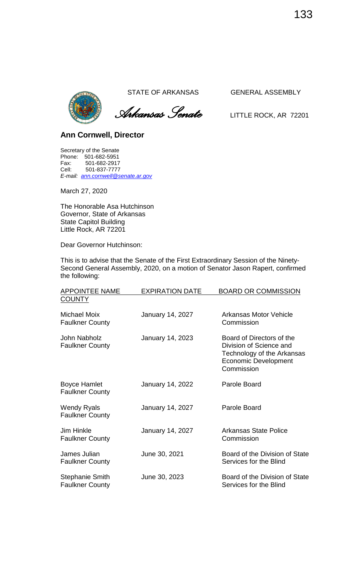

 *Arkansas Senate* LITTLE ROCK, AR <sup>72201</sup>

# **Ann Cornwell, Director**

Secretary of the Senate Phone: 501-682-5951<br>Fax: 501-682-2917 Fax: 501-682-2917<br>Cell: 501-837-7777 Cell: 501-837-7777 *E-mail: [ann.cornwell@senate.ar.gov](mailto:ann.cornwell@senate.ar.gov)*

March 27, 2020

The Honorable Asa Hutchinson Governor, State of Arkansas State Capitol Building Little Rock, AR 72201

Dear Governor Hutchinson:

This is to advise that the Senate of the First Extraordinary Session of the Ninety-Second General Assembly, 2020, on a motion of Senator Jason Rapert, confirmed the following:

| <b>APPOINTEE NAME</b>                            | <b>EXPIRATION DATE</b> | <b>BOARD OR COMMISSION</b>                                                                                                      |
|--------------------------------------------------|------------------------|---------------------------------------------------------------------------------------------------------------------------------|
| <b>COUNTY</b>                                    |                        |                                                                                                                                 |
| Michael Moix<br><b>Faulkner County</b>           | January 14, 2027       | Arkansas Motor Vehicle<br>Commission                                                                                            |
| John Nabholz<br><b>Faulkner County</b>           | January 14, 2023       | Board of Directors of the<br>Division of Science and<br>Technology of the Arkansas<br><b>Economic Development</b><br>Commission |
| <b>Boyce Hamlet</b><br><b>Faulkner County</b>    | January 14, 2022       | Parole Board                                                                                                                    |
| <b>Wendy Ryals</b><br><b>Faulkner County</b>     | January 14, 2027       | Parole Board                                                                                                                    |
| <b>Jim Hinkle</b><br><b>Faulkner County</b>      | January 14, 2027       | <b>Arkansas State Police</b><br>Commission                                                                                      |
| James Julian<br><b>Faulkner County</b>           | June 30, 2021          | Board of the Division of State<br>Services for the Blind                                                                        |
| <b>Stephanie Smith</b><br><b>Faulkner County</b> | June 30, 2023          | Board of the Division of State<br>Services for the Blind                                                                        |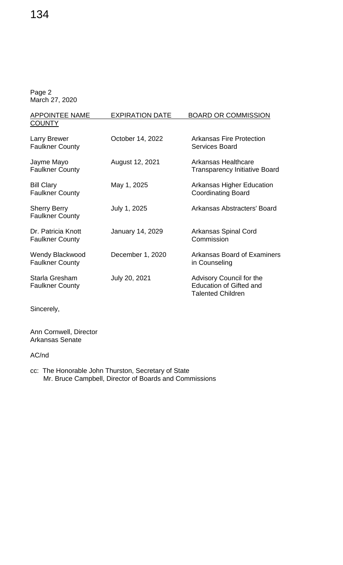| <b>APPOINTEE NAME</b>                            | <b>EXPIRATION DATE</b> | <b>BOARD OR COMMISSION</b>                                                             |
|--------------------------------------------------|------------------------|----------------------------------------------------------------------------------------|
| <b>COUNTY</b>                                    |                        |                                                                                        |
| Larry Brewer<br><b>Faulkner County</b>           | October 14, 2022       | <b>Arkansas Fire Protection</b><br>Services Board                                      |
| Jayme Mayo<br><b>Faulkner County</b>             | August 12, 2021        | Arkansas Healthcare<br><b>Transparency Initiative Board</b>                            |
| <b>Bill Clary</b><br><b>Faulkner County</b>      | May 1, 2025            | <b>Arkansas Higher Education</b><br><b>Coordinating Board</b>                          |
| <b>Sherry Berry</b><br><b>Faulkner County</b>    | July 1, 2025           | Arkansas Abstracters' Board                                                            |
| Dr. Patricia Knott<br><b>Faulkner County</b>     | January 14, 2029       | Arkansas Spinal Cord<br>Commission                                                     |
| <b>Wendy Blackwood</b><br><b>Faulkner County</b> | December 1, 2020       | <b>Arkansas Board of Examiners</b><br>in Counseling                                    |
| Starla Gresham<br><b>Faulkner County</b>         | July 20, 2021          | Advisory Council for the<br><b>Education of Gifted and</b><br><b>Talented Children</b> |

Sincerely,

Ann Cornwell, Director Arkansas Senate

AC/nd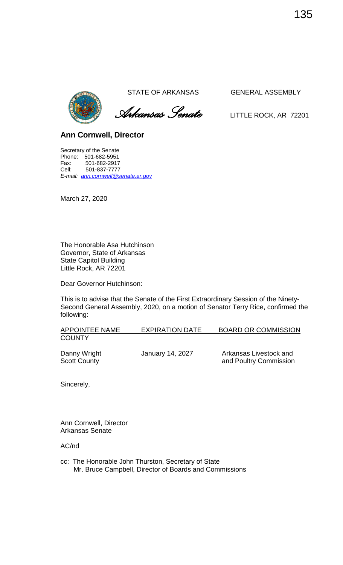

 *Arkansas Senate* LITTLE ROCK, AR <sup>72201</sup>

**Ann Cornwell, Director** 

Secretary of the Senate Phone: 501-682-5951 Fax: 501-682-2917 Cell: 501-837-7777 *E-mail: [ann.cornwell@senate.ar.gov](mailto:ann.cornwell@senate.ar.gov)*

March 27, 2020

The Honorable Asa Hutchinson Governor, State of Arkansas State Capitol Building Little Rock, AR 72201

Dear Governor Hutchinson:

This is to advise that the Senate of the First Extraordinary Session of the Ninety-Second General Assembly, 2020, on a motion of Senator Terry Rice, confirmed the following:

| <b>APPOINTEE NAME</b> | <b>EXPIRATION DATE</b> | <b>BOARD OR COMMISSION</b> |
|-----------------------|------------------------|----------------------------|
| <b>COUNTY</b>         |                        |                            |

Danny Wright **January 14, 2027** Arkansas Livestock and Scott County **and Poultry Commission** 

Sincerely,

Ann Cornwell, Director Arkansas Senate

AC/nd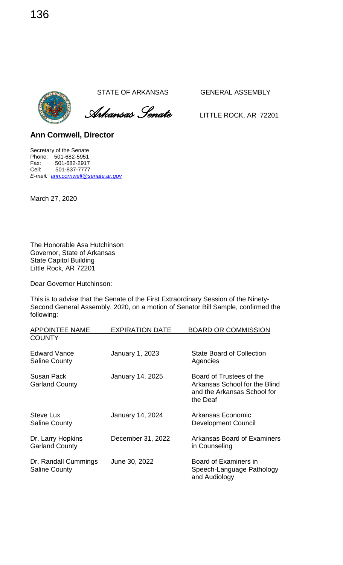*Arkansas Senate* LITTLE ROCK, AR <sup>72201</sup>

**Ann Cornwell, Director** 

Secretary of the Senate Phone: 501-682-5951 Fax: 501-682-2917<br>Cell: 501-837-7777 Cell: 501-837-7777 *E-mail: [ann.cornwell@senate.ar.gov](mailto:ann.cornwell@senate.ar.gov)*

March 27, 2020

The Honorable Asa Hutchinson Governor, State of Arkansas State Capitol Building Little Rock, AR 72201

Dear Governor Hutchinson:

This is to advise that the Senate of the First Extraordinary Session of the Ninety-Second General Assembly, 2020, on a motion of Senator Bill Sample, confirmed the following:

| <b>APPOINTEE NAME</b>                        | <b>EXPIRATION DATE</b>  | <b>BOARD OR COMMISSION</b>                                                                           |
|----------------------------------------------|-------------------------|------------------------------------------------------------------------------------------------------|
| <b>COUNTY</b>                                |                         |                                                                                                      |
| <b>Edward Vance</b><br><b>Saline County</b>  | January 1, 2023         | <b>State Board of Collection</b><br>Agencies                                                         |
| Susan Pack<br><b>Garland County</b>          | January 14, 2025        | Board of Trustees of the<br>Arkansas School for the Blind<br>and the Arkansas School for<br>the Deaf |
| <b>Steve Lux</b><br><b>Saline County</b>     | <b>January 14, 2024</b> | Arkansas Economic<br><b>Development Council</b>                                                      |
| Dr. Larry Hopkins<br><b>Garland County</b>   | December 31, 2022       | Arkansas Board of Examiners<br>in Counseling                                                         |
| Dr. Randall Cummings<br><b>Saline County</b> | June 30, 2022           | Board of Examiners in<br>Speech-Language Pathology<br>and Audiology                                  |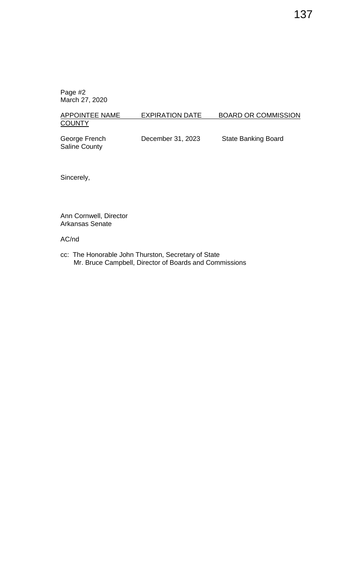# APPOINTEE NAME EXPIRATION DATE BOARD OR COMMISSION **COUNTY**

Saline County

George French **December 31, 2023** State Banking Board

Sincerely,

Ann Cornwell, Director Arkansas Senate

#### AC/nd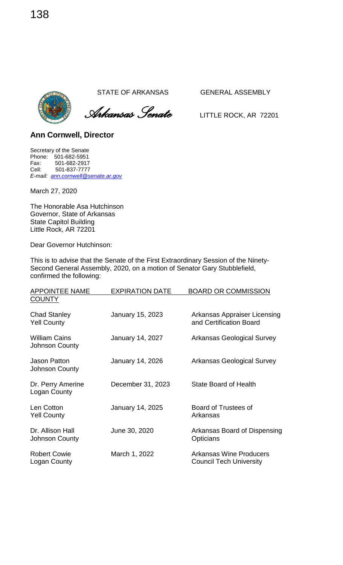



**Ann Cornwell, Director** 

Secretary of the Senate Phone: 501-682-5951 Fax: 501-682-2917<br>Cell: 501-837-7777 Cell: 501-837-7777 *E-mail: [ann.cornwell@senate.ar.gov](mailto:ann.cornwell@senate.ar.gov)*

March 27, 2020

The Honorable Asa Hutchinson Governor, State of Arkansas State Capitol Building Little Rock, AR 72201

Dear Governor Hutchinson:

This is to advise that the Senate of the First Extraordinary Session of the Ninety-Second General Assembly, 2020, on a motion of Senator Gary Stubblefield, confirmed the following:

| <b>APPOINTEE NAME</b>                     | <b>EXPIRATION DATE</b>  | <b>BOARD OR COMMISSION</b>                                       |
|-------------------------------------------|-------------------------|------------------------------------------------------------------|
| <b>COUNTY</b>                             |                         |                                                                  |
| <b>Chad Stanley</b><br><b>Yell County</b> | January 15, 2023        | <b>Arkansas Appraiser Licensing</b><br>and Certification Board   |
| <b>William Cains</b><br>Johnson County    | January 14, 2027        | <b>Arkansas Geological Survey</b>                                |
| Jason Patton<br><b>Johnson County</b>     | January 14, 2026        | <b>Arkansas Geological Survey</b>                                |
| Dr. Perry Amerine<br>Logan County         | December 31, 2023       | <b>State Board of Health</b>                                     |
| Len Cotton<br><b>Yell County</b>          | <b>January 14, 2025</b> | Board of Trustees of<br>Arkansas                                 |
| Dr. Allison Hall<br>Johnson County        | June 30, 2020           | Arkansas Board of Dispensing<br>Opticians                        |
| <b>Robert Cowie</b><br>Logan County       | March 1, 2022           | <b>Arkansas Wine Producers</b><br><b>Council Tech University</b> |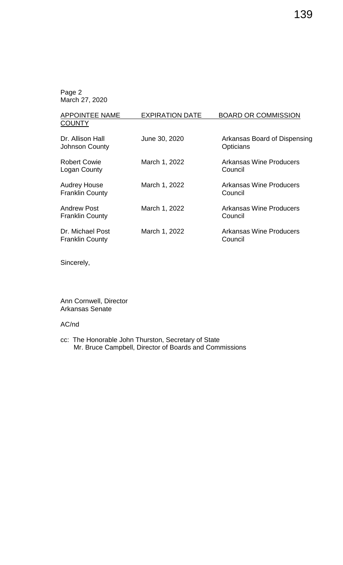| <b>APPOINTEE NAME</b>                         | <b>EXPIRATION DATE</b> | <b>BOARD OR COMMISSION</b>                |
|-----------------------------------------------|------------------------|-------------------------------------------|
| <b>COUNTY</b>                                 |                        |                                           |
| Dr. Allison Hall<br><b>Johnson County</b>     | June 30, 2020          | Arkansas Board of Dispensing<br>Opticians |
| <b>Robert Cowie</b><br>Logan County           | March 1, 2022          | Arkansas Wine Producers<br>Council        |
| <b>Audrey House</b><br><b>Franklin County</b> | March 1, 2022          | <b>Arkansas Wine Producers</b><br>Council |
| <b>Andrew Post</b><br><b>Franklin County</b>  | March 1, 2022          | <b>Arkansas Wine Producers</b><br>Council |
| Dr. Michael Post<br><b>Franklin County</b>    | March 1, 2022          | <b>Arkansas Wine Producers</b><br>Council |

Sincerely,

Ann Cornwell, Director Arkansas Senate

#### AC/nd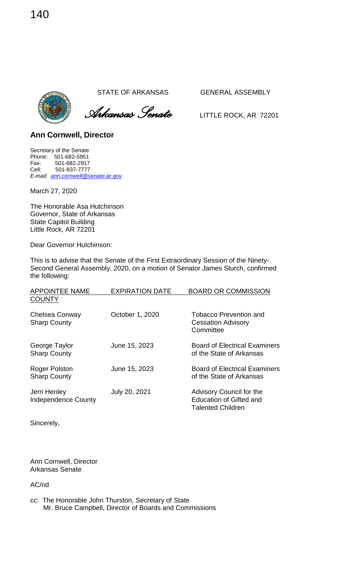*Arkansas Senate* LITTLE ROCK, AR <sup>72201</sup>

**Ann Cornwell, Director** 

Secretary of the Senate Phone: 501-682-5951 Fax: 501-682-2917<br>Cell: 501-837-7777 Cell: 501-837-7777 *E-mail: [ann.cornwell@senate.ar.gov](mailto:ann.cornwell@senate.ar.gov)*

March 27, 2020

The Honorable Asa Hutchinson Governor, State of Arkansas State Capitol Building Little Rock, AR 72201

Dear Governor Hutchinson:

This is to advise that the Senate of the First Extraordinary Session of the Ninety-Second General Assembly, 2020, on a motion of Senator James Sturch, confirmed the following:

| <b>APPOINTEE NAME</b>                       | <b>EXPIRATION DATE</b> | <b>BOARD OR COMMISSION</b>                                                             |
|---------------------------------------------|------------------------|----------------------------------------------------------------------------------------|
| <b>COUNTY</b>                               |                        |                                                                                        |
| Chelsea Conway<br><b>Sharp County</b>       | October 1, 2020        | <b>Tobacco Prevention and</b><br><b>Cessation Advisory</b><br>Committee                |
| George Taylor<br><b>Sharp County</b>        | June 15, 2023          | <b>Board of Electrical Examiners</b><br>of the State of Arkansas                       |
| <b>Roger Polston</b><br><b>Sharp County</b> | June 15, 2023          | <b>Board of Electrical Examiners</b><br>of the State of Arkansas                       |
| Jerri Henley<br><b>Independence County</b>  | July 20, 2021          | Advisory Council for the<br><b>Education of Gifted and</b><br><b>Talented Children</b> |

Sincerely,

Ann Cornwell, Director Arkansas Senate

AC/nd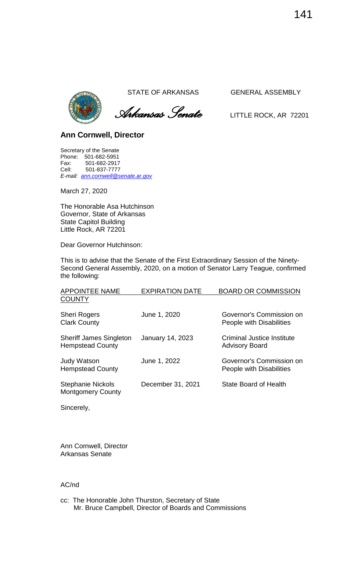

 *Arkansas Senate* LITTLE ROCK, AR <sup>72201</sup>

## **Ann Cornwell, Director**

Secretary of the Senate Phone: 501-682-5951 Fax: 501-682-2917<br>Cell: 501-837-7777 Cell: 501-837-7777 *E-mail: [ann.cornwell@senate.ar.gov](mailto:ann.cornwell@senate.ar.gov)*

March 27, 2020

The Honorable Asa Hutchinson Governor, State of Arkansas State Capitol Building Little Rock, AR 72201

Dear Governor Hutchinson:

This is to advise that the Senate of the First Extraordinary Session of the Ninety-Second General Assembly, 2020, on a motion of Senator Larry Teague, confirmed the following:

| <b>APPOINTEE NAME</b>                                     | <b>EXPIRATION DATE</b>  | <b>BOARD OR COMMISSION</b>                                 |
|-----------------------------------------------------------|-------------------------|------------------------------------------------------------|
| <b>COUNTY</b>                                             |                         |                                                            |
| Sheri Rogers<br><b>Clark County</b>                       | June 1, 2020            | Governor's Commission on<br>People with Disabilities       |
| <b>Sheriff James Singleton</b><br><b>Hempstead County</b> | <b>January 14, 2023</b> | <b>Criminal Justice Institute</b><br><b>Advisory Board</b> |
| Judy Watson<br><b>Hempstead County</b>                    | June 1, 2022            | Governor's Commission on<br>People with Disabilities       |
| Stephanie Nickols<br><b>Montgomery County</b>             | December 31, 2021       | <b>State Board of Health</b>                               |

Sincerely,

Ann Cornwell, Director Arkansas Senate

#### AC/nd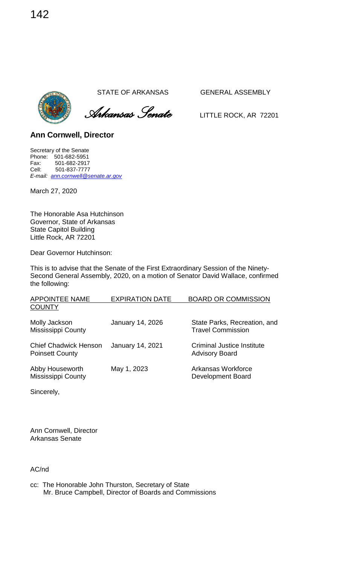*Arkansas Senate* LITTLE ROCK, AR <sup>72201</sup>

**Ann Cornwell, Director** 

Secretary of the Senate Phone: 501-682-5951 Fax: 501-682-2917<br>Cell: 501-837-7777 Cell: 501-837-7777 *E-mail: [ann.cornwell@senate.ar.gov](mailto:ann.cornwell@senate.ar.gov)*

March 27, 2020

The Honorable Asa Hutchinson Governor, State of Arkansas State Capitol Building Little Rock, AR 72201

Dear Governor Hutchinson:

This is to advise that the Senate of the First Extraordinary Session of the Ninety-Second General Assembly, 2020, on a motion of Senator David Wallace, confirmed the following:

| <b>APPOINTEE NAME</b>                                  | <b>EXPIRATION DATE</b>  | <b>BOARD OR COMMISSION</b>                               |
|--------------------------------------------------------|-------------------------|----------------------------------------------------------|
| <b>COUNTY</b>                                          |                         |                                                          |
| Molly Jackson<br><b>Mississippi County</b>             | <b>January 14, 2026</b> | State Parks, Recreation, and<br><b>Travel Commission</b> |
| <b>Chief Chadwick Henson</b><br><b>Poinsett County</b> | January 14, 2021        | Criminal Justice Institute<br><b>Advisory Board</b>      |
| Abby Houseworth<br><b>Mississippi County</b>           | May 1, 2023             | Arkansas Workforce<br>Development Board                  |

Sincerely,

Ann Cornwell, Director Arkansas Senate

AC/nd

| cc: The Honorable John Thurston, Secretary of State    |
|--------------------------------------------------------|
| Mr. Bruce Campbell, Director of Boards and Commissions |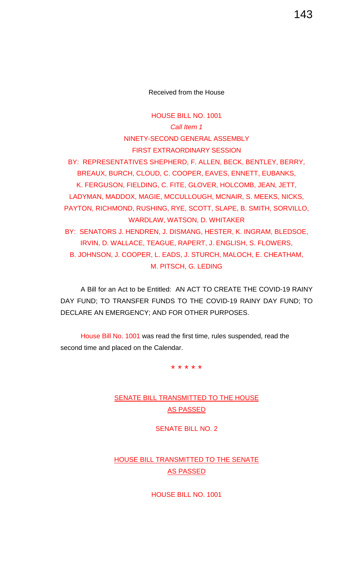Received from the House

HOUSE BILL NO. 1001 *Call Item 1* NINETY-SECOND GENERAL ASSEMBLY FIRST EXTRAORDINARY SESSION BY: REPRESENTATIVES SHEPHERD, F. ALLEN, BECK, BENTLEY, BERRY, BREAUX, BURCH, CLOUD, C. COOPER, EAVES, ENNETT, EUBANKS, K. FERGUSON, FIELDING, C. FITE, GLOVER, HOLCOMB, JEAN, JETT, LADYMAN, MADDOX, MAGIE, MCCULLOUGH, MCNAIR, S. MEEKS, NICKS, PAYTON, RICHMOND, RUSHING, RYE, SCOTT, SLAPE, B. SMITH, SORVILLO, WARDLAW, WATSON, D. WHITAKER BY: SENATORS J. HENDREN, J. DISMANG, HESTER, K. INGRAM, BLEDSOE, IRVIN, D. WALLACE, TEAGUE, RAPERT, J. ENGLISH, S. FLOWERS, B. JOHNSON, J. COOPER, L. EADS, J. STURCH, MALOCH, E. CHEATHAM, M. PITSCH, G. LEDING

A Bill for an Act to be Entitled: AN ACT TO CREATE THE COVID-19 RAINY DAY FUND; TO TRANSFER FUNDS TO THE COVID-19 RAINY DAY FUND; TO DECLARE AN EMERGENCY; AND FOR OTHER PURPOSES.

House Bill No. 1001 was read the first time, rules suspended, read the second time and placed on the Calendar.

\* \* \* \* \*

### **SENATE BILL TRANSMITTED TO THE HOUSE** AS PASSED

SENATE BILL NO. 2

### HOUSE BILL TRANSMITTED TO THE SENATE AS PASSED

HOUSE BILL NO. 1001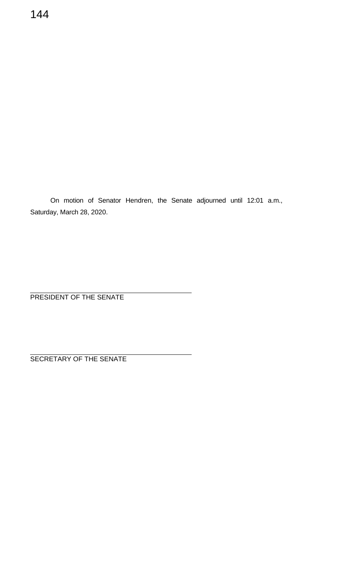On motion of Senator Hendren, the Senate adjourned until 12:01 a.m., Saturday, March 28, 2020.

PRESIDENT OF THE SENATE

SECRETARY OF THE SENATE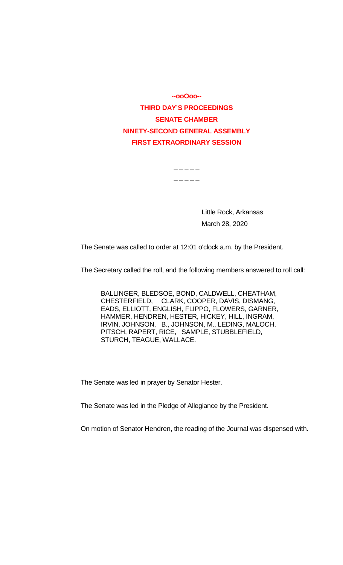--**ooOoo-- THIRD DAY'S PROCEEDINGS SENATE CHAMBER NINETY-SECOND GENERAL ASSEMBLY FIRST EXTRAORDINARY SESSION**

 $\overline{\phantom{a}}$   $\overline{\phantom{a}}$   $\overline{\phantom{a}}$   $\overline{\phantom{a}}$   $\overline{\phantom{a}}$ 

 $\frac{1}{2} - \frac{1}{2} - \frac{1}{2}$ 

Little Rock, Arkansas March 28, 2020

The Senate was called to order at 12:01 o'clock a.m. by the President.

The Secretary called the roll, and the following members answered to roll call:

BALLINGER, BLEDSOE, BOND, CALDWELL, CHEATHAM, CHESTERFIELD, CLARK, COOPER, DAVIS, DISMANG, EADS, ELLIOTT, ENGLISH, FLIPPO, FLOWERS, GARNER, HAMMER, HENDREN, HESTER, HICKEY, HILL, INGRAM, IRVIN, JOHNSON, B., JOHNSON, M., LEDING, MALOCH, PITSCH, RAPERT, RICE, SAMPLE, STUBBLEFIELD, STURCH, TEAGUE, WALLACE.

The Senate was led in prayer by Senator Hester.

The Senate was led in the Pledge of Allegiance by the President.

On motion of Senator Hendren, the reading of the Journal was dispensed with.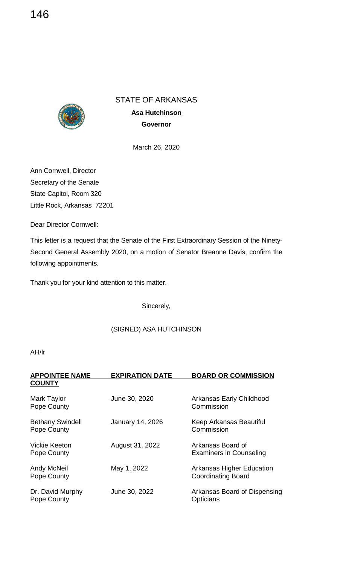### STATE OF ARKANSAS



**Asa Hutchinson Governor**

March 26, 2020

Ann Cornwell, Director Secretary of the Senate State Capitol, Room 320 Little Rock, Arkansas 72201

Dear Director Cornwell:

This letter is a request that the Senate of the First Extraordinary Session of the Ninety-Second General Assembly 2020, on a motion of Senator Breanne Davis, confirm the following appointments.

Thank you for your kind attention to this matter.

Sincerely,

### (SIGNED) ASA HUTCHINSON

#### AH/lr

| <b>APPOINTEE NAME</b><br><b>COUNTY</b> | <b>EXPIRATION DATE</b>  | <b>BOARD OR COMMISSION</b>                                    |
|----------------------------------------|-------------------------|---------------------------------------------------------------|
| <b>Mark Taylor</b><br>Pope County      | June 30, 2020           | Arkansas Early Childhood<br>Commission                        |
| <b>Bethany Swindell</b><br>Pope County | <b>January 14, 2026</b> | Keep Arkansas Beautiful<br>Commission                         |
| Vickie Keeton<br>Pope County           | August 31, 2022         | Arkansas Board of<br><b>Examiners in Counseling</b>           |
| Andy McNeil<br>Pope County             | May 1, 2022             | <b>Arkansas Higher Education</b><br><b>Coordinating Board</b> |
| Dr. David Murphy<br>Pope County        | June 30, 2022           | Arkansas Board of Dispensing<br><b>Opticians</b>              |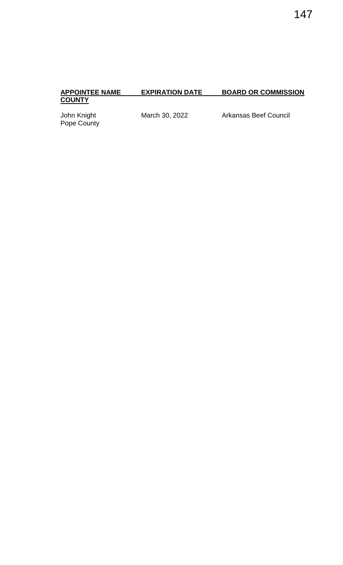# **APPOINTEE NAME**<br>COUNTY

### **EXPIRATION DATE BOARD OR COMMISSION**

Pope County

John Knight **March 30, 2022** Arkansas Beef Council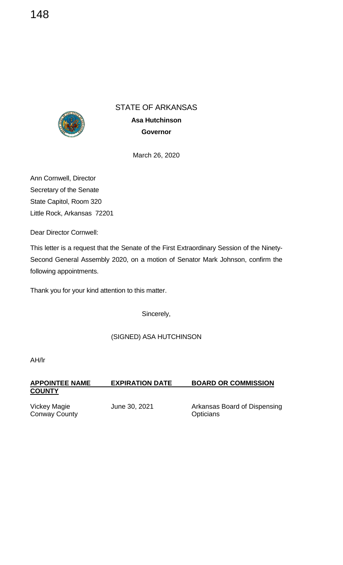

STATE OF ARKANSAS

**Asa Hutchinson Governor**

March 26, 2020

Ann Cornwell, Director Secretary of the Senate State Capitol, Room 320 Little Rock, Arkansas 72201

Dear Director Cornwell:

This letter is a request that the Senate of the First Extraordinary Session of the Ninety-Second General Assembly 2020, on a motion of Senator Mark Johnson, confirm the following appointments.

Thank you for your kind attention to this matter.

Sincerely,

### (SIGNED) ASA HUTCHINSON

AH/lr

| <b>APPOINTEE NAME</b><br><b>COUNTY</b> | <b>EXPIRATION DATE</b> | <b>BOARD OR COMMISSION</b>                       |
|----------------------------------------|------------------------|--------------------------------------------------|
| Vickey Magie<br><b>Conway County</b>   | June 30, 2021          | Arkansas Board of Dispensing<br><b>Opticians</b> |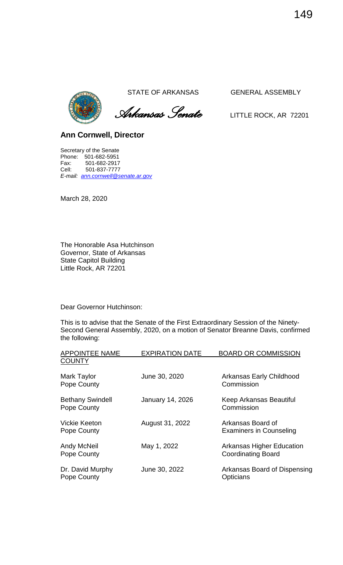

 *Arkansas Senate* LITTLE ROCK, AR <sup>72201</sup>

**Ann Cornwell, Director** 

Secretary of the Senate Phone: 501-682-5951 Fax: 501-682-2917<br>Cell: 501-837-7777 Cell: 501-837-7777 *E-mail: [ann.cornwell@senate.ar.gov](mailto:ann.cornwell@senate.ar.gov)*

March 28, 2020

The Honorable Asa Hutchinson Governor, State of Arkansas State Capitol Building Little Rock, AR 72201

Dear Governor Hutchinson:

This is to advise that the Senate of the First Extraordinary Session of the Ninety-Second General Assembly, 2020, on a motion of Senator Breanne Davis, confirmed the following:

| <b>APPOINTEE NAME</b>                  | <b>EXPIRATION DATE</b>  | <b>BOARD OR COMMISSION</b>                                    |
|----------------------------------------|-------------------------|---------------------------------------------------------------|
| <b>COUNTY</b>                          |                         |                                                               |
| Mark Taylor<br>Pope County             | June 30, 2020           | Arkansas Early Childhood<br>Commission                        |
| <b>Bethany Swindell</b><br>Pope County | <b>January 14, 2026</b> | Keep Arkansas Beautiful<br>Commission                         |
| Vickie Keeton<br>Pope County           | August 31, 2022         | Arkansas Board of<br><b>Examiners in Counseling</b>           |
| <b>Andy McNeil</b><br>Pope County      | May 1, 2022             | <b>Arkansas Higher Education</b><br><b>Coordinating Board</b> |
| Dr. David Murphy<br>Pope County        | June 30, 2022           | Arkansas Board of Dispensing<br><b>Opticians</b>              |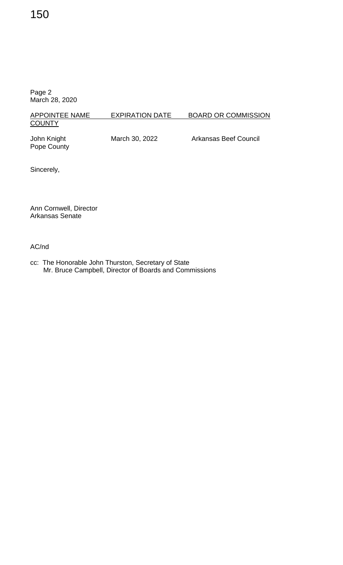### 150

Page 2 March 28, 2020

### APPOINTEE NAME EXPIRATION DATE BOARD OR COMMISSION **COUNTY**

Pope County

John Knight **March 30, 2022** Arkansas Beef Council

Sincerely,

Ann Cornwell, Director Arkansas Senate

AC/nd

cc: The Honorable John Thurston, Secretary of State Mr. Bruce Campbell, Director of Boards and Commissions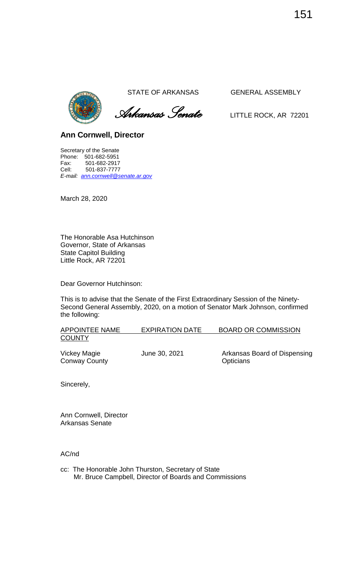

 *Arkansas Senate* LITTLE ROCK, AR <sup>72201</sup>

**Ann Cornwell, Director** 

Secretary of the Senate Phone: 501-682-5951 Fax: 501-682-2917 Cell: 501-837-7777 *E-mail: [ann.cornwell@senate.ar.gov](mailto:ann.cornwell@senate.ar.gov)*

March 28, 2020

The Honorable Asa Hutchinson Governor, State of Arkansas State Capitol Building Little Rock, AR 72201

Dear Governor Hutchinson:

This is to advise that the Senate of the First Extraordinary Session of the Ninety-Second General Assembly, 2020, on a motion of Senator Mark Johnson, confirmed the following:

| APPOINTEE NAME | <b>EXPIRATION DATE</b> | <b>BOARD OR COMMISSION</b> |
|----------------|------------------------|----------------------------|
| <b>COUNTY</b>  |                        |                            |

Conway County **County Contract Contract Contract Contract Contract Contract Contract Contract Contract Contract Contract Contract Contract Contract Contract Contract Contract Contract Contract Contract Contract Contract** 

Vickey Magie **June 30, 2021** Arkansas Board of Dispensing

Sincerely,

Ann Cornwell, Director Arkansas Senate

AC/nd

cc: The Honorable John Thurston, Secretary of State Mr. Bruce Campbell, Director of Boards and Commissions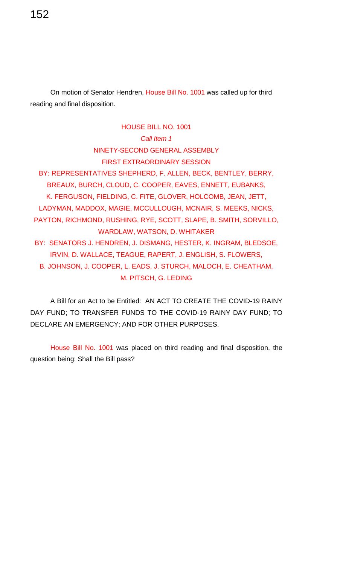On motion of Senator Hendren, House Bill No. 1001 was called up for third reading and final disposition.

152

HOUSE BILL NO. 1001 *Call Item 1* NINETY-SECOND GENERAL ASSEMBLY FIRST EXTRAORDINARY SESSION BY: REPRESENTATIVES SHEPHERD, F. ALLEN, BECK, BENTLEY, BERRY, BREAUX, BURCH, CLOUD, C. COOPER, EAVES, ENNETT, EUBANKS, K. FERGUSON, FIELDING, C. FITE, GLOVER, HOLCOMB, JEAN, JETT, LADYMAN, MADDOX, MAGIE, MCCULLOUGH, MCNAIR, S. MEEKS, NICKS, PAYTON, RICHMOND, RUSHING, RYE, SCOTT, SLAPE, B. SMITH, SORVILLO, WARDLAW, WATSON, D. WHITAKER BY: SENATORS J. HENDREN, J. DISMANG, HESTER, K. INGRAM, BLEDSOE, IRVIN, D. WALLACE, TEAGUE, RAPERT, J. ENGLISH, S. FLOWERS, B. JOHNSON, J. COOPER, L. EADS, J. STURCH, MALOCH, E. CHEATHAM, M. PITSCH, G. LEDING

A Bill for an Act to be Entitled: AN ACT TO CREATE THE COVID-19 RAINY DAY FUND; TO TRANSFER FUNDS TO THE COVID-19 RAINY DAY FUND; TO DECLARE AN EMERGENCY; AND FOR OTHER PURPOSES.

House Bill No. 1001 was placed on third reading and final disposition, the question being: Shall the Bill pass?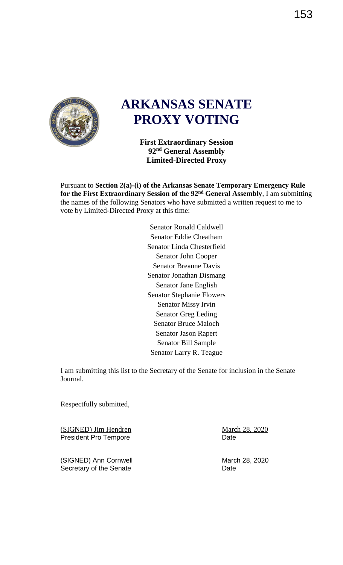

### **ARKANSAS SENATE PROXY VOTING**

**First Extraordinary Session 92nd General Assembly Limited-Directed Proxy** 

Pursuant to **Section 2(a)-(i) of the Arkansas Senate Temporary Emergency Rule for the First Extraordinary Session of the 92nd General Assembly**, I am submitting the names of the following Senators who have submitted a written request to me to vote by Limited-Directed Proxy at this time:

> Senator Ronald Caldwell Senator Eddie Cheatham Senator Linda Chesterfield Senator John Cooper Senator Breanne Davis Senator Jonathan Dismang Senator Jane English Senator Stephanie Flowers Senator Missy Irvin Senator Greg Leding Senator Bruce Maloch Senator Jason Rapert Senator Bill Sample Senator Larry R. Teague

I am submitting this list to the Secretary of the Senate for inclusion in the Senate Journal.

Respectfully submitted,

(SIGNED) Jim Hendren March 28, 2020 President Pro Tempore **Date** Date

(SIGNED) Ann Cornwell **March 28, 2020** Secretary of the Senate **Date** Date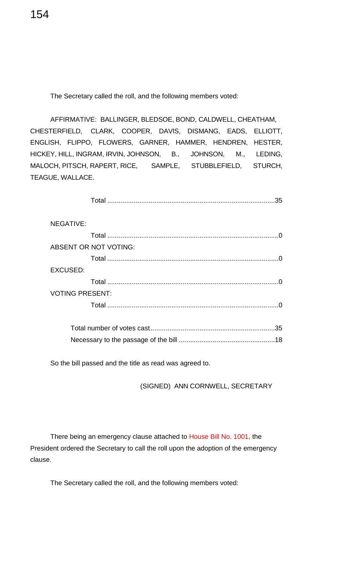The Secretary called the roll, and the following members voted:

AFFIRMATIVE: BALLINGER, BLEDSOE, BOND, CALDWELL, CHEATHAM, CHESTERFIELD, CLARK, COOPER, DAVIS, DISMANG, EADS, ELLIOTT, ENGLISH, FLIPPO, FLOWERS, GARNER, HAMMER, HENDREN, HESTER, HICKEY, HILL, INGRAM, IRVIN, JOHNSON, B., JOHNSON, M., LEDING, MALOCH, PITSCH, RAPERT, RICE, SAMPLE, STUBBLEFIELD, STURCH, TEAGUE, WALLACE.

Total .........................................................................................35

| NEGATIVE:              |                              |  |
|------------------------|------------------------------|--|
|                        |                              |  |
|                        | <b>ABSENT OR NOT VOTING:</b> |  |
|                        |                              |  |
| <b>EXCUSED:</b>        |                              |  |
|                        |                              |  |
| <b>VOTING PRESENT:</b> |                              |  |
|                        |                              |  |
|                        |                              |  |
|                        | 35                           |  |

Necessary to the passage of the bill ...................................................18

So the bill passed and the title as read was agreed to.

(SIGNED) ANN CORNWELL, SECRETARY

There being an emergency clause attached to House Bill No. 1001, the President ordered the Secretary to call the roll upon the adoption of the emergency clause.

The Secretary called the roll, and the following members voted:

154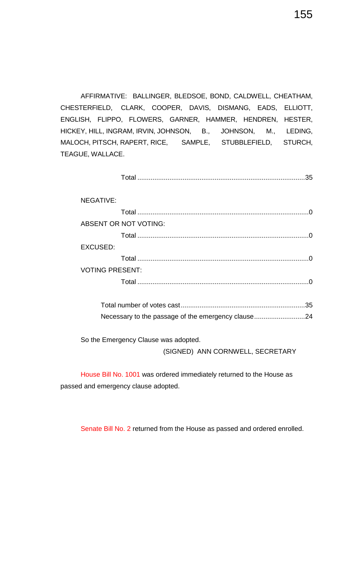AFFIRMATIVE: BALLINGER, BLEDSOE, BOND, CALDWELL, CHEATHAM, CHESTERFIELD, CLARK, COOPER, DAVIS, DISMANG, EADS, ELLIOTT, ENGLISH, FLIPPO, FLOWERS, GARNER, HAMMER, HENDREN, HESTER, HICKEY, HILL, INGRAM, IRVIN, JOHNSON, B., JOHNSON, M., LEDING, MALOCH, PITSCH, RAPERT, RICE, SAMPLE, STUBBLEFIELD, STURCH, TEAGUE, WALLACE.

Total .........................................................................................35

| <b>NEGATIVE:</b>       |          |
|------------------------|----------|
|                        | $\Omega$ |
| ABSENT OR NOT VOTING:  |          |
|                        |          |
| <b>EXCUSED:</b>        |          |
|                        |          |
| <b>VOTING PRESENT:</b> |          |
|                        |          |
|                        |          |

Total number of votes cast..................................................................35 Necessary to the passage of the emergency clause...........................24

So the Emergency Clause was adopted.

(SIGNED) ANN CORNWELL, SECRETARY

House Bill No. 1001 was ordered immediately returned to the House as passed and emergency clause adopted.

Senate Bill No. 2 returned from the House as passed and ordered enrolled.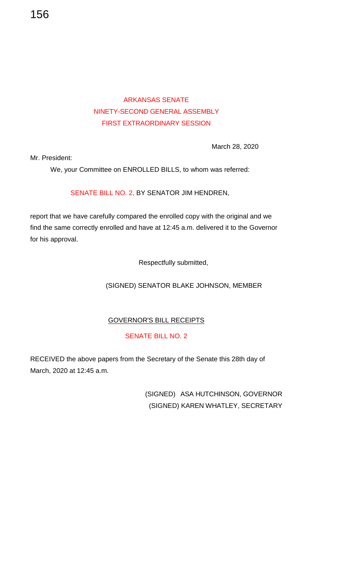### ARKANSAS SENATE NINETY-SECOND GENERAL ASSEMBLY FIRST EXTRAORDINARY SESSION

March 28, 2020

Mr. President:

We, your Committee on ENROLLED BILLS, to whom was referred:

SENATE BILL NO. 2, BY SENATOR JIM HENDREN,

report that we have carefully compared the enrolled copy with the original and we find the same correctly enrolled and have at 12:45 a.m. delivered it to the Governor for his approval.

Respectfully submitted,

(SIGNED) SENATOR BLAKE JOHNSON, MEMBER

### GOVERNOR'S BILL RECEIPTS

### SENATE BILL NO. 2

RECEIVED the above papers from the Secretary of the Senate this 28th day of March, 2020 at 12:45 a.m.

> (SIGNED) ASA HUTCHINSON, GOVERNOR (SIGNED) KAREN WHATLEY, SECRETARY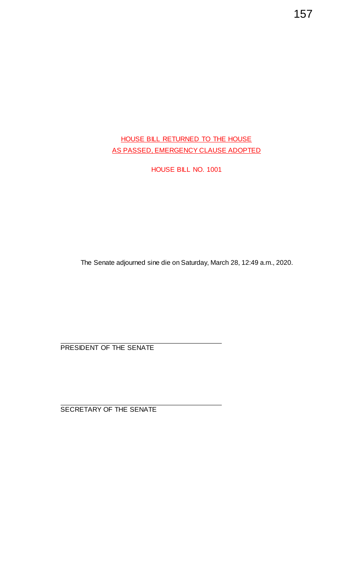### HOUSE BILL RETURNED TO THE HOUSE AS PASSED, EMERGENCY CLAUSE ADOPTED

HOUSE BILL NO. 1001

The Senate adjourned sine die on Saturday, March 28, 12:49 a.m., 2020.

PRESIDENT OF THE SENATE

SECRETARY OF THE SENATE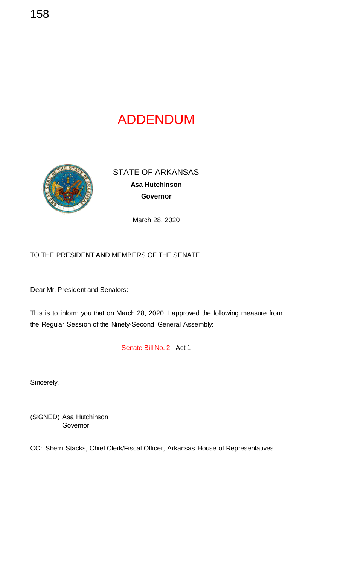## ADDENDUM



STATE OF ARKANSAS **Asa Hutchinson Governor**

March 28, 2020

### TO THE PRESIDENT AND MEMBERS OF THE SENATE

Dear Mr. President and Senators:

This is to inform you that on March 28, 2020, I approved the following measure from the Regular Session of the Ninety-Second General Assembly:

Senate Bill No. 2 - Act 1

Sincerely,

(SIGNED) Asa Hutchinson **Governor** 

CC: Sherri Stacks, Chief Clerk/Fiscal Officer, Arkansas House of Representatives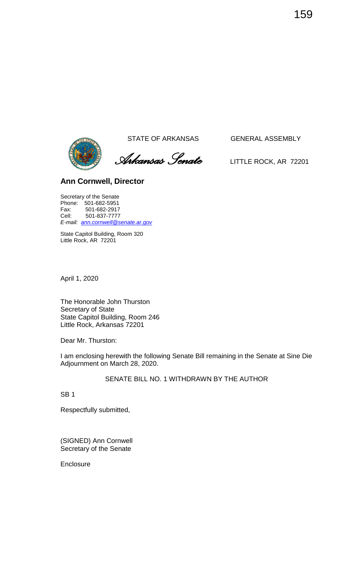

 *Arkansas Senate* LITTLE ROCK, AR <sup>72201</sup>

### **Ann Cornwell, Director**

Secretary of the Senate Phone: 501-682-5951<br>Fax: 501-682-2917 Fax: 501-682-2917 Cell: 501-837-7777 *E-mail: [ann.cornwell@senate.ar.gov](mailto:ann.cornwell@senate.ar.gov)*

State Capitol Building, Room 320 Little Rock, AR 72201

April 1, 2020

The Honorable John Thurston Secretary of State State Capitol Building, Room 246 Little Rock, Arkansas 72201

Dear Mr. Thurston:

I am enclosing herewith the following Senate Bill remaining in the Senate at Sine Die Adjournment on March 28, 2020.

SENATE BILL NO. 1 WITHDRAWN BY THE AUTHOR

SB 1

Respectfully submitted,

(SIGNED) Ann Cornwell Secretary of the Senate

**Enclosure**